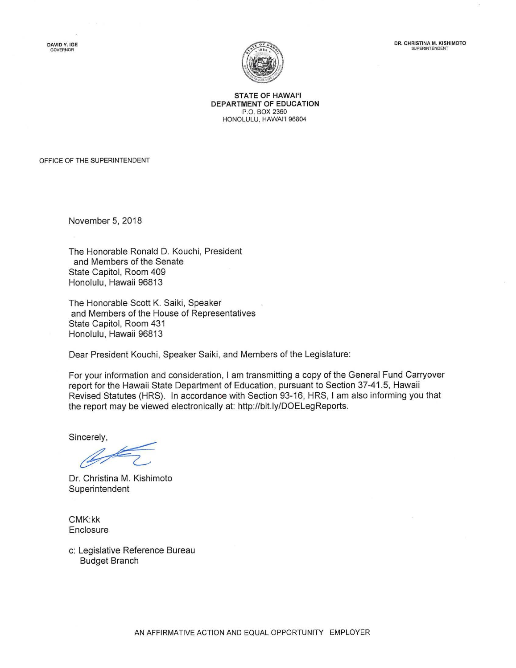DAVID Y. IGE **GOVERNOR** 





**STATE OF HAWAl'I DEPARTMENT OF EDUCATION**  P.O. BOX 2360 HONOLULU, HAWAl'l 96804

OFFICE OF THE SUPERINTENDENT

November 5, 2018

The Honorable Ronald D. Kouchi, President and Members of the Senate State Capitol, Room 409 Honolulu, Hawaii 96813

The Honorable Scott K. Saiki, Speaker and Members of the House of Representatives State Capitol, Room 431 Honolulu, Hawaii 96813

Dear President Kouchi, Speaker Saiki, and Members of the Legislature:

For your information and consideration, I am transmitting a copy of the General Fund Carryover report for the Hawaii State Department of Education, pursuant to Section 37-41.5, Hawaii Revised Statutes (HRS). In accordance with Section 93-16, HRS, I am also informing you that the report may be viewed electronically at: http://bit.ly/DOELegReports.

Dr. Christina M. Kishimoto Superintendent

CMK:kk **Enclosure** 

c: Legislative Reference Bureau Budget Branch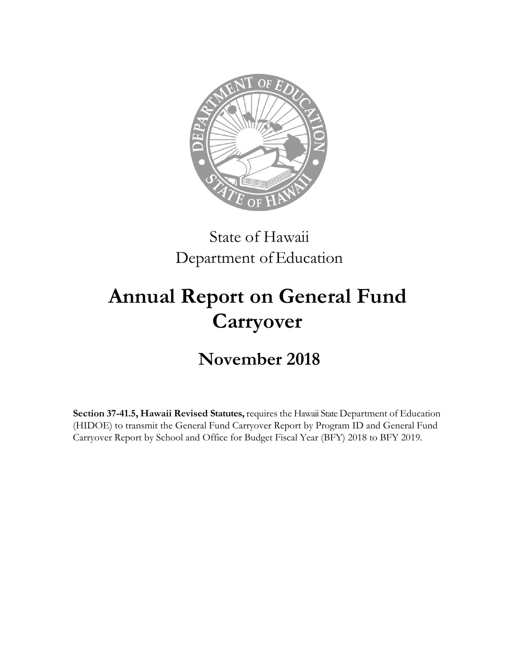

## State of Hawaii Department of Education

# **Annual Report on General Fund Carryover**

## **November 2018**

**Section 37-41.5, Hawaii Revised Statutes,** requires the Hawaii State Department of Education (HIDOE) to transmit the General Fund Carryover Report by Program ID and General Fund Carryover Report by School and Office for Budget Fiscal Year (BFY) 2018 to BFY 2019.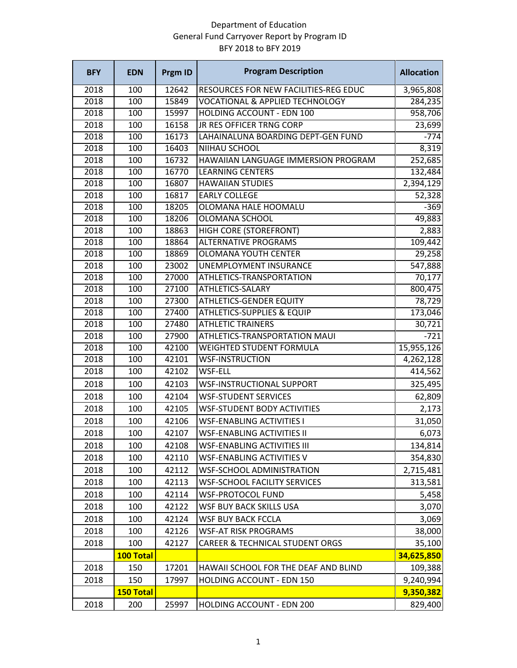### Department of Education General Fund Carryover Report by Program ID BFY 2018 to BFY 2019

| <b>BFY</b> | <b>EDN</b>       | Prgm ID | <b>Program Description</b>                 | <b>Allocation</b> |
|------------|------------------|---------|--------------------------------------------|-------------------|
| 2018       | 100              | 12642   | RESOURCES FOR NEW FACILITIES-REG EDUC      | 3,965,808         |
| 2018       | 100              | 15849   | <b>VOCATIONAL &amp; APPLIED TECHNOLOGY</b> | 284,235           |
| 2018       | $\overline{100}$ | 15997   | <b>HOLDING ACCOUNT - EDN 100</b>           | 958,706           |
| 2018       | 100              | 16158   | <b>JR RES OFFICER TRNG CORP</b>            | 23,699            |
| 2018       | 100              | 16173   | LAHAINALUNA BOARDING DEPT-GEN FUND         | $-774$            |
| 2018       | 100              | 16403   | NIIHAU SCHOOL                              | 8,319             |
| 2018       | 100              | 16732   | HAWAIIAN LANGUAGE IMMERSION PROGRAM        | 252,685           |
| 2018       | 100              | 16770   | <b>LEARNING CENTERS</b>                    | 132,484           |
| 2018       | 100              | 16807   | <b>HAWAIIAN STUDIES</b>                    | 2,394,129         |
| 2018       | 100              | 16817   | <b>EARLY COLLEGE</b>                       | 52,328            |
| 2018       | 100              | 18205   | OLOMANA HALE HOOMALU                       | $-369$            |
| 2018       | 100              | 18206   | OLOMANA SCHOOL                             | 49,883            |
| 2018       | 100              | 18863   | HIGH CORE (STOREFRONT)                     | 2,883             |
| 2018       | 100              | 18864   | <b>ALTERNATIVE PROGRAMS</b>                | 109,442           |
| 2018       | 100              | 18869   | <b>OLOMANA YOUTH CENTER</b>                | 29,258            |
| 2018       | 100              | 23002   | <b>UNEMPLOYMENT INSURANCE</b>              | 547,888           |
| 2018       | 100              | 27000   | ATHLETICS-TRANSPORTATION                   | 70,177            |
| 2018       | 100              | 27100   | <b>ATHLETICS-SALARY</b>                    | 800,475           |
| 2018       | 100              | 27300   | <b>ATHLETICS-GENDER EQUITY</b>             | 78,729            |
| 2018       | 100              | 27400   | <b>ATHLETICS-SUPPLIES &amp; EQUIP</b>      | 173,046           |
| 2018       | 100              | 27480   | <b>ATHLETIC TRAINERS</b>                   | 30,721            |
| 2018       | 100              | 27900   | ATHLETICS-TRANSPORTATION MAUI              | $-721$            |
| 2018       | 100              | 42100   | <b>WEIGHTED STUDENT FORMULA</b>            | 15,955,126        |
| 2018       | 100              | 42101   | <b>WSF-INSTRUCTION</b>                     | 4,262,128         |
| 2018       | 100              | 42102   | <b>WSF-ELL</b>                             | 414,562           |
| 2018       | 100              | 42103   | WSF-INSTRUCTIONAL SUPPORT                  | 325,495           |
| 2018       | 100              | 42104   | <b>WSF-STUDENT SERVICES</b>                | 62,809            |
| 2018       | 100              | 42105   | <b>WSF-STUDENT BODY ACTIVITIES</b>         | 2,173             |
| 2018       | 100              | 42106   | <b>WSF-ENABLING ACTIVITIES I</b>           | 31,050            |
| 2018       | 100              | 42107   | <b>WSF-ENABLING ACTIVITIES II</b>          | 6,073             |
| 2018       | 100              | 42108   | <b>WSF-ENABLING ACTIVITIES III</b>         | 134,814           |
| 2018       | 100              | 42110   | <b>WSF-ENABLING ACTIVITIES V</b>           | 354,830           |
| 2018       | 100              | 42112   | <b>WSF-SCHOOL ADMINISTRATION</b>           | 2,715,481         |
| 2018       | 100              | 42113   | <b>WSF-SCHOOL FACILITY SERVICES</b>        | 313,581           |
| 2018       | 100              | 42114   | <b>WSF-PROTOCOL FUND</b>                   | 5,458             |
| 2018       | 100              | 42122   | <b>WSF BUY BACK SKILLS USA</b>             | 3,070             |
| 2018       | 100              | 42124   | <b>WSF BUY BACK FCCLA</b>                  | 3,069             |
| 2018       | 100              | 42126   | <b>WSF-AT RISK PROGRAMS</b>                | 38,000            |
| 2018       | 100              | 42127   | <b>CAREER &amp; TECHNICAL STUDENT ORGS</b> | 35,100            |
|            | 100 Total        |         |                                            | 34,625,850        |
| 2018       | 150              | 17201   | HAWAII SCHOOL FOR THE DEAF AND BLIND       | 109,388           |
| 2018       | 150              | 17997   | <b>HOLDING ACCOUNT - EDN 150</b>           | 9,240,994         |
|            | 150 Total        |         |                                            | 9,350,382         |
| 2018       | 200              | 25997   | HOLDING ACCOUNT - EDN 200                  | 829,400           |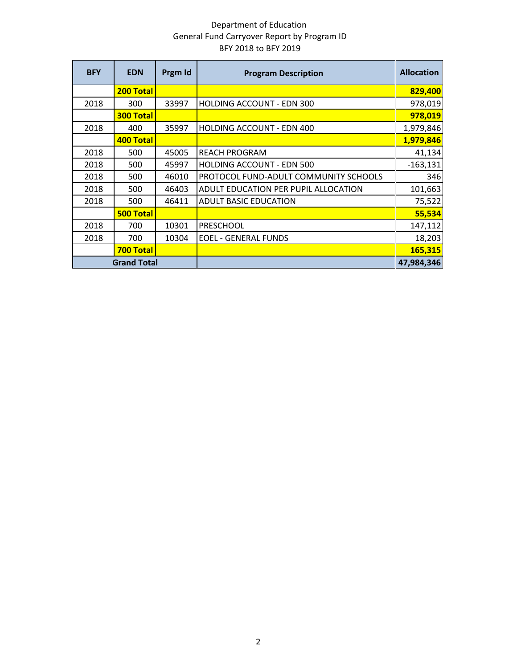### Department of Education General Fund Carryover Report by Program ID BFY 2018 to BFY 2019

| <b>BFY</b> | <b>EDN</b>         | Prgm Id | <b>Program Description</b>            | <b>Allocation</b> |
|------------|--------------------|---------|---------------------------------------|-------------------|
|            | 200 Total          |         |                                       | 829,400           |
| 2018       | 300                | 33997   | <b>HOLDING ACCOUNT - EDN 300</b>      | 978,019           |
|            | <b>300 Total</b>   |         |                                       | 978,019           |
| 2018       | 400                | 35997   | <b>HOLDING ACCOUNT - EDN 400</b>      | 1,979,846         |
|            | 400 Total          |         |                                       | 1,979,846         |
| 2018       | 500                | 45005   | <b>REACH PROGRAM</b>                  | 41,134            |
| 2018       | 500                | 45997   | <b>HOLDING ACCOUNT - EDN 500</b>      | $-163,131$        |
| 2018       | 500                | 46010   | PROTOCOL FUND-ADULT COMMUNITY SCHOOLS | 346               |
| 2018       | 500                | 46403   | ADULT EDUCATION PER PUPIL ALLOCATION  | 101,663           |
| 2018       | 500                | 46411   | <b>ADULT BASIC EDUCATION</b>          | 75,522            |
|            | <b>500 Total</b>   |         |                                       | 55,534            |
| 2018       | 700                | 10301   | <b>PRESCHOOL</b>                      | 147,112           |
| 2018       | 700                | 10304   | <b>EOEL - GENERAL FUNDS</b>           | 18,203            |
|            | 700 Total          |         |                                       | 165,315           |
|            | <b>Grand Total</b> |         |                                       | 47,984,346        |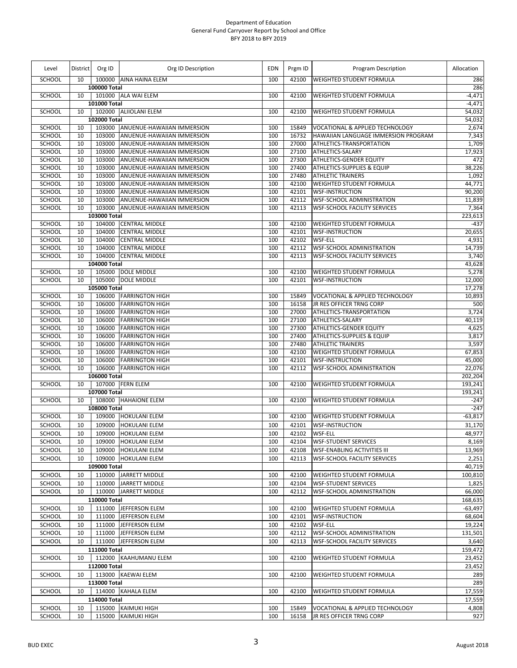| Level         | District | Org ID       | Org ID Description                | EDN | Prgm ID | Program Description                        | Allocation |
|---------------|----------|--------------|-----------------------------------|-----|---------|--------------------------------------------|------------|
| SCHOOL        | 10       | 100000 Total | 100000 AINA HAINA ELEM            | 100 | 42100   | <b>WEIGHTED STUDENT FORMULA</b>            | 286<br>286 |
| SCHOOL        | 10       |              | 101000 ALA WAI ELEM               | 100 | 42100   | WEIGHTED STUDENT FORMULA                   | $-4,471$   |
|               |          | 101000 Total |                                   |     |         |                                            | $-4,471$   |
| SCHOOL        | 10       |              | 102000 ALIIOLANI ELEM             | 100 | 42100   | <b>WEIGHTED STUDENT FORMULA</b>            | 54,032     |
|               |          | 102000 Total |                                   |     |         |                                            | 54,032     |
| SCHOOL        | 10       |              | 103000 ANUENUE-HAWAIIAN IMMERSION | 100 | 15849   | VOCATIONAL & APPLIED TECHNOLOGY            | 2,674      |
| SCHOOL        | 10       | 103000       | ANUENUE-HAWAIIAN IMMERSION        | 100 | 16732   | HAWAIIAN LANGUAGE IMMERSION PROGRAM        | 7,343      |
| SCHOOL        | 10       | 103000       | ANUENUE-HAWAIIAN IMMERSION        | 100 | 27000   | ATHLETICS-TRANSPORTATION                   | 1,709      |
| SCHOOL        | 10       | 103000       | ANUENUE-HAWAIIAN IMMERSION        | 100 | 27100   | ATHLETICS-SALARY                           | 17,923     |
| SCHOOL        | 10       | 103000       | ANUENUE-HAWAIIAN IMMERSION        | 100 | 27300   | <b>ATHLETICS-GENDER EQUITY</b>             | 472        |
| SCHOOL        | 10       | 103000       | ANUENUE-HAWAIIAN IMMERSION        | 100 | 27400   | ATHLETICS-SUPPLIES & EQUIP                 | 38,226     |
| <b>SCHOOL</b> | 10       | 103000       | ANUENUE-HAWAIIAN IMMERSION        | 100 | 27480   | <b>ATHLETIC TRAINERS</b>                   | 1,092      |
| SCHOOL        | 10       | 103000       | ANUENUE-HAWAIIAN IMMERSION        | 100 | 42100   | WEIGHTED STUDENT FORMULA                   | 44,771     |
| SCHOOL        | 10       | 103000       | ANUENUE-HAWAIIAN IMMERSION        | 100 | 42101   | <b>WSF-INSTRUCTION</b>                     | 90,200     |
| SCHOOL        | 10       | 103000       | ANUENUE-HAWAIIAN IMMERSION        | 100 | 42112   | WSF-SCHOOL ADMINISTRATION                  | 11,839     |
| SCHOOL        | 10       | 103000       | ANUENUE-HAWAIIAN IMMERSION        | 100 | 42113   | <b>WSF-SCHOOL FACILITY SERVICES</b>        | 7,364      |
|               |          | 103000 Total |                                   |     |         |                                            | 223,613    |
| SCHOOL        | 10       | 104000       | <b>CENTRAL MIDDLE</b>             | 100 | 42100   | WEIGHTED STUDENT FORMULA                   | $-437$     |
| SCHOOL        | 10       | 104000       | <b>CENTRAL MIDDLE</b>             | 100 | 42101   | <b>WSF-INSTRUCTION</b>                     | 20,655     |
| SCHOOL        | 10       | 104000       | <b>CENTRAL MIDDLE</b>             | 100 | 42102   | <b>WSF-ELL</b>                             | 4,931      |
| SCHOOL        | 10       | 104000       | <b>CENTRAL MIDDLE</b>             | 100 | 42112   | WSF-SCHOOL ADMINISTRATION                  | 14,739     |
| SCHOOL        | 10       | 104000       | <b>CENTRAL MIDDLE</b>             | 100 | 42113   | <b>WSF-SCHOOL FACILITY SERVICES</b>        | 3,740      |
|               |          | 104000 Total |                                   |     |         |                                            | 43,628     |
| SCHOOL        | 10       |              | 105000 DOLE MIDDLE                | 100 | 42100   | WEIGHTED STUDENT FORMULA                   | 5,278      |
| SCHOOL        | 10       |              | 105000 DOLE MIDDLE                | 100 | 42101   | <b>WSF-INSTRUCTION</b>                     | 12,000     |
|               |          | 105000 Total |                                   |     |         |                                            | 17,278     |
| SCHOOL        | 10       | 106000       | <b>FARRINGTON HIGH</b>            | 100 | 15849   | VOCATIONAL & APPLIED TECHNOLOGY            | 10,893     |
| SCHOOL        | 10       |              | 106000 FARRINGTON HIGH            | 100 | 16158   | JR RES OFFICER TRNG CORP                   | 500        |
| SCHOOL        | 10       | 106000       | <b>FARRINGTON HIGH</b>            | 100 | 27000   | ATHLETICS-TRANSPORTATION                   | 3,724      |
| SCHOOL        | 10       | 106000       | <b>FARRINGTON HIGH</b>            | 100 | 27100   | ATHLETICS-SALARY                           | 40,119     |
| SCHOOL        | 10       | 106000       | <b>FARRINGTON HIGH</b>            | 100 | 27300   | ATHLETICS-GENDER EQUITY                    | 4,625      |
| SCHOOL        | 10       | 106000       | <b>FARRINGTON HIGH</b>            | 100 | 27400   | ATHLETICS-SUPPLIES & EQUIP                 | 3,817      |
| SCHOOL        | 10       | 106000       | <b>FARRINGTON HIGH</b>            | 100 | 27480   | <b>ATHLETIC TRAINERS</b>                   | 3,597      |
| SCHOOL        | 10       | 106000       | <b>FARRINGTON HIGH</b>            | 100 | 42100   | WEIGHTED STUDENT FORMULA                   | 67,853     |
| SCHOOL        | 10       | 106000       | <b>FARRINGTON HIGH</b>            | 100 | 42101   | <b>WSF-INSTRUCTION</b>                     | 45,000     |
| SCHOOL        | 10       | 106000       | <b>FARRINGTON HIGH</b>            | 100 | 42112   | WSF-SCHOOL ADMINISTRATION                  | 22,076     |
|               |          | 106000 Total |                                   |     |         |                                            | 202,204    |
| SCHOOL        | 10       |              | 107000 FERN ELEM                  | 100 | 42100   | WEIGHTED STUDENT FORMULA                   | 193,241    |
|               |          | 107000 Total |                                   |     |         |                                            | 193,241    |
| SCHOOL        | 10       |              | 108000 HAHAIONE ELEM              | 100 | 42100   | <b>WEIGHTED STUDENT FORMULA</b>            | $-247$     |
|               |          | 108000 Total |                                   |     |         |                                            | $-247$     |
| SCHOOL        | 10       | 109000       | <b>HOKULANI ELEM</b>              | 100 | 42100   | WEIGHTED STUDENT FORMULA                   | $-63,817$  |
| SCHOOL        | 10       | 109000       | <b>HOKULANI ELEM</b>              | 100 | 42101   | <b>WSF-INSTRUCTION</b>                     | 31,170     |
| SCHOOL        | 10       | 109000       | <b>HOKULANI ELEM</b>              | 100 | 42102   | WSF-ELL                                    | 48,977     |
| <b>SCHOOL</b> | 10       |              | 109000 HOKULANI ELEM              | 100 | 42104   | <b>WSF-STUDENT SERVICES</b>                | 8,169      |
| SCHOOL        | 10       |              | 109000 HOKULANI ELEM              | 100 | 42108   | <b>WSF-ENABLING ACTIVITIES III</b>         | 13,969     |
| SCHOOL        | 10       |              | 109000 HOKULANI ELEM              | 100 | 42113   | <b>WSF-SCHOOL FACILITY SERVICES</b>        | 2,251      |
|               |          | 109000 Total |                                   |     |         |                                            | 40,719     |
| SCHOOL        | 10       |              | 110000 JARRETT MIDDLE             | 100 | 42100   | WEIGHTED STUDENT FORMULA                   | 100,810    |
| SCHOOL        | 10       |              | 110000 JARRETT MIDDLE             | 100 | 42104   | <b>WSF-STUDENT SERVICES</b>                | 1,825      |
| SCHOOL        | 10       |              | 110000 JARRETT MIDDLE             | 100 | 42112   | WSF-SCHOOL ADMINISTRATION                  | 66,000     |
|               |          | 110000 Total |                                   |     |         |                                            | 168,635    |
| SCHOOL        | 10       |              | 111000 JEFFERSON ELEM             | 100 | 42100   | WEIGHTED STUDENT FORMULA                   | $-63,497$  |
| SCHOOL        | 10       | 111000       | JEFFERSON ELEM                    | 100 | 42101   | <b>WSF-INSTRUCTION</b>                     | 68,604     |
| SCHOOL        | 10       |              | 111000 JEFFERSON ELEM             | 100 | 42102   | WSF-ELL                                    | 19,224     |
| SCHOOL        | 10       |              | 111000 JEFFERSON ELEM             | 100 | 42112   | <b>WSF-SCHOOL ADMINISTRATION</b>           | 131,501    |
| SCHOOL        |          |              | 111000 JEFFERSON ELEM             |     |         |                                            |            |
|               | 10       |              |                                   | 100 | 42113   | WSF-SCHOOL FACILITY SERVICES               | 3,640      |
|               |          | 111000 Total |                                   |     |         |                                            | 159,472    |
| SCHOOL        | 10       |              | 112000 KAAHUMANU ELEM             | 100 | 42100   | WEIGHTED STUDENT FORMULA                   | 23,452     |
|               |          | 112000 Total |                                   |     |         |                                            | 23,452     |
| SCHOOL        | 10       |              | 113000 KAEWAI ELEM                | 100 | 42100   | WEIGHTED STUDENT FORMULA                   | 289        |
|               |          | 113000 Total |                                   |     |         |                                            | 289        |
| SCHOOL        | 10       |              | 114000 KAHALA ELEM                | 100 | 42100   | WEIGHTED STUDENT FORMULA                   | 17,559     |
|               |          | 114000 Total |                                   |     |         |                                            | 17,559     |
| SCHOOL        | 10       |              | 115000 KAIMUKI HIGH               | 100 | 15849   | <b>VOCATIONAL &amp; APPLIED TECHNOLOGY</b> | 4,808      |
| SCHOOL        | 10       | 115000       | <b>KAIMUKI HIGH</b>               | 100 | 16158   | JR RES OFFICER TRNG CORP                   | 927        |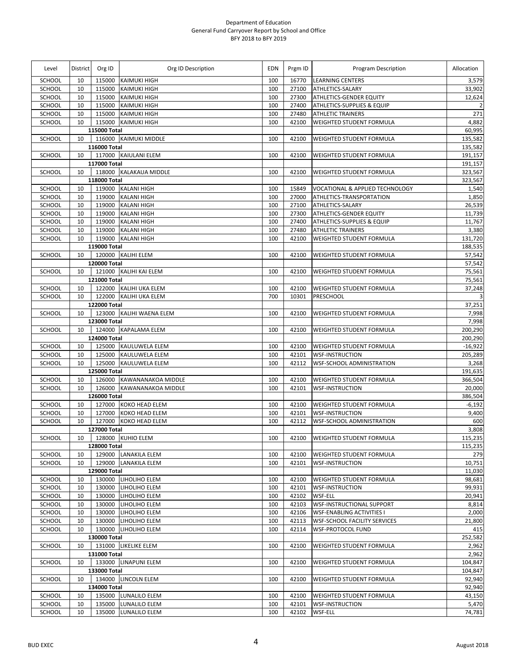| Level         | <b>District</b> | Org ID       | Org ID Description        | <b>EDN</b> | Prgm ID | Program Description                   | Allocation              |
|---------------|-----------------|--------------|---------------------------|------------|---------|---------------------------------------|-------------------------|
| <b>SCHOOL</b> | 10              | 115000       | <b>KAIMUKI HIGH</b>       | 100        | 16770   | <b>LEARNING CENTERS</b>               | 3,579                   |
| SCHOOL        | 10              | 115000       | <b>KAIMUKI HIGH</b>       | 100        | 27100   | ATHLETICS-SALARY                      | 33,902                  |
| SCHOOL        | 10              | 115000       | <b>KAIMUKI HIGH</b>       | 100        | 27300   | ATHLETICS-GENDER EQUITY               | 12,624                  |
| SCHOOL        | 10              | 115000       | <b>KAIMUKI HIGH</b>       | 100        | 27400   | <b>ATHLETICS-SUPPLIES &amp; EQUIP</b> | $\overline{2}$          |
| SCHOOL        | 10              | 115000       | <b>KAIMUKI HIGH</b>       | 100        | 27480   | <b>ATHLETIC TRAINERS</b>              | 271                     |
| SCHOOL        | 10              |              | 115000 KAIMUKI HIGH       | 100        | 42100   | WEIGHTED STUDENT FORMULA              | 4,882                   |
|               |                 | 115000 Total |                           |            |         |                                       | 60,995                  |
| SCHOOL        | 10              |              | 116000 KAIMUKI MIDDLE     | 100        | 42100   | WEIGHTED STUDENT FORMULA              | 135,582                 |
|               |                 | 116000 Total |                           |            |         |                                       | 135,582                 |
| SCHOOL        | 10              |              | 117000 KAIULANI ELEM      | 100        | 42100   | WEIGHTED STUDENT FORMULA              | 191,157                 |
|               |                 | 117000 Total |                           |            |         |                                       | 191,157                 |
| SCHOOL        | 10              |              | 118000 KALAKAUA MIDDLE    | 100        | 42100   | <b>WEIGHTED STUDENT FORMULA</b>       | 323,567                 |
|               |                 | 118000 Total |                           |            |         |                                       | 323,567                 |
| SCHOOL        | 10              |              | 119000 KALANI HIGH        | 100        | 15849   | VOCATIONAL & APPLIED TECHNOLOGY       | 1,540                   |
| SCHOOL        | 10              | 119000       | <b>KALANI HIGH</b>        | 100        | 27000   | ATHLETICS-TRANSPORTATION              | 1,850                   |
| SCHOOL        | 10              | 119000       | <b>KALANI HIGH</b>        | 100        | 27100   | ATHLETICS-SALARY                      | 26,539                  |
| SCHOOL        | 10              | 119000       | <b>KALANI HIGH</b>        | 100        | 27300   | ATHLETICS-GENDER EQUITY               | 11,739                  |
| SCHOOL        | 10              | 119000       | <b>KALANI HIGH</b>        | 100        | 27400   | ATHLETICS-SUPPLIES & EQUIP            | 11,767                  |
| SCHOOL        | 10              | 119000       | <b>KALANI HIGH</b>        | 100        | 27480   | <b>ATHLETIC TRAINERS</b>              | 3,380                   |
| SCHOOL        | 10              |              | 119000 KALANI HIGH        | 100        | 42100   | WEIGHTED STUDENT FORMULA              | 131,720                 |
|               |                 | 119000 Total |                           |            |         |                                       | 188,535                 |
| SCHOOL        | 10              |              | 120000 KALIHI ELEM        | 100        | 42100   | WEIGHTED STUDENT FORMULA              | 57,542                  |
|               |                 | 120000 Total |                           |            |         |                                       | 57,542                  |
| SCHOOL        | 10              |              | 121000 KALIHI KAI ELEM    | 100        | 42100   | WEIGHTED STUDENT FORMULA              | 75,561                  |
|               |                 | 121000 Total |                           |            |         |                                       | 75,561                  |
| SCHOOL        | 10              |              | 122000 KALIHI UKA ELEM    | 100        | 42100   | <b>WEIGHTED STUDENT FORMULA</b>       | 37,248                  |
| SCHOOL        | 10              |              | 122000 KALIHI UKA ELEM    | 700        | 10301   | PRESCHOOL                             | $\overline{\mathbf{3}}$ |
|               |                 | 122000 Total |                           |            |         |                                       | 37,251                  |
| SCHOOL        | 10              |              | 123000 KALIHI WAENA ELEM  | 100        | 42100   | <b>WEIGHTED STUDENT FORMULA</b>       | 7,998                   |
|               |                 | 123000 Total |                           |            |         |                                       | 7,998                   |
| SCHOOL        | 10              |              | 124000 KAPALAMA ELEM      | 100        | 42100   | WEIGHTED STUDENT FORMULA              | 200,290                 |
|               |                 | 124000 Total |                           |            |         |                                       | 200,290                 |
| SCHOOL        | 10              |              | 125000 KAULUWELA ELEM     | 100        | 42100   | <b>WEIGHTED STUDENT FORMULA</b>       | $-16,922$               |
| SCHOOL        | 10              | 125000       | KAULUWELA ELEM            | 100        | 42101   | <b>WSF-INSTRUCTION</b>                | 205,289                 |
| SCHOOL        | 10              |              | 125000 KAULUWELA ELEM     | 100        | 42112   | WSF-SCHOOL ADMINISTRATION             | 3,268                   |
|               |                 | 125000 Total |                           |            |         |                                       | 191,635                 |
| SCHOOL        | 10              |              | 126000 KAWANANAKOA MIDDLE | 100        | 42100   | WEIGHTED STUDENT FORMULA              | 366,504                 |
| SCHOOL        | 10              | 126000       | KAWANANAKOA MIDDLE        | 100        | 42101   | <b>WSF-INSTRUCTION</b>                | 20,000                  |
|               |                 | 126000 Total |                           |            |         |                                       | 386,504                 |
| SCHOOL        | 10              |              | 127000 KOKO HEAD ELEM     | 100        | 42100   | <b>WEIGHTED STUDENT FORMULA</b>       | $-6,192$                |
| SCHOOL        | 10              | 127000       | <b>KOKO HEAD ELEM</b>     | 100        | 42101   | <b>WSF-INSTRUCTION</b>                | 9,400                   |
| SCHOOL        | 10              | 127000       | KOKO HEAD ELEM            | 100        | 42112   | <b>WSF-SCHOOL ADMINISTRATION</b>      | 600                     |
|               |                 |              |                           |            |         |                                       | 3,808                   |
|               | 10              | 127000 Total | 128000 KUHIO ELEM         | 100        |         |                                       |                         |
| SCHOOL        |                 |              |                           |            |         | 42100 WEIGHTED STUDENT FORMULA        | 115,235                 |
|               |                 | 128000 Total |                           |            |         |                                       | 115,235                 |
| SCHOOL        | 10              |              | 129000 LANAKILA ELEM      | 100        | 42100   | <b>WEIGHTED STUDENT FORMULA</b>       | 279                     |
| SCHOOL        | 10              | 129000       | <b>LANAKILA ELEM</b>      | 100        | 42101   | <b>WSF-INSTRUCTION</b>                | 10,751                  |
|               |                 | 129000 Total |                           |            |         |                                       | 11,030                  |
| SCHOOL        | 10              |              | 130000 LIHOLIHO ELEM      | 100        | 42100   | WEIGHTED STUDENT FORMULA              | 98,681                  |
| SCHOOL        | 10              | 130000       | LIHOLIHO ELEM             | 100        | 42101   | <b>WSF-INSTRUCTION</b>                | 99,931                  |
| SCHOOL        | 10              | 130000       | LIHOLIHO ELEM             | 100        | 42102   | <b>WSF-ELL</b>                        | 20,941                  |
| SCHOOL        | 10              | 130000       | LIHOLIHO ELEM             | 100        | 42103   | WSF-INSTRUCTIONAL SUPPORT             | 8,814                   |
| SCHOOL        | 10              | 130000       | LIHOLIHO ELEM             | 100        | 42106   | <b>WSF-ENABLING ACTIVITIES I</b>      | 2,000                   |
| SCHOOL        | 10              | 130000       | LIHOLIHO ELEM             | 100        | 42113   | <b>WSF-SCHOOL FACILITY SERVICES</b>   | 21,800                  |
| SCHOOL        | 10              |              | 130000 LIHOLIHO ELEM      | 100        | 42114   | <b>WSF-PROTOCOL FUND</b>              | 415                     |
|               |                 | 130000 Total |                           |            |         |                                       | 252,582                 |
| SCHOOL        | 10              |              | 131000 LIKELIKE ELEM      | 100        | 42100   | WEIGHTED STUDENT FORMULA              | 2,962                   |
|               |                 | 131000 Total |                           |            |         |                                       | 2,962                   |
| SCHOOL        | 10              |              | 133000 LINAPUNI ELEM      | 100        | 42100   | <b>WEIGHTED STUDENT FORMULA</b>       | 104,847                 |
|               |                 | 133000 Total |                           |            |         |                                       | 104,847                 |
| SCHOOL        | 10              |              | 134000 LINCOLN ELEM       | 100        | 42100   | <b>WEIGHTED STUDENT FORMULA</b>       | 92,940                  |
|               |                 | 134000 Total |                           |            |         |                                       | 92,940                  |
| SCHOOL        | 10              |              | 135000 LUNALILO ELEM      | 100        | 42100   | <b>WEIGHTED STUDENT FORMULA</b>       | 43,150                  |
| SCHOOL        | 10              | 135000       | LUNALILO ELEM             | 100        | 42101   | <b>WSF-INSTRUCTION</b>                | 5,470                   |
| SCHOOL        | 10              | 135000       | LUNALILO ELEM             | 100        | 42102   | WSF-ELL                               | 74,781                  |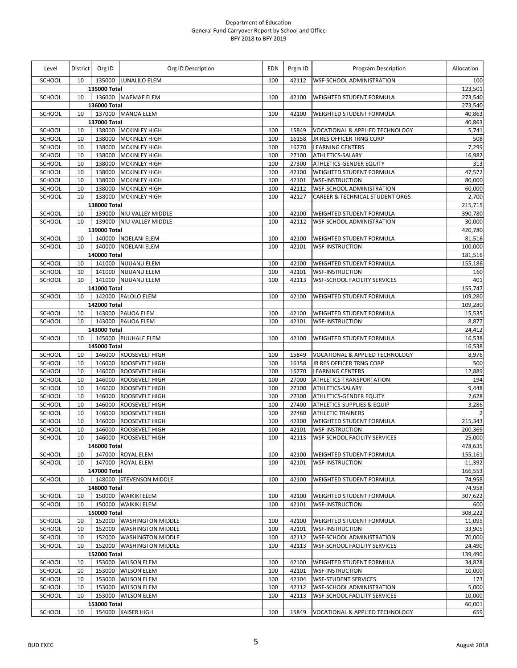| Level            | District                  | Org ID                 | Org ID Description                       | <b>EDN</b> | Prgm ID        | Program Description                                         | Allocation              |
|------------------|---------------------------|------------------------|------------------------------------------|------------|----------------|-------------------------------------------------------------|-------------------------|
| SCHOOL           | 10                        |                        | 135000 LUNALILO ELEM                     | 100        | 42112          | <b>WSF-SCHOOL ADMINISTRATION</b>                            | 100                     |
|                  |                           | 135000 Total           |                                          |            |                |                                                             | 123,501                 |
| SCHOOL           | 10                        |                        | 136000 MAEMAE ELEM                       | 100        | 42100          | WEIGHTED STUDENT FORMULA                                    | 273,540                 |
|                  |                           | 136000 Total           |                                          |            |                |                                                             | 273,540                 |
| SCHOOL           | 10                        |                        | 137000 MANOA ELEM                        | 100        | 42100          | WEIGHTED STUDENT FORMULA                                    | 40,863                  |
| SCHOOL           | 10                        | 137000 Total<br>138000 | <b>MCKINLEY HIGH</b>                     | 100        | 15849          | VOCATIONAL & APPLIED TECHNOLOGY                             | 40,863<br>5,741         |
| SCHOOL           | 10                        | 138000                 | <b>MCKINLEY HIGH</b>                     | 100        | 16158          | JR RES OFFICER TRNG CORP                                    | 508                     |
| SCHOOL           | 10                        | 138000                 | <b>MCKINLEY HIGH</b>                     | 100        | 16770          | <b>LEARNING CENTERS</b>                                     | 7,299                   |
| SCHOOL           | 10                        | 138000                 | <b>MCKINLEY HIGH</b>                     | 100        | 27100          | ATHLETICS-SALARY                                            | 16,982                  |
| SCHOOL           | 10                        | 138000                 | <b>MCKINLEY HIGH</b>                     | 100        | 27300          | <b>ATHLETICS-GENDER EQUITY</b>                              | 313                     |
| SCHOOL           | 10                        | 138000                 | <b>MCKINLEY HIGH</b>                     | 100        | 42100          | WEIGHTED STUDENT FORMULA                                    | 47,572                  |
| SCHOOL           | 10                        | 138000                 | <b>MCKINLEY HIGH</b>                     | 100        | 42101          | <b>WSF-INSTRUCTION</b>                                      | 80,000                  |
| SCHOOL           | 10                        | 138000                 | <b>MCKINLEY HIGH</b>                     | 100        | 42112          | <b>WSF-SCHOOL ADMINISTRATION</b>                            | 60,000                  |
| SCHOOL           | 10                        | 138000                 | <b>MCKINLEY HIGH</b>                     | 100        | 42127          | <b>CAREER &amp; TECHNICAL STUDENT ORGS</b>                  | $-2,700$                |
|                  |                           | 138000 Total           |                                          |            |                |                                                             | 215,715                 |
| SCHOOL           | 10                        |                        | 139000 NIU VALLEY MIDDLE                 | 100        | 42100          | <b>WEIGHTED STUDENT FORMULA</b>                             | 390,780                 |
| SCHOOL           | 10                        |                        | 139000 NIU VALLEY MIDDLE                 | 100        | 42112          | <b>WSF-SCHOOL ADMINISTRATION</b>                            | 30,000                  |
|                  |                           | 139000 Total           |                                          |            |                |                                                             | 420,780                 |
| SCHOOL           | 10                        |                        | 140000 NOELANI ELEM                      | 100        | 42100          | <b>WEIGHTED STUDENT FORMULA</b>                             | 81,516                  |
| SCHOOL           | 10                        | 140000                 | <b>NOELANI ELEM</b>                      | 100        | 42101          | <b>WSF-INSTRUCTION</b>                                      | 100,000                 |
|                  |                           | 140000 Total           |                                          |            |                |                                                             | 181,516                 |
| SCHOOL<br>SCHOOL | 10<br>10                  | 141000                 | 141000 NUUANU ELEM<br><b>NUUANU ELEM</b> | 100<br>100 | 42100<br>42101 | <b>WEIGHTED STUDENT FORMULA</b><br><b>WSF-INSTRUCTION</b>   | 155,186<br>160          |
| SCHOOL           | 10                        |                        | 141000 NUUANU ELEM                       | 100        | 42113          | <b>WSF-SCHOOL FACILITY SERVICES</b>                         | 401                     |
|                  |                           | 141000 Total           |                                          |            |                |                                                             | 155,747                 |
| SCHOOL           | 10                        |                        | 142000 PALOLO ELEM                       | 100        | 42100          | WEIGHTED STUDENT FORMULA                                    | 109,280                 |
|                  |                           | 142000 Total           |                                          |            |                |                                                             | 109,280                 |
| SCHOOL           | 10                        |                        | 143000 PAUOA ELEM                        | 100        | 42100          | <b>WEIGHTED STUDENT FORMULA</b>                             | 15,535                  |
| SCHOOL           | 10                        |                        | 143000 PAUOA ELEM                        | 100        | 42101          | <b>WSF-INSTRUCTION</b>                                      | 8,877                   |
|                  |                           | 143000 Total           |                                          |            |                |                                                             | 24,412                  |
| <b>SCHOOL</b>    | 145000 PUUHALE ELEM<br>10 |                        |                                          |            | 42100          | <b>WEIGHTED STUDENT FORMULA</b>                             | 16,538                  |
|                  |                           | 145000 Total           |                                          |            |                |                                                             | 16,538                  |
| SCHOOL           | 10                        | 146000                 | <b>ROOSEVELT HIGH</b>                    | 100        | 15849          | VOCATIONAL & APPLIED TECHNOLOGY                             | 8,976                   |
| SCHOOL           | 10                        | 146000                 | ROOSEVELT HIGH                           | 100        | 16158          | JR RES OFFICER TRNG CORP                                    | 500                     |
| SCHOOL           | 10                        | 146000                 | ROOSEVELT HIGH                           | 100        | 16770          | LEARNING CENTERS                                            | 12,889                  |
| SCHOOL           | 10                        | 146000                 | ROOSEVELT HIGH                           | 100        | 27000          | ATHLETICS-TRANSPORTATION                                    | 194                     |
| SCHOOL           | 10                        | 146000                 | ROOSEVELT HIGH                           | 100        | 27100          | ATHLETICS-SALARY                                            | 9,448                   |
| SCHOOL           | 10                        | 146000                 | ROOSEVELT HIGH                           | 100        | 27300          | <b>ATHLETICS-GENDER EQUITY</b>                              | 2,628                   |
| SCHOOL<br>SCHOOL | 10<br>10                  | 146000<br>146000       | ROOSEVELT HIGH                           | 100        | 27400<br>27480 | ATHLETICS-SUPPLIES & EQUIP                                  | 3,286<br>$\overline{2}$ |
| SCHOOL           | 10                        | 146000                 | <b>ROOSEVELT HIGH</b><br>ROOSEVELT HIGH  | 100<br>100 | 42100          | <b>ATHLETIC TRAINERS</b><br><b>WEIGHTED STUDENT FORMULA</b> | 215,343                 |
| SCHOOL           | 10                        | 146000                 | ROOSEVELT HIGH                           | 100        | 42101          | <b>WSF-INSTRUCTION</b>                                      | 200,369                 |
| SCHOOL           | 10                        | 146000                 | <b>ROOSEVELT HIGH</b>                    | 100        | 42113          | <b>WSF-SCHOOL FACILITY SERVICES</b>                         | 25,000                  |
|                  |                           | 146000 Total           |                                          |            |                |                                                             | 478,635                 |
| SCHOOL           | 10                        |                        | 147000 ROYAL ELEM                        | 100        | 42100          | <b>WEIGHTED STUDENT FORMULA</b>                             | 155,161                 |
| SCHOOL           | 10                        |                        | 147000 ROYAL ELEM                        | 100        | 42101          | <b>WSF-INSTRUCTION</b>                                      | 11,392                  |
|                  |                           | 147000 Total           |                                          |            |                |                                                             | 166,553                 |
| SCHOOL           | 10                        |                        | 148000 STEVENSON MIDDLE                  | 100        | 42100          | <b>WEIGHTED STUDENT FORMULA</b>                             | 74,958                  |
|                  |                           | 148000 Total           |                                          |            |                |                                                             | 74,958                  |
| SCHOOL           | 10                        |                        | 150000 WAIKIKI ELEM                      | 100        | 42100          | <b>WEIGHTED STUDENT FORMULA</b>                             | 307,622                 |
| SCHOOL           | 10                        | 150000                 | <b>WAIKIKI ELEM</b>                      | 100        | 42101          | <b>WSF-INSTRUCTION</b>                                      | 600                     |
|                  |                           | 150000 Total           |                                          |            |                |                                                             | 308,222                 |
| SCHOOL           | 10                        |                        | 152000 WASHINGTON MIDDLE                 | 100        | 42100          | <b>WEIGHTED STUDENT FORMULA</b>                             | 11,095                  |
| SCHOOL           | 10                        | 152000                 | <b>WASHINGTON MIDDLE</b>                 | 100        | 42101          | <b>WSF-INSTRUCTION</b>                                      | 33,905                  |
| SCHOOL           | 10                        | 152000                 | <b>WASHINGTON MIDDLE</b>                 | 100        | 42112          | <b>WSF-SCHOOL ADMINISTRATION</b>                            | 70,000                  |
| SCHOOL           | 10                        | 152000                 | <b>WASHINGTON MIDDLE</b>                 | 100        | 42113          | <b>WSF-SCHOOL FACILITY SERVICES</b>                         | 24,490                  |
|                  |                           | 152000 Total           |                                          |            |                |                                                             | 139,490                 |
| SCHOOL<br>SCHOOL | 10<br>10                  | 153000                 | 153000 WILSON ELEM<br><b>WILSON ELEM</b> | 100<br>100 | 42100<br>42101 | <b>WEIGHTED STUDENT FORMULA</b><br><b>WSF-INSTRUCTION</b>   | 34,828<br>10,000        |
| SCHOOL           | 10                        | 153000                 | <b>WILSON ELEM</b>                       | 100        | 42104          | <b>WSF-STUDENT SERVICES</b>                                 | 173                     |
| SCHOOL           | 10                        | 153000                 | <b>WILSON ELEM</b>                       | 100        | 42112          | <b>WSF-SCHOOL ADMINISTRATION</b>                            | 5,000                   |
| SCHOOL           | 10                        | 153000                 | <b>WILSON ELEM</b>                       | 100        | 42113          | <b>WSF-SCHOOL FACILITY SERVICES</b>                         | 10,000                  |
|                  |                           | 153000 Total           |                                          |            |                |                                                             | 60,001                  |
| <b>SCHOOL</b>    | 10                        |                        | 154000 KAISER HIGH                       | 100        | 15849          | VOCATIONAL & APPLIED TECHNOLOGY                             | 659                     |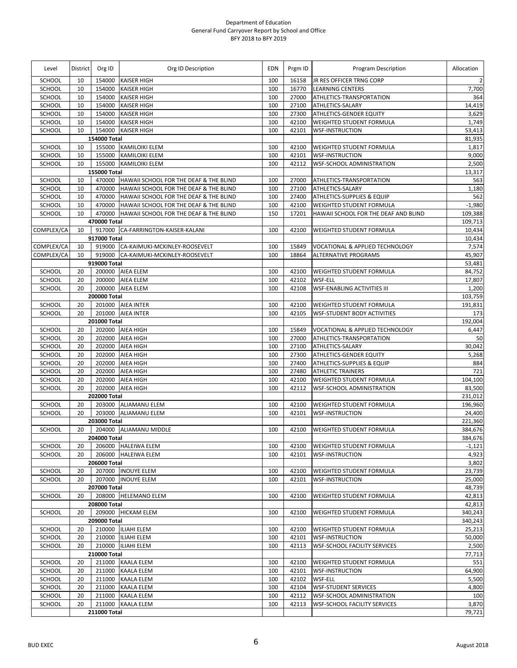| Level            | District | Org ID       | Org ID Description                            | EDN        | Prgm ID        | Program Description                                                     | Allocation         |
|------------------|----------|--------------|-----------------------------------------------|------------|----------------|-------------------------------------------------------------------------|--------------------|
| <b>SCHOOL</b>    | 10       | 154000       | <b>KAISER HIGH</b>                            | 100        | 16158          | JR RES OFFICER TRNG CORP                                                | $\overline{2}$     |
| SCHOOL           | 10       | 154000       | <b>KAISER HIGH</b>                            | 100        | 16770          | <b>LEARNING CENTERS</b>                                                 | 7,700              |
| SCHOOL           | 10       | 154000       | <b>KAISER HIGH</b>                            | 100        | 27000          | ATHLETICS-TRANSPORTATION                                                | 364                |
| SCHOOL           | 10       | 154000       | <b>KAISER HIGH</b>                            | 100        | 27100          | ATHLETICS-SALARY                                                        | 14,419             |
| SCHOOL           | 10       | 154000       | <b>KAISER HIGH</b>                            | 100        | 27300          | ATHLETICS-GENDER EQUITY                                                 | 3,629              |
| SCHOOL           | 10       | 154000       | <b>KAISER HIGH</b>                            | 100        | 42100          | WEIGHTED STUDENT FORMULA                                                | 1,749              |
| SCHOOL           | 10       | 154000       | <b>KAISER HIGH</b>                            | 100        | 42101          | <b>WSF-INSTRUCTION</b>                                                  | 53,413             |
|                  |          | 154000 Total |                                               |            |                |                                                                         | 81,935             |
| SCHOOL           | 10       | 155000       | <b>KAMILOIKI ELEM</b>                         | 100        | 42100          | <b>WEIGHTED STUDENT FORMULA</b>                                         | 1,817              |
| SCHOOL           | 10       | 155000       | <b>KAMILOIKI ELEM</b>                         | 100        | 42101          | <b>WSF-INSTRUCTION</b>                                                  | 9,000              |
| SCHOOL           | 10       | 155000       | <b>KAMILOIKI ELEM</b>                         | 100        | 42112          | WSF-SCHOOL ADMINISTRATION                                               | 2,500              |
|                  |          | 155000 Total | 470000 HAWAII SCHOOL FOR THE DEAF & THE BLIND | 100        | 27000          |                                                                         | 13,317             |
| SCHOOL<br>SCHOOL | 10<br>10 | 470000       | HAWAII SCHOOL FOR THE DEAF & THE BLIND        | 100        | 27100          | ATHLETICS-TRANSPORTATION<br>ATHLETICS-SALARY                            | 563<br>1,180       |
| SCHOOL           | 10       | 470000       | HAWAII SCHOOL FOR THE DEAF & THE BLIND        | 100        | 27400          | ATHLETICS-SUPPLIES & EQUIP                                              | 562                |
| SCHOOL           | 10       | 470000       | HAWAII SCHOOL FOR THE DEAF & THE BLIND        | 100        | 42100          | WEIGHTED STUDENT FORMULA                                                | $-1,980$           |
| SCHOOL           | 10       | 470000       | HAWAII SCHOOL FOR THE DEAF & THE BLIND        | 150        | 17201          | HAWAII SCHOOL FOR THE DEAF AND BLIND                                    | 109,388            |
|                  |          | 470000 Total |                                               |            |                |                                                                         | 109,713            |
| COMPLEX/CA       | 10       |              | 917000 CA-FARRINGTON-KAISER-KALANI            | 100        | 42100          | WEIGHTED STUDENT FORMULA                                                | 10,434             |
|                  |          | 917000 Total |                                               |            |                |                                                                         | 10,434             |
| COMPLEX/CA       | 10       |              | 919000 CA-KAIMUKI-MCKINLEY-ROOSEVELT          | 100        | 15849          | VOCATIONAL & APPLIED TECHNOLOGY                                         | 7,574              |
| COMPLEX/CA       | 10       | 919000       | CA-KAIMUKI-MCKINLEY-ROOSEVELT                 | 100        | 18864          | <b>ALTERNATIVE PROGRAMS</b>                                             | 45,907             |
|                  |          | 919000 Total |                                               |            |                |                                                                         | 53,481             |
| SCHOOL           | 20       |              | 200000 AIEA ELEM                              | 100        | 42100          | WEIGHTED STUDENT FORMULA                                                | 84,752             |
| SCHOOL           | 20       | 200000       | AIEA ELEM                                     | 100        | 42102          | <b>WSF-ELL</b>                                                          | 17,807             |
| SCHOOL           | 20       |              | 200000 AIEA ELEM                              | 100        | 42108          | <b>WSF-ENABLING ACTIVITIES III</b>                                      | 1,200              |
|                  |          | 200000 Total |                                               |            |                |                                                                         | 103,759            |
| SCHOOL           | 20       | 201000       | <b>AIEA INTER</b>                             | 100        | 42100          | <b>WEIGHTED STUDENT FORMULA</b>                                         | 191,831            |
| SCHOOL           | 20       |              | 201000 AIEA INTER                             | 100        | 42105          | <b>WSF-STUDENT BODY ACTIVITIES</b>                                      | 173                |
|                  |          | 201000 Total |                                               |            |                |                                                                         | 192,004            |
| SCHOOL           | 20       | 202000       | <b>AIEA HIGH</b>                              | 100        | 15849          | VOCATIONAL & APPLIED TECHNOLOGY                                         | 6,447              |
| SCHOOL           | 20       | 202000       | AIEA HIGH                                     | 100        | 27000          | ATHLETICS-TRANSPORTATION                                                | 50                 |
| SCHOOL           | 20       | 202000       | AIEA HIGH                                     | 100        | 27100          | ATHLETICS-SALARY                                                        | 30,042             |
| SCHOOL           | 20       | 202000       | AIEA HIGH                                     | 100        | 27300          | ATHLETICS-GENDER EQUITY                                                 | 5,268              |
| SCHOOL           | 20       | 202000       | <b>AIEA HIGH</b>                              | 100        | 27400          | <b>ATHLETICS-SUPPLIES &amp; EQUIP</b>                                   | 884                |
| SCHOOL           | 20       | 202000       | AIEA HIGH                                     | 100        | 27480          | <b>ATHLETIC TRAINERS</b>                                                | 721                |
| SCHOOL           | 20       | 202000       | AIEA HIGH                                     | 100        | 42100          | WEIGHTED STUDENT FORMULA                                                | 104,100            |
| SCHOOL           | 20       | 202000       | <b>AIEA HIGH</b>                              | 100        | 42112          | WSF-SCHOOL ADMINISTRATION                                               | 83,500             |
|                  |          | 202000 Total |                                               |            |                |                                                                         | 231,012            |
| SCHOOL<br>SCHOOL | 20<br>20 |              | 203000 ALIAMANU ELEM<br>203000 ALIAMANU ELEM  | 100<br>100 | 42100<br>42101 | <b>WEIGHTED STUDENT FORMULA</b><br><b>WSF-INSTRUCTION</b>               | 196,960<br>24,400  |
|                  |          | 203000 Total |                                               |            |                |                                                                         |                    |
| SCHOOL           | 20       |              | 204000 ALIAMANU MIDDLE                        | 100        | 42100          | <b>WEIGHTED STUDENT FORMULA</b>                                         | 221,360<br>384,676 |
|                  |          | 204000 Total |                                               |            |                |                                                                         | 384,676            |
| SCHOOL           | 20       |              | 206000 HALEIWA ELEM                           | 100        | 42100          | <b>WEIGHTED STUDENT FORMULA</b>                                         | $-1,121$           |
| SCHOOL           | 20       |              | 206000 HALEIWA ELEM                           | 100        | 42101          | <b>WSF-INSTRUCTION</b>                                                  | 4,923              |
|                  |          | 206000 Total |                                               |            |                |                                                                         | 3,802              |
| SCHOOL           | 20       |              | 207000 INOUYE ELEM                            | 100        | 42100          | <b>WEIGHTED STUDENT FORMULA</b>                                         | 23,739             |
| SCHOOL           | 20       |              | 207000 INOUYE ELEM                            | 100        | 42101          | <b>WSF-INSTRUCTION</b>                                                  | 25,000             |
|                  |          | 207000 Total |                                               |            |                |                                                                         | 48,739             |
| SCHOOL           | 20       |              | 208000 HELEMANO ELEM                          | 100        | 42100          | <b>WEIGHTED STUDENT FORMULA</b>                                         | 42,813             |
|                  |          | 208000 Total |                                               |            |                |                                                                         | 42,813             |
| SCHOOL           | 20       |              | 209000 HICKAM ELEM                            | 100        | 42100          | <b>WEIGHTED STUDENT FORMULA</b>                                         | 340,243            |
|                  |          | 209000 Total |                                               |            |                |                                                                         | 340,243            |
| SCHOOL           | 20       |              | 210000 ILIAHI ELEM                            | 100        | 42100          | WEIGHTED STUDENT FORMULA                                                | 25,213             |
| SCHOOL           | 20       |              | 210000 ILIAHI ELEM                            | 100        | 42101          | <b>WSF-INSTRUCTION</b>                                                  | 50,000             |
| SCHOOL           | 20       |              | 210000 ILIAHI ELEM                            | 100        | 42113          | <b>WSF-SCHOOL FACILITY SERVICES</b>                                     | 2,500              |
|                  |          | 210000 Total |                                               |            |                |                                                                         | 77,713             |
| SCHOOL           | 20       |              | 211000 KAALA ELEM                             | 100        | 42100          | <b>WEIGHTED STUDENT FORMULA</b>                                         | 551                |
| SCHOOL           | 20       |              | 211000 KAALA ELEM                             | 100        | 42101          | <b>WSF-INSTRUCTION</b>                                                  | 64,900             |
| SCHOOL           | 20       | 211000       | <b>KAALA ELEM</b>                             | 100        | 42102          | WSF-ELL                                                                 | 5,500              |
| SCHOOL           | 20       | 211000       | <b>KAALA ELEM</b>                             | 100        | 42104          | <b>WSF-STUDENT SERVICES</b>                                             | 4,800              |
| SCHOOL<br>SCHOOL | 20<br>20 | 211000       | 211000 KAALA ELEM<br><b>KAALA ELEM</b>        | 100<br>100 | 42112<br>42113 | <b>WSF-SCHOOL ADMINISTRATION</b><br><b>WSF-SCHOOL FACILITY SERVICES</b> | 100<br>3,870       |
|                  |          | 211000 Total |                                               |            |                |                                                                         | 79,721             |
|                  |          |              |                                               |            |                |                                                                         |                    |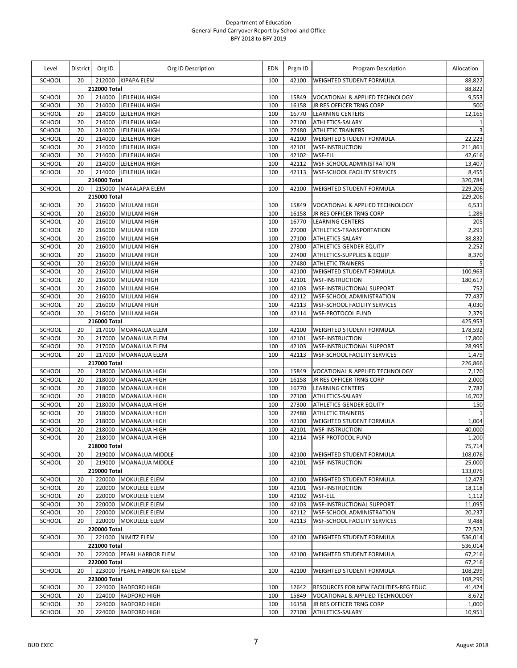| Level            | District | Org ID           | Org ID Description                           | EDN        | Prgm ID        | Program Description                                         | Allocation             |
|------------------|----------|------------------|----------------------------------------------|------------|----------------|-------------------------------------------------------------|------------------------|
| <b>SCHOOL</b>    | 20       |                  | 212000 KIPAPA ELEM                           | 100        | 42100          | <b>WEIGHTED STUDENT FORMULA</b>                             | 88,822                 |
|                  |          | 212000 Total     |                                              |            |                |                                                             | 88,822                 |
| SCHOOL           | 20       |                  | 214000 LEILEHUA HIGH                         | 100        | 15849          | VOCATIONAL & APPLIED TECHNOLOGY                             | 9,553                  |
| <b>SCHOOL</b>    | 20       | 214000           | LEILEHUA HIGH                                | 100        | 16158          | JR RES OFFICER TRNG CORP                                    | 500                    |
| SCHOOL<br>SCHOOL | 20<br>20 | 214000<br>214000 | LEILEHUA HIGH<br>LEILEHUA HIGH               | 100<br>100 | 16770<br>27100 | <b>LEARNING CENTERS</b><br>ATHLETICS-SALARY                 | 12,165<br>$\mathbf{1}$ |
| SCHOOL           | 20       | 214000           | LEILEHUA HIGH                                | 100        | 27480          | <b>ATHLETIC TRAINERS</b>                                    | $\overline{3}$         |
| SCHOOL           | 20       | 214000           | LEILEHUA HIGH                                | 100        | 42100          | WEIGHTED STUDENT FORMULA                                    | 22,223                 |
| SCHOOL           | 20       | 214000           | LEILEHUA HIGH                                | 100        | 42101          | <b>WSF-INSTRUCTION</b>                                      | 211,861                |
| SCHOOL           | 20       | 214000           | LEILEHUA HIGH                                | 100        | 42102          | WSF-ELL                                                     | 42,616                 |
| <b>SCHOOL</b>    | 20       | 214000           | LEILEHUA HIGH                                | 100        | 42112          | <b>WSF-SCHOOL ADMINISTRATION</b>                            | 13,407                 |
| SCHOOL           | 20       | 214000           | <b>LEILEHUA HIGH</b>                         | 100        | 42113          | WSF-SCHOOL FACILITY SERVICES                                | 8,455                  |
|                  |          | 214000 Total     |                                              |            |                |                                                             | 320,784                |
| SCHOOL           | 20       |                  | 215000 MAKALAPA ELEM                         | 100        | 42100          | WEIGHTED STUDENT FORMULA                                    | 229,206                |
|                  |          | 215000 Total     |                                              |            |                |                                                             | 229,206                |
| SCHOOL           | 20       | 216000           | <b>MILILANI HIGH</b>                         | 100        | 15849          | VOCATIONAL & APPLIED TECHNOLOGY                             | 6,531                  |
| SCHOOL           | 20       | 216000           | <b>MILILANI HIGH</b>                         | 100        | 16158          | JR RES OFFICER TRNG CORP                                    | 1,289                  |
| SCHOOL           | 20       | 216000           | <b>MILILANI HIGH</b>                         | 100        | 16770          | <b>LEARNING CENTERS</b>                                     | 205                    |
| SCHOOL           | 20       | 216000           | <b>MILILANI HIGH</b>                         | 100        | 27000          | ATHLETICS-TRANSPORTATION                                    | 2,291                  |
| SCHOOL           | 20       | 216000           | <b>MILILANI HIGH</b>                         | 100        | 27100          | ATHLETICS-SALARY                                            | 38,832                 |
| SCHOOL           | 20       | 216000           | <b>MILILANI HIGH</b>                         | 100        | 27300          | <b>ATHLETICS-GENDER EQUITY</b>                              | 2,252                  |
| SCHOOL           | 20       | 216000           | <b>MILILANI HIGH</b>                         | 100<br>100 | 27400          | ATHLETICS-SUPPLIES & EQUIP                                  | 8,370<br>5             |
| SCHOOL<br>SCHOOL | 20<br>20 | 216000<br>216000 | <b>MILILANI HIGH</b><br><b>MILILANI HIGH</b> | 100        | 27480<br>42100 | <b>ATHLETIC TRAINERS</b><br>WEIGHTED STUDENT FORMULA        | 100,963                |
| <b>SCHOOL</b>    | 20       | 216000           | <b>MILILANI HIGH</b>                         | 100        | 42101          | <b>WSF-INSTRUCTION</b>                                      | 180,617                |
| SCHOOL           | 20       | 216000           | <b>MILILANI HIGH</b>                         | 100        | 42103          | <b>WSF-INSTRUCTIONAL SUPPORT</b>                            | 752                    |
| SCHOOL           | 20       | 216000           | <b>MILILANI HIGH</b>                         | 100        | 42112          | WSF-SCHOOL ADMINISTRATION                                   | 77,437                 |
| SCHOOL           | 20       | 216000           | <b>MILILANI HIGH</b>                         | 100        | 42113          | <b>WSF-SCHOOL FACILITY SERVICES</b>                         | 4,030                  |
| SCHOOL           | 20       | 216000           | <b>MILILANI HIGH</b>                         | 100        | 42114          | <b>WSF-PROTOCOL FUND</b>                                    | 2,379                  |
|                  |          | 216000 Total     |                                              |            |                |                                                             | 425,953                |
| SCHOOL           | 20       |                  | 217000 MOANALUA ELEM                         | 100        | 42100          | <b>WEIGHTED STUDENT FORMULA</b>                             | 178,592                |
| SCHOOL           | 20       | 217000           | <b>MOANALUA ELEM</b>                         | 100        | 42101          | <b>WSF-INSTRUCTION</b>                                      | 17,800                 |
| SCHOOL           | 20       | 217000           | <b>MOANALUA ELEM</b>                         | 100        | 42103          | <b>WSF-INSTRUCTIONAL SUPPORT</b>                            | 28,995                 |
| SCHOOL           | 20       | 217000           | MOANALUA ELEM                                | 100        | 42113          | <b>WSF-SCHOOL FACILITY SERVICES</b>                         | 1,479                  |
|                  |          | 217000 Total     |                                              |            |                |                                                             | 226,866                |
| SCHOOL           | 20       | 218000           | <b>MOANALUA HIGH</b>                         | 100        | 15849          | VOCATIONAL & APPLIED TECHNOLOGY                             | 7,170                  |
| SCHOOL           | 20       | 218000           | MOANALUA HIGH                                | 100        | 16158          | JR RES OFFICER TRNG CORP                                    | 2,000                  |
| SCHOOL           | 20       | 218000           | MOANALUA HIGH                                | 100        | 16770          | <b>LEARNING CENTERS</b>                                     | 7,782                  |
| SCHOOL           | 20       | 218000           | MOANALUA HIGH                                | 100        | 27100          | ATHLETICS-SALARY                                            | 16,707                 |
| SCHOOL<br>SCHOOL | 20       | 218000           | MOANALUA HIGH                                | 100        | 27300          | ATHLETICS-GENDER EQUITY                                     | $-150$                 |
| SCHOOL           | 20<br>20 | 218000<br>218000 | <b>MOANALUA HIGH</b>                         | 100<br>100 | 27480<br>42100 | <b>ATHLETIC TRAINERS</b><br><b>WEIGHTED STUDENT FORMULA</b> | 1<br>1,004             |
| <b>SCHOOL</b>    | 20       | 218000           | MOANALUA HIGH<br><b>MOANALUA HIGH</b>        | 100        | 42101          | <b>WSF-INSTRUCTION</b>                                      | 40,000                 |
| SCHOOL           | 20       | 218000           | MOANALUA HIGH                                | 100        | 42114          | <b>WSF-PROTOCOL FUND</b>                                    | 1,200                  |
|                  |          | 218000 Total     |                                              |            |                |                                                             | 75,714                 |
| SCHOOL           | 20       |                  | 219000 MOANALUA MIDDLE                       | 100        | 42100          | <b>WEIGHTED STUDENT FORMULA</b>                             | 108,076                |
| SCHOOL           | 20       | 219000           | MOANALUA MIDDLE                              | 100        | 42101          | <b>WSF-INSTRUCTION</b>                                      | 25,000                 |
|                  |          | 219000 Total     |                                              |            |                |                                                             | 133,076                |
| SCHOOL           | 20       |                  | 220000 MOKULELE ELEM                         | 100        | 42100          | WEIGHTED STUDENT FORMULA                                    | 12,473                 |
| SCHOOL           | 20       | 220000           | <b>MOKULELE ELEM</b>                         | 100        | 42101          | <b>WSF-INSTRUCTION</b>                                      | 18,118                 |
| SCHOOL           | 20       | 220000           | <b>MOKULELE ELEM</b>                         | 100        | 42102          | WSF-ELL                                                     | 1,112                  |
| SCHOOL           | 20       | 220000           | <b>MOKULELE ELEM</b>                         | 100        | 42103          | <b>WSF-INSTRUCTIONAL SUPPORT</b>                            | 11,095                 |
| SCHOOL           | 20       | 220000           | <b>MOKULELE ELEM</b>                         | 100        | 42112          | <b>WSF-SCHOOL ADMINISTRATION</b>                            | 20,237                 |
| SCHOOL           | 20       |                  | 220000 MOKULELE ELEM                         | 100        | 42113          | <b>WSF-SCHOOL FACILITY SERVICES</b>                         | 9,488                  |
|                  |          | 220000 Total     |                                              |            |                |                                                             | 72,523                 |
| SCHOOL           | 20       |                  | 221000 NIMITZ ELEM                           | 100        | 42100          | WEIGHTED STUDENT FORMULA                                    | 536,014                |
|                  |          | 221000 Total     |                                              |            |                |                                                             | 536,014                |
| SCHOOL           | 20       |                  | 222000 PEARL HARBOR ELEM                     | 100        | 42100          | WEIGHTED STUDENT FORMULA                                    | 67,216                 |
|                  |          | 222000 Total     |                                              |            |                |                                                             | 67,216                 |
| SCHOOL           | 20       |                  | 223000 PEARL HARBOR KAI ELEM                 | 100        | 42100          | <b>WEIGHTED STUDENT FORMULA</b>                             | 108,299                |
| SCHOOL           | 20       | 223000 Total     | 224000 RADFORD HIGH                          | 100        |                | <b>RESOURCES FOR NEW FACILITIES-REG EDUC</b>                | 108,299                |
| SCHOOL           | 20       | 224000           | <b>RADFORD HIGH</b>                          | 100        | 12642<br>15849 | VOCATIONAL & APPLIED TECHNOLOGY                             | 41,424<br>8,672        |
| SCHOOL           | 20       | 224000           | <b>RADFORD HIGH</b>                          | 100        | 16158          | JR RES OFFICER TRNG CORP                                    | 1,000                  |
| SCHOOL           | 20       | 224000           | <b>RADFORD HIGH</b>                          | 100        | 27100          | ATHLETICS-SALARY                                            | 10,951                 |
|                  |          |                  |                                              |            |                |                                                             |                        |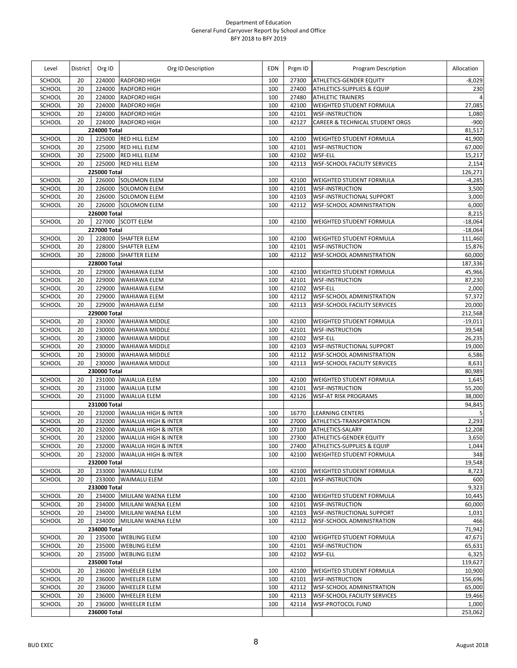| Level            | District | Org ID                 | Org ID Description                    | EDN        | Prgm ID        | Program Description                                                     | Allocation        |
|------------------|----------|------------------------|---------------------------------------|------------|----------------|-------------------------------------------------------------------------|-------------------|
| SCHOOL           | 20       | 224000                 | <b>RADFORD HIGH</b>                   | 100        | 27300          | <b>ATHLETICS-GENDER EQUITY</b>                                          | -8,029            |
| SCHOOL           | 20       | 224000                 | <b>RADFORD HIGH</b>                   | 100        | 27400          | <b>ATHLETICS-SUPPLIES &amp; EQUIP</b>                                   | 230               |
| SCHOOL           | 20       | 224000                 | <b>RADFORD HIGH</b>                   | 100        | 27480          | <b>ATHLETIC TRAINERS</b>                                                | $\overline{a}$    |
| SCHOOL           | 20       | 224000                 | <b>RADFORD HIGH</b>                   | 100        | 42100          | WEIGHTED STUDENT FORMULA                                                | 27,085            |
| SCHOOL           | 20       | 224000                 | <b>RADFORD HIGH</b>                   | 100        | 42101          | <b>WSF-INSTRUCTION</b>                                                  | 1,080             |
| SCHOOL           | 20       | 224000                 | <b>RADFORD HIGH</b>                   | 100        | 42127          | <b>CAREER &amp; TECHNICAL STUDENT ORGS</b>                              | $-900$            |
|                  |          | 224000 Total           |                                       |            |                |                                                                         | 81,517            |
| SCHOOL           | 20       | 225000                 | <b>RED HILL ELEM</b>                  | 100        | 42100          | WEIGHTED STUDENT FORMULA                                                | 41,900            |
| SCHOOL<br>SCHOOL | 20<br>20 | 225000                 | RED HILL ELEM<br>225000 RED HILL ELEM | 100<br>100 | 42101<br>42102 | <b>WSF-INSTRUCTION</b><br><b>WSF-ELL</b>                                | 67,000<br>15,217  |
| <b>SCHOOL</b>    | 20       | 225000                 | RED HILL ELEM                         | 100        | 42113          | <b>WSF-SCHOOL FACILITY SERVICES</b>                                     | 2,154             |
|                  |          | 225000 Total           |                                       |            |                |                                                                         | 126,271           |
| SCHOOL           | 20       |                        | 226000 SOLOMON ELEM                   | 100        | 42100          | <b>WEIGHTED STUDENT FORMULA</b>                                         | $-4,285$          |
| SCHOOL           | 20       | 226000                 | <b>SOLOMON ELEM</b>                   | 100        | 42101          | <b>WSF-INSTRUCTION</b>                                                  | 3,500             |
| SCHOOL           | 20       | 226000                 | <b>SOLOMON ELEM</b>                   | 100        | 42103          | <b>WSF-INSTRUCTIONAL SUPPORT</b>                                        | 3,000             |
| SCHOOL           | 20       | 226000                 | <b>SOLOMON ELEM</b>                   | 100        | 42112          | WSF-SCHOOL ADMINISTRATION                                               | 6,000             |
|                  |          | 226000 Total           |                                       |            |                |                                                                         | 8,215             |
| SCHOOL           | 20       |                        | 227000 SCOTT ELEM                     | 100        | 42100          | WEIGHTED STUDENT FORMULA                                                | $-18,064$         |
|                  |          | 227000 Total           |                                       |            |                |                                                                         | $-18,064$         |
| SCHOOL           | 20       |                        | 228000 SHAFTER ELEM                   | 100        | 42100          | <b>WEIGHTED STUDENT FORMULA</b>                                         | 111,460           |
| SCHOOL           | 20       |                        | 228000 SHAFTER ELEM                   | 100        | 42101          | <b>WSF-INSTRUCTION</b>                                                  | 15,876            |
| SCHOOL           | 20       |                        | 228000 SHAFTER ELEM                   | 100        | 42112          | WSF-SCHOOL ADMINISTRATION                                               | 60,000            |
|                  |          | 228000 Total           |                                       |            |                |                                                                         | 187,336           |
| SCHOOL           | 20       |                        | 229000 WAHIAWA ELEM                   | 100        | 42100          | <b>WEIGHTED STUDENT FORMULA</b>                                         | 45,966            |
| SCHOOL           | 20       | 229000                 | <b>WAHIAWA ELEM</b>                   | 100        | 42101          | <b>WSF-INSTRUCTION</b>                                                  | 87,230            |
| SCHOOL           | 20       | 229000                 | <b>WAHIAWA ELEM</b>                   | 100        | 42102          | <b>WSF-ELL</b>                                                          | 2,000             |
| SCHOOL           | 20       | 229000                 | <b>WAHIAWA ELEM</b>                   | 100        | 42112          | <b>WSF-SCHOOL ADMINISTRATION</b><br><b>WSF-SCHOOL FACILITY SERVICES</b> | 57,372            |
| SCHOOL           | 20       | 229000<br>229000 Total | <b>WAHIAWA ELEM</b>                   | 100        | 42113          |                                                                         | 20,000<br>212,568 |
| SCHOOL           | 20       | 230000                 | WAHIAWA MIDDLE                        | 100        | 42100          | <b>WEIGHTED STUDENT FORMULA</b>                                         | $-19,011$         |
| SCHOOL           | 20       | 230000                 | <b>WAHIAWA MIDDLE</b>                 | 100        | 42101          | <b>WSF-INSTRUCTION</b>                                                  | 39,548            |
| SCHOOL           | 20       | 230000                 | <b>WAHIAWA MIDDLE</b>                 | 100        | 42102          | <b>WSF-ELL</b>                                                          | 26,235            |
| SCHOOL           | 20       | 230000                 | WAHIAWA MIDDLE                        | 100        | 42103          | <b>WSF-INSTRUCTIONAL SUPPORT</b>                                        | 19,000            |
| SCHOOL           | 20       | 230000                 | <b>WAHIAWA MIDDLE</b>                 | 100        | 42112          | <b>WSF-SCHOOL ADMINISTRATION</b>                                        | 6,586             |
| SCHOOL           | 20       | 230000                 | <b>WAHIAWA MIDDLE</b>                 | 100        | 42113          | <b>WSF-SCHOOL FACILITY SERVICES</b>                                     | 8,631             |
|                  |          | 230000 Total           |                                       |            |                |                                                                         | 80,989            |
| SCHOOL           | 20       | 231000                 | <b>WAIALUA ELEM</b>                   | 100        | 42100          | <b>WEIGHTED STUDENT FORMULA</b>                                         | 1,645             |
| SCHOOL           | 20       | 231000                 | <b>WAIALUA ELEM</b>                   | 100        | 42101          | <b>WSF-INSTRUCTION</b>                                                  | 55,200            |
| <b>SCHOOL</b>    | 20       | 231000                 | <b>WAIALUA ELEM</b>                   | 100        | 42126          | <b>WSF-AT RISK PROGRAMS</b>                                             | 38,000            |
|                  |          | 231000 Total           |                                       |            |                |                                                                         | 94,845            |
| SCHOOL           | 20       |                        | 232000 WAIALUA HIGH & INTER           | 100        | 16770          | <b>LEARNING CENTERS</b>                                                 | 5                 |
| SCHOOL           | 20       | 232000                 | <b>WAIALUA HIGH &amp; INTER</b>       | 100        | 27000          | ATHLETICS-TRANSPORTATION                                                | 2,293             |
| SCHOOL           | 20       | 232000                 | <b>WAIALUA HIGH &amp; INTER</b>       | 100        | 27100          | ATHLETICS-SALARY                                                        | 12,208            |
| <b>SCHOOL</b>    | 20       |                        | 232000 WAIALUA HIGH & INTER           | 100        | 27300          | <b>ATHLETICS-GENDER EQUITY</b>                                          | 3,650             |
| SCHOOL           | 20       |                        | 232000 WAIALUA HIGH & INTER           | 100        | 27400          | <b>ATHLETICS-SUPPLIES &amp; EQUIP</b>                                   | 1,044             |
| SCHOOL           | 20       |                        | 232000 WAIALUA HIGH & INTER           | 100        | 42100          | <b>WEIGHTED STUDENT FORMULA</b>                                         | 348               |
| SCHOOL           | 20       | 232000 Total           | 233000 WAIMALU ELEM                   | 100        | 42100          |                                                                         | 19,548<br>8,723   |
| SCHOOL           | 20       |                        | 233000 WAIMALU ELEM                   | 100        | 42101          | <b>WEIGHTED STUDENT FORMULA</b><br><b>WSF-INSTRUCTION</b>               | 600               |
|                  |          | 233000 Total           |                                       |            |                |                                                                         | 9,323             |
| SCHOOL           | 20       |                        | 234000 MILILANI WAENA ELEM            | 100        | 42100          | <b>WEIGHTED STUDENT FORMULA</b>                                         | 10,445            |
| SCHOOL           | 20       | 234000                 | MILILANI WAENA ELEM                   | 100        | 42101          | <b>WSF-INSTRUCTION</b>                                                  | 60,000            |
| SCHOOL           | 20       |                        | 234000 MILILANI WAENA ELEM            | 100        | 42103          | <b>WSF-INSTRUCTIONAL SUPPORT</b>                                        | 1,031             |
| SCHOOL           | 20       |                        | 234000 MILILANI WAENA ELEM            | 100        | 42112          | <b>WSF-SCHOOL ADMINISTRATION</b>                                        | 466               |
|                  |          | 234000 Total           |                                       |            |                |                                                                         | 71,942            |
| SCHOOL           | 20       |                        | 235000 WEBLING ELEM                   | 100        | 42100          | <b>WEIGHTED STUDENT FORMULA</b>                                         | 47,671            |
| SCHOOL           | 20       |                        | 235000 WEBLING ELEM                   | 100        | 42101          | <b>WSF-INSTRUCTION</b>                                                  | 65,631            |
| SCHOOL           | 20       |                        | 235000 WEBLING ELEM                   | 100        | 42102          | WSF-ELL                                                                 | 6,325             |
|                  |          | 235000 Total           |                                       |            |                |                                                                         | 119,627           |
| SCHOOL           | 20       |                        | 236000 WHEELER ELEM                   | 100        | 42100          | <b>WEIGHTED STUDENT FORMULA</b>                                         | 10,900            |
| SCHOOL           | 20       | 236000                 | <b>WHEELER ELEM</b>                   | 100        | 42101          | <b>WSF-INSTRUCTION</b>                                                  | 156,696           |
| SCHOOL           | 20       | 236000                 | <b>WHEELER ELEM</b>                   | 100        | 42112          | <b>WSF-SCHOOL ADMINISTRATION</b>                                        | 65,000            |
| SCHOOL           | 20       | 236000                 | <b>WHEELER ELEM</b>                   | 100        | 42113          | <b>WSF-SCHOOL FACILITY SERVICES</b>                                     | 19,466            |
| SCHOOL           | 20       | 236000                 | <b>WHEELER ELEM</b>                   | 100        | 42114          | WSF-PROTOCOL FUND                                                       | 1,000             |
|                  |          | 236000 Total           |                                       |            |                |                                                                         | 253,062           |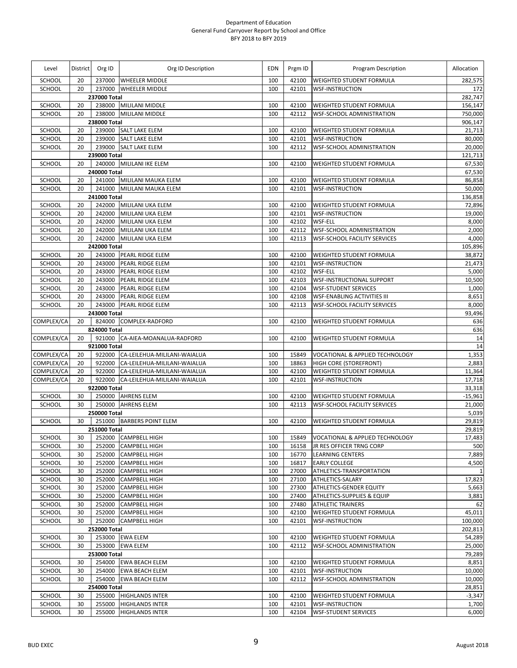| Level            | District | Org ID                 | Org ID Description                     | EDN        | Prgm ID        | Program Description                   | Allocation         |
|------------------|----------|------------------------|----------------------------------------|------------|----------------|---------------------------------------|--------------------|
| SCHOOL           | 20       |                        | 237000 WHEELER MIDDLE                  | 100        | 42100          | <b>WEIGHTED STUDENT FORMULA</b>       | 282,575            |
| SCHOOL           | 20       |                        | 237000 WHEELER MIDDLE                  | 100        | 42101          | <b>WSF-INSTRUCTION</b>                | 172                |
|                  |          | 237000 Total           |                                        |            |                |                                       | 282,747            |
| SCHOOL           | 20       |                        | 238000 MILILANI MIDDLE                 | 100        | 42100          | WEIGHTED STUDENT FORMULA              | 156,147            |
| SCHOOL           | 20       | 238000<br>238000 Total | <b>MILILANI MIDDLE</b>                 | 100        | 42112          | <b>WSF-SCHOOL ADMINISTRATION</b>      | 750,000<br>906,147 |
| SCHOOL           | 20       |                        | 239000 SALT LAKE ELEM                  | 100        | 42100          | WEIGHTED STUDENT FORMULA              | 21,713             |
| SCHOOL           | 20       |                        | 239000 SALT LAKE ELEM                  | 100        | 42101          | <b>WSF-INSTRUCTION</b>                | 80,000             |
| SCHOOL           | 20       |                        | 239000 SALT LAKE ELEM                  | 100        | 42112          | WSF-SCHOOL ADMINISTRATION             | 20,000             |
|                  |          | 239000 Total           |                                        |            |                |                                       | 121,713            |
| <b>SCHOOL</b>    | 20       |                        | 240000 MILILANI IKE ELEM               | 100        | 42100          | <b>WEIGHTED STUDENT FORMULA</b>       | 67,530             |
|                  |          | 240000 Total           |                                        |            |                |                                       | 67,530             |
| SCHOOL           | 20       |                        | 241000 MILILANI MAUKA ELEM             | 100        | 42100          | WEIGHTED STUDENT FORMULA              | 86,858             |
| SCHOOL           | 20       |                        | 241000 MILILANI MAUKA ELEM             | 100        | 42101          | <b>WSF-INSTRUCTION</b>                | 50,000             |
|                  |          | 241000 Total           |                                        |            |                |                                       | 136,858            |
| SCHOOL<br>SCHOOL | 20<br>20 | 242000                 | 242000 MILILANI UKA ELEM               | 100<br>100 | 42100<br>42101 | WEIGHTED STUDENT FORMULA              | 72,896<br>19,000   |
| SCHOOL           | 20       | 242000                 | MILILANI UKA ELEM<br>MILILANI UKA ELEM | 100        | 42102          | <b>WSF-INSTRUCTION</b><br>WSF-ELL     | 8,000              |
| SCHOOL           | 20       | 242000                 | MILILANI UKA ELEM                      | 100        | 42112          | <b>WSF-SCHOOL ADMINISTRATION</b>      | 2,000              |
| SCHOOL           | 20       | 242000                 | MILILANI UKA ELEM                      | 100        | 42113          | <b>WSF-SCHOOL FACILITY SERVICES</b>   | 4,000              |
|                  |          | 242000 Total           |                                        |            |                |                                       | 105,896            |
| SCHOOL           | 20       | 243000                 | PEARL RIDGE ELEM                       | 100        | 42100          | <b>WEIGHTED STUDENT FORMULA</b>       | 38,872             |
| SCHOOL           | 20       | 243000                 | <b>PEARL RIDGE ELEM</b>                | 100        | 42101          | <b>WSF-INSTRUCTION</b>                | 21,473             |
| SCHOOL           | 20       | 243000                 | PEARL RIDGE ELEM                       | 100        | 42102          | WSF-ELL                               | 5,000              |
| SCHOOL           | 20       | 243000                 | PEARL RIDGE ELEM                       | 100        | 42103          | <b>WSF-INSTRUCTIONAL SUPPORT</b>      | 10,500             |
| SCHOOL           | 20       | 243000                 | PEARL RIDGE ELEM                       | 100        | 42104          | <b>WSF-STUDENT SERVICES</b>           | 1,000              |
| SCHOOL           | 20       | 243000                 | PEARL RIDGE ELEM                       | 100        | 42108          | <b>WSF-ENABLING ACTIVITIES III</b>    | 8,651              |
| SCHOOL           | 20       |                        | 243000 PEARL RIDGE ELEM                | 100        | 42113          | <b>WSF-SCHOOL FACILITY SERVICES</b>   | 8,000              |
|                  |          | 243000 Total           |                                        |            |                |                                       | 93,496             |
| COMPLEX/CA       | 20       | 824000 Total           | 824000 COMPLEX-RADFORD                 | 100        | 42100          | WEIGHTED STUDENT FORMULA              | 636                |
| COMPLEX/CA       | 20       |                        | 921000 CA-AIEA-MOANALUA-RADFORD        | 100        | 42100          | WEIGHTED STUDENT FORMULA              | 636<br>14          |
|                  |          | 921000 Total           |                                        |            |                |                                       | 14                 |
| COMPLEX/CA       | 20       |                        | 922000 CA-LEILEHUA-MILILANI-WAIALUA    | 100        | 15849          | VOCATIONAL & APPLIED TECHNOLOGY       | 1,353              |
| COMPLEX/CA       | 20       |                        | 922000 CA-LEILEHUA-MILILANI-WAIALUA    | 100        | 18863          | HIGH CORE (STOREFRONT)                | 2,883              |
| COMPLEX/CA       | 20       | 922000                 | CA-LEILEHUA-MILILANI-WAIALUA           | 100        | 42100          | WEIGHTED STUDENT FORMULA              | 11,364             |
| COMPLEX/CA       | 20       |                        | 922000 CA-LEILEHUA-MILILANI-WAIALUA    | 100        | 42101          | <b>WSF-INSTRUCTION</b>                | 17,718             |
|                  |          | 922000 Total           |                                        |            |                |                                       | 33,318             |
| <b>SCHOOL</b>    | 30       |                        | 250000 AHRENS ELEM                     | 100        | 42100          | <b>WEIGHTED STUDENT FORMULA</b>       | $-15,961$          |
| SCHOOL           | 30       |                        | 250000 AHRENS ELEM                     | 100        | 42113          | <b>WSF-SCHOOL FACILITY SERVICES</b>   | 21,000             |
|                  |          | 250000 Total           | 251000 BARBERS POINT ELEM              |            |                |                                       | 5,039              |
| SCHOOL           | 30       | 251000 Total           |                                        | 100        | 42100          | WEIGHTED STUDENT FORMULA              | 29,819<br>29,819   |
| SCHOOL           | 30       |                        | 252000 CAMPBELL HIGH                   | 100        | 15849          | VOCATIONAL & APPLIED TECHNOLOGY       | 17,483             |
| SCHOOL           | 30       | 252000                 | <b>CAMPBELL HIGH</b>                   | 100        | 16158          | JR RES OFFICER TRNG CORP              | 500                |
| SCHOOL           | 30       | 252000                 | <b>CAMPBELL HIGH</b>                   | 100        | 16770          | <b>LEARNING CENTERS</b>               | 7,889              |
| SCHOOL           | 30       | 252000                 | <b>CAMPBELL HIGH</b>                   | 100        | 16817          | <b>EARLY COLLEGE</b>                  | 4,500              |
| SCHOOL           | 30       | 252000                 | <b>CAMPBELL HIGH</b>                   | 100        | 27000          | ATHLETICS-TRANSPORTATION              | 1                  |
| SCHOOL           | 30       | 252000                 | <b>CAMPBELL HIGH</b>                   | 100        | 27100          | ATHLETICS-SALARY                      | 17,823             |
| SCHOOL           | 30       | 252000                 | <b>CAMPBELL HIGH</b>                   | 100        | 27300          | ATHLETICS-GENDER EQUITY               | 5,663              |
| SCHOOL           | 30       | 252000                 | <b>CAMPBELL HIGH</b>                   | 100        | 27400          | <b>ATHLETICS-SUPPLIES &amp; EQUIP</b> | 3,881              |
| SCHOOL           | 30       | 252000                 | <b>CAMPBELL HIGH</b>                   | 100        | 27480          | <b>ATHLETIC TRAINERS</b>              | 62                 |
| SCHOOL           | 30       | 252000                 | <b>CAMPBELL HIGH</b>                   | 100        | 42100          | <b>WEIGHTED STUDENT FORMULA</b>       | 45,011             |
| SCHOOL           | 30       | 252000 Total           | 252000 CAMPBELL HIGH                   | 100        | 42101          | <b>WSF-INSTRUCTION</b>                | 100,000<br>202,813 |
| SCHOOL           | 30       |                        | 253000 EWA ELEM                        | 100        | 42100          | <b>WEIGHTED STUDENT FORMULA</b>       | 54,289             |
| SCHOOL           | 30       | 253000                 | <b>EWA ELEM</b>                        | 100        | 42112          | <b>WSF-SCHOOL ADMINISTRATION</b>      | 25,000             |
|                  |          | 253000 Total           |                                        |            |                |                                       | 79,289             |
| SCHOOL           | 30       |                        | 254000 EWA BEACH ELEM                  | 100        | 42100          | <b>WEIGHTED STUDENT FORMULA</b>       | 8,851              |
| SCHOOL           | 30       |                        | 254000 EWA BEACH ELEM                  | 100        | 42101          | <b>WSF-INSTRUCTION</b>                | 10,000             |
| SCHOOL           | 30       |                        | 254000 EWA BEACH ELEM                  | 100        | 42112          | WSF-SCHOOL ADMINISTRATION             | 10,000             |
|                  |          | 254000 Total           |                                        |            |                |                                       | 28,851             |
| SCHOOL           | 30       |                        | 255000 HIGHLANDS INTER                 | 100        | 42100          | WEIGHTED STUDENT FORMULA              | $-3,347$           |
| SCHOOL           | 30       | 255000                 | <b>HIGHLANDS INTER</b>                 | 100        | 42101          | <b>WSF-INSTRUCTION</b>                | 1,700              |
| SCHOOL           | 30       | 255000                 | <b>HIGHLANDS INTER</b>                 | 100        | 42104          | <b>WSF-STUDENT SERVICES</b>           | 6,000              |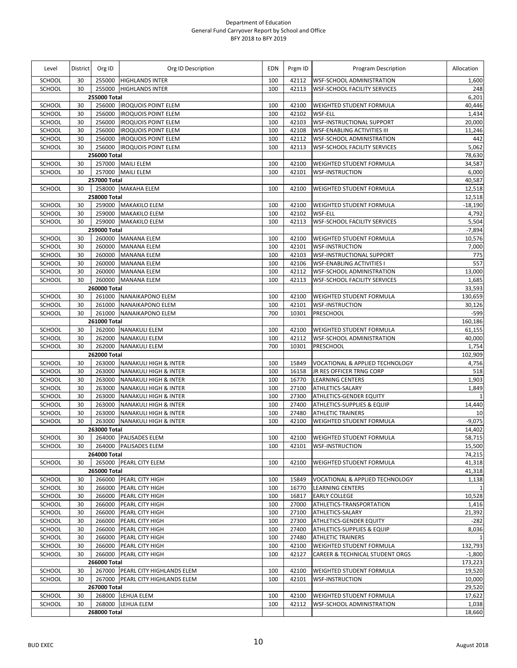| Level            | <b>District</b> | Org ID                 | Org ID Description                                       | EDN        | Prgm ID        | Program Description                                                 | Allocation       |
|------------------|-----------------|------------------------|----------------------------------------------------------|------------|----------------|---------------------------------------------------------------------|------------------|
| SCHOOL           | 30              |                        | 255000 HIGHLANDS INTER                                   | 100        | 42112          | <b>WSF-SCHOOL ADMINISTRATION</b>                                    | 1,600            |
| SCHOOL           | 30              |                        | 255000 HIGHLANDS INTER                                   | 100        | 42113          | <b>WSF-SCHOOL FACILITY SERVICES</b>                                 | 248              |
|                  |                 | 255000 Total           |                                                          |            |                |                                                                     | 6,201            |
| SCHOOL           | 30              |                        | 256000   IROQUOIS POINT ELEM                             | 100        | 42100          | <b>WEIGHTED STUDENT FORMULA</b>                                     | 40,446           |
| SCHOOL           | 30              | 256000                 | <b>IROQUOIS POINT ELEM</b>                               | 100        | 42102          | <b>WSF-ELL</b>                                                      | 1,434            |
| SCHOOL           | 30              | 256000                 | <b>IROQUOIS POINT ELEM</b>                               | 100        | 42103          | <b>WSF-INSTRUCTIONAL SUPPORT</b>                                    | 20,000           |
| SCHOOL<br>SCHOOL | 30<br>30        | 256000<br>256000       | <b>IROQUOIS POINT ELEM</b><br><b>IROQUOIS POINT ELEM</b> | 100<br>100 | 42108<br>42112 | <b>WSF-ENABLING ACTIVITIES III</b><br>WSF-SCHOOL ADMINISTRATION     | 11,246<br>442    |
| SCHOOL           | 30              | 256000                 | <b>IROQUOIS POINT ELEM</b>                               | 100        | 42113          | <b>WSF-SCHOOL FACILITY SERVICES</b>                                 | 5,062            |
|                  |                 | 256000 Total           |                                                          |            |                |                                                                     | 78,630           |
| SCHOOL           | 30              |                        | 257000 MAILI ELEM                                        | 100        | 42100          | <b>WEIGHTED STUDENT FORMULA</b>                                     | 34,587           |
| SCHOOL           | 30              |                        | 257000 MAILI ELEM                                        | 100        | 42101          | <b>WSF-INSTRUCTION</b>                                              | 6,000            |
|                  |                 | 257000 Total           |                                                          |            |                |                                                                     | 40,587           |
| SCHOOL           | 30              |                        | 258000 MAKAHA ELEM                                       | 100        | 42100          | <b>WEIGHTED STUDENT FORMULA</b>                                     | 12,518           |
|                  |                 | 258000 Total           |                                                          |            |                |                                                                     | 12,518           |
| SCHOOL           | 30              |                        | 259000 MAKAKILO ELEM                                     | 100        | 42100          | <b>WEIGHTED STUDENT FORMULA</b>                                     | $-18,190$        |
| SCHOOL           | 30              |                        | 259000 MAKAKILO ELEM                                     | 100        | 42102          | <b>WSF-ELL</b>                                                      | 4,792            |
| SCHOOL           | 30              |                        | 259000 MAKAKILO ELEM                                     | 100        | 42113          | <b>WSF-SCHOOL FACILITY SERVICES</b>                                 | 5,504            |
|                  |                 | 259000 Total           |                                                          |            |                |                                                                     | $-7,894$         |
| SCHOOL           | 30              |                        | 260000 MANANA ELEM                                       | 100        | 42100          | <b>WEIGHTED STUDENT FORMULA</b>                                     | 10,576           |
| SCHOOL           | 30              | 260000                 | <b>MANANA ELEM</b>                                       | 100        | 42101          | <b>WSF-INSTRUCTION</b>                                              | 7,000            |
| SCHOOL           | 30              | 260000                 | <b>MANANA ELEM</b>                                       | 100        | 42103          | <b>WSF-INSTRUCTIONAL SUPPORT</b>                                    | 775              |
| SCHOOL           | 30              | 260000                 | <b>MANANA ELEM</b>                                       | 100        | 42106          | <b>WSF-ENABLING ACTIVITIES I</b>                                    | 557              |
| SCHOOL           | 30              | 260000                 | <b>MANANA ELEM</b>                                       | 100        | 42112          | <b>WSF-SCHOOL ADMINISTRATION</b>                                    | 13,000           |
| SCHOOL           | 30              | 260000<br>260000 Total | <b>MANANA ELEM</b>                                       | 100        | 42113          | <b>WSF-SCHOOL FACILITY SERVICES</b>                                 | 1,685<br>33,593  |
| SCHOOL           | 30              |                        | 261000 NANAIKAPONO ELEM                                  | 100        | 42100          | <b>WEIGHTED STUDENT FORMULA</b>                                     | 130,659          |
| SCHOOL           | 30              | 261000                 | NANAIKAPONO ELEM                                         | 100        | 42101          | <b>WSF-INSTRUCTION</b>                                              | 30,126           |
| SCHOOL           | 30              |                        | 261000 NANAIKAPONO ELEM                                  | 700        | 10301          | PRESCHOOL                                                           | $-599$           |
|                  |                 | 261000 Total           |                                                          |            |                |                                                                     | 160,186          |
| SCHOOL           | 30              |                        | 262000 NANAKULI ELEM                                     | 100        | 42100          | <b>WEIGHTED STUDENT FORMULA</b>                                     | 61,155           |
| SCHOOL           | 30              | 262000                 | <b>NANAKULI ELEM</b>                                     | 100        | 42112          | <b>WSF-SCHOOL ADMINISTRATION</b>                                    | 40,000           |
| SCHOOL           | 30              |                        | 262000 NANAKULI ELEM                                     | 700        | 10301          | PRESCHOOL                                                           | 1,754            |
|                  |                 | 262000 Total           |                                                          |            |                |                                                                     | 102,909          |
| SCHOOL           | 30              |                        | 263000 NANAKULI HIGH & INTER                             | 100        | 15849          | VOCATIONAL & APPLIED TECHNOLOGY                                     | 4,756            |
| SCHOOL           | 30              | 263000                 | <b>NANAKULI HIGH &amp; INTER</b>                         | 100        | 16158          | JR RES OFFICER TRNG CORP                                            | 518              |
| SCHOOL           | 30              | 263000                 | <b>NANAKULI HIGH &amp; INTER</b>                         | 100        | 16770          | <b>LEARNING CENTERS</b>                                             | 1,903            |
| SCHOOL           | 30              | 263000                 | <b>NANAKULI HIGH &amp; INTER</b>                         | 100        | 27100          | ATHLETICS-SALARY                                                    | 1,849            |
| SCHOOL           | 30              | 263000                 | <b>NANAKULI HIGH &amp; INTER</b>                         | 100        | 27300          | ATHLETICS-GENDER EQUITY                                             | $\mathbf{1}$     |
| SCHOOL           | 30              | 263000                 | <b>NANAKULI HIGH &amp; INTER</b>                         | 100        | 27400          | <b>ATHLETICS-SUPPLIES &amp; EQUIP</b>                               | 14,440           |
| SCHOOL           | 30              | 263000                 | <b>NANAKULI HIGH &amp; INTER</b>                         | 100        | 27480          | <b>ATHLETIC TRAINERS</b>                                            | 10               |
| SCHOOL           | 30              | 263000<br>263000 Total | <b>NANAKULI HIGH &amp; INTER</b>                         | 100        | 42100          | WEIGHTED STUDENT FORMULA                                            | $-9,075$         |
| SCHOOL           | 30              |                        | 264000 PALISADES ELEM                                    | 100        |                | 42100 WEIGHTED STUDENT FORMULA                                      | 14,402<br>58,715 |
| SCHOOL           | 30              |                        | 264000 PALISADES ELEM                                    | 100        | 42101          | <b>WSF-INSTRUCTION</b>                                              | 15,500           |
|                  |                 | 264000 Total           |                                                          |            |                |                                                                     | 74,215           |
| SCHOOL           | 30              |                        | 265000 PEARL CITY ELEM                                   | 100        | 42100          | WEIGHTED STUDENT FORMULA                                            | 41,318           |
|                  |                 | 265000 Total           |                                                          |            |                |                                                                     | 41,318           |
| SCHOOL           | 30              | 266000                 | PEARL CITY HIGH                                          | 100        | 15849          | <b>VOCATIONAL &amp; APPLIED TECHNOLOGY</b>                          | 1,138            |
| SCHOOL           | 30              | 266000                 | <b>PEARL CITY HIGH</b>                                   | 100        | 16770          | <b>LEARNING CENTERS</b>                                             |                  |
| SCHOOL           | 30              | 266000                 | PEARL CITY HIGH                                          | 100        | 16817          | <b>EARLY COLLEGE</b>                                                | 10,528           |
| SCHOOL           | 30              | 266000                 | PEARL CITY HIGH                                          | 100        | 27000          | ATHLETICS-TRANSPORTATION                                            | 1,416            |
| SCHOOL           | 30              | 266000                 | PEARL CITY HIGH                                          | 100        | 27100          | ATHLETICS-SALARY                                                    | 21,392           |
| SCHOOL           | 30              | 266000                 | PEARL CITY HIGH                                          | 100        | 27300          | <b>ATHLETICS-GENDER EQUITY</b>                                      | $-282$           |
| SCHOOL           | 30              | 266000                 | PEARL CITY HIGH                                          | 100        | 27400          | <b>ATHLETICS-SUPPLIES &amp; EQUIP</b>                               | 8,036            |
| SCHOOL           | 30              | 266000                 | PEARL CITY HIGH                                          | 100        | 27480          | <b>ATHLETIC TRAINERS</b>                                            | $\mathbf{1}$     |
| SCHOOL           | 30              | 266000                 | PEARL CITY HIGH                                          | 100        | 42100          | <b>WEIGHTED STUDENT FORMULA</b>                                     | 132,793          |
| SCHOOL           | 30              | 266000                 | PEARL CITY HIGH                                          | 100        | 42127          | CAREER & TECHNICAL STUDENT ORGS                                     | $-1,800$         |
|                  |                 | 266000 Total           |                                                          |            |                |                                                                     | 173,223          |
| SCHOOL           | 30              |                        | 267000 PEARL CITY HIGHLANDS ELEM                         | 100        | 42100          | <b>WEIGHTED STUDENT FORMULA</b>                                     | 19,520           |
| SCHOOL           | 30              |                        | 267000 PEARL CITY HIGHLANDS ELEM                         | 100        | 42101          | <b>WSF-INSTRUCTION</b>                                              | 10,000           |
| SCHOOL           |                 | 267000 Total           |                                                          |            |                |                                                                     | 29,520<br>17,622 |
| SCHOOL           | 30<br>30        | 268000                 | 268000 LEHUA ELEM<br>LEHUA ELEM                          | 100<br>100 | 42100<br>42112 | <b>WEIGHTED STUDENT FORMULA</b><br><b>WSF-SCHOOL ADMINISTRATION</b> | 1,038            |
|                  |                 | 268000 Total           |                                                          |            |                |                                                                     | 18,660           |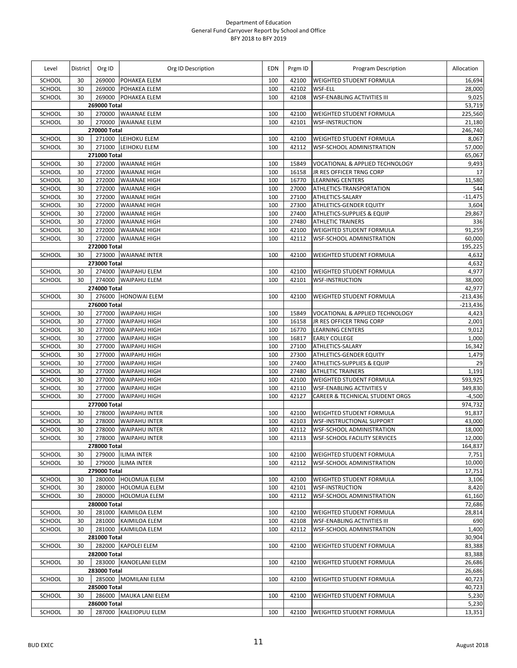| Level            | District | Org ID           | Org ID Description                         | <b>EDN</b> | Prgm ID        | Program Description                                              | Allocation       |
|------------------|----------|------------------|--------------------------------------------|------------|----------------|------------------------------------------------------------------|------------------|
| <b>SCHOOL</b>    | 30       | 269000           | POHAKEA ELEM                               | 100        | 42100          | <b>WEIGHTED STUDENT FORMULA</b>                                  | 16,694           |
| SCHOOL           | 30       | 269000           | <b>POHAKEA ELEM</b>                        | 100        | 42102          | WSF-ELL                                                          | 28,000           |
| SCHOOL           | 30       |                  | 269000 POHAKEA ELEM                        | 100        | 42108          | <b>WSF-ENABLING ACTIVITIES III</b>                               | 9,025            |
|                  |          | 269000 Total     |                                            |            |                |                                                                  | 53,719           |
| SCHOOL           | 30       |                  | 270000 WAIANAE ELEM                        | 100        | 42100          | WEIGHTED STUDENT FORMULA                                         | 225,560          |
| SCHOOL           | 30       |                  | 270000 WAIANAE ELEM                        | 100        | 42101          | <b>WSF-INSTRUCTION</b>                                           | 21,180           |
|                  |          | 270000 Total     |                                            |            |                |                                                                  | 246,740          |
| SCHOOL           | 30       |                  | 271000 LEIHOKU ELEM                        | 100        | 42100          | <b>WEIGHTED STUDENT FORMULA</b>                                  | 8,067            |
| SCHOOL           | 30       | 271000           | LEIHOKU ELEM                               | 100        | 42112          | WSF-SCHOOL ADMINISTRATION                                        | 57,000           |
|                  |          | 271000 Total     |                                            |            |                |                                                                  | 65,067           |
| SCHOOL           | 30       | 272000           | <b>WAIANAE HIGH</b>                        | 100        | 15849          | VOCATIONAL & APPLIED TECHNOLOGY                                  | 9,493            |
| SCHOOL           | 30       | 272000           | <b>WAIANAE HIGH</b>                        | 100        | 16158          | JR RES OFFICER TRNG CORP                                         | 17               |
| SCHOOL           | 30       | 272000           | <b>WAIANAE HIGH</b>                        | 100        | 16770          | <b>LEARNING CENTERS</b>                                          | 11,580           |
| SCHOOL<br>SCHOOL | 30<br>30 | 272000<br>272000 | <b>WAIANAE HIGH</b>                        | 100<br>100 | 27000<br>27100 | ATHLETICS-TRANSPORTATION<br>ATHLETICS-SALARY                     | 544<br>$-11,475$ |
| SCHOOL           | 30       | 272000           | <b>WAIANAE HIGH</b>                        | 100        | 27300          |                                                                  | 3,604            |
| SCHOOL           | 30       | 272000           | <b>WAIANAE HIGH</b><br><b>WAIANAE HIGH</b> | 100        | 27400          | ATHLETICS-GENDER EQUITY<br><b>ATHLETICS-SUPPLIES &amp; EQUIP</b> | 29,867           |
| SCHOOL           | 30       | 272000           | <b>WAIANAE HIGH</b>                        | 100        | 27480          | <b>ATHLETIC TRAINERS</b>                                         | 336              |
| SCHOOL           | 30       | 272000           | <b>WAIANAE HIGH</b>                        | 100        | 42100          | <b>WEIGHTED STUDENT FORMULA</b>                                  | 91,259           |
| SCHOOL           | 30       |                  | 272000 WAIANAE HIGH                        | 100        | 42112          | WSF-SCHOOL ADMINISTRATION                                        | 60,000           |
|                  |          | 272000 Total     |                                            |            |                |                                                                  | 195,225          |
| SCHOOL           | 30       |                  | 273000 WAIANAE INTER                       | 100        | 42100          | WEIGHTED STUDENT FORMULA                                         | 4,632            |
|                  |          | 273000 Total     |                                            |            |                |                                                                  | 4,632            |
| SCHOOL           | 30       |                  | 274000 WAIPAHU ELEM                        | 100        | 42100          | WEIGHTED STUDENT FORMULA                                         | 4,977            |
| SCHOOL           | 30       |                  | 274000 WAIPAHU ELEM                        | 100        | 42101          | <b>WSF-INSTRUCTION</b>                                           | 38,000           |
|                  |          | 274000 Total     |                                            |            |                |                                                                  | 42,977           |
| SCHOOL           | 30       |                  | 276000 HONOWAI ELEM                        | 100        | 42100          | <b>WEIGHTED STUDENT FORMULA</b>                                  | $-213,436$       |
|                  |          | 276000 Total     |                                            |            |                |                                                                  | $-213,436$       |
| SCHOOL           | 30       |                  | 277000 WAIPAHU HIGH                        | 100        | 15849          | VOCATIONAL & APPLIED TECHNOLOGY                                  | 4,423            |
| SCHOOL           | 30       | 277000           | <b>WAIPAHU HIGH</b>                        | 100        | 16158          | JR RES OFFICER TRNG CORP                                         | 2,001            |
| SCHOOL           | 30       | 277000           | <b>WAIPAHU HIGH</b>                        | 100        | 16770          | <b>LEARNING CENTERS</b>                                          | 9,012            |
| SCHOOL           | 30       | 277000           | <b>WAIPAHU HIGH</b>                        | 100        | 16817          | <b>EARLY COLLEGE</b>                                             | 1,000            |
| SCHOOL           | 30       | 277000           | <b>WAIPAHU HIGH</b>                        | 100        | 27100          | ATHLETICS-SALARY                                                 | 16,342           |
| SCHOOL           | 30       | 277000           | <b>WAIPAHU HIGH</b>                        | 100        | 27300          | <b>ATHLETICS-GENDER EQUITY</b>                                   | 1,479            |
| SCHOOL           | 30       | 277000           | <b>WAIPAHU HIGH</b>                        | 100        | 27400          | <b>ATHLETICS-SUPPLIES &amp; EQUIP</b>                            | 29               |
| SCHOOL           | 30       | 277000           | <b>WAIPAHU HIGH</b>                        | 100        | 27480          | <b>ATHLETIC TRAINERS</b>                                         | 1,191            |
| SCHOOL           | 30       | 277000           | <b>WAIPAHU HIGH</b>                        | 100        | 42100          | WEIGHTED STUDENT FORMULA                                         | 593,925          |
| SCHOOL           | 30       | 277000           | <b>WAIPAHU HIGH</b>                        | 100        | 42110          | <b>WSF-ENABLING ACTIVITIES V</b>                                 | 349,830          |
| <b>SCHOOL</b>    | 30       | 277000           | <b>WAIPAHU HIGH</b>                        | 100        | 42127          | <b>CAREER &amp; TECHNICAL STUDENT ORGS</b>                       | $-4,500$         |
|                  |          | 277000 Total     |                                            |            |                |                                                                  | 974,732          |
| SCHOOL           | 30       |                  | 278000 WAIPAHU INTER                       | 100        | 42100          | <b>WEIGHTED STUDENT FORMULA</b>                                  | 91,837           |
| SCHOOL           | 30       | 278000           | <b>WAIPAHU INTER</b>                       | 100        | 42103          | <b>WSF-INSTRUCTIONAL SUPPORT</b>                                 | 43,000           |
| SCHOOL           | 30       | 278000           | <b>WAIPAHU INTER</b>                       | 100        | 42112          | <b>WSF-SCHOOL ADMINISTRATION</b>                                 | 18,000           |
| SCHOOL           | 30       |                  | 278000 WAIPAHU INTER                       | 100        | 42113          | <b>WSF-SCHOOL FACILITY SERVICES</b>                              | 12,000           |
|                  |          | 278000 Total     |                                            |            |                |                                                                  | 164,837          |
| SCHOOL           | 30       |                  | 279000 ILIMA INTER                         | 100        | 42100          | <b>WEIGHTED STUDENT FORMULA</b>                                  | 7,751            |
| <b>SCHOOL</b>    | 30       |                  | 279000 ILIMA INTER                         | 100        | 42112          | <b>WSF-SCHOOL ADMINISTRATION</b>                                 | 10,000           |
|                  |          | 279000 Total     |                                            |            |                |                                                                  | 17,751           |
| SCHOOL           | 30       |                  | 280000 HOLOMUA ELEM                        | 100        | 42100          | WEIGHTED STUDENT FORMULA                                         | 3,106            |
| SCHOOL           | 30       | 280000           | <b>HOLOMUA ELEM</b>                        | 100        | 42101          | <b>WSF-INSTRUCTION</b>                                           | 8,420            |
| SCHOOL           | 30       |                  | 280000 HOLOMUA ELEM                        | 100        | 42112          | WSF-SCHOOL ADMINISTRATION                                        | 61,160           |
| SCHOOL           | 30       | 280000 Total     | 281000 KAIMILOA ELEM                       | 100        | 42100          | <b>WEIGHTED STUDENT FORMULA</b>                                  | 72,686<br>28,814 |
| SCHOOL           | 30       |                  | 281000 KAIMILOA ELEM                       | 100        | 42108          | <b>WSF-ENABLING ACTIVITIES III</b>                               | 690              |
| SCHOOL           | 30       |                  | 281000 KAIMILOA ELEM                       | 100        | 42112          | WSF-SCHOOL ADMINISTRATION                                        | 1,400            |
|                  |          | 281000 Total     |                                            |            |                |                                                                  | 30,904           |
| SCHOOL           | 30       |                  | 282000 KAPOLEI ELEM                        | 100        | 42100          | <b>WEIGHTED STUDENT FORMULA</b>                                  | 83,388           |
|                  |          | 282000 Total     |                                            |            |                |                                                                  | 83,388           |
| SCHOOL           | 30       |                  | 283000 KANOELANI ELEM                      | 100        | 42100          | WEIGHTED STUDENT FORMULA                                         | 26,686           |
|                  |          | 283000 Total     |                                            |            |                |                                                                  | 26,686           |
| SCHOOL           | 30       |                  | 285000 MOMILANI ELEM                       | 100        | 42100          | WEIGHTED STUDENT FORMULA                                         | 40,723           |
|                  |          | 285000 Total     |                                            |            |                |                                                                  | 40,723           |
| SCHOOL           | 30       |                  | 286000 MAUKA LANI ELEM                     | 100        | 42100          | WEIGHTED STUDENT FORMULA                                         | 5,230            |
|                  |          | 286000 Total     |                                            |            |                |                                                                  | 5,230            |
| SCHOOL           | 30       |                  | 287000 KALEIOPUU ELEM                      | 100        | 42100          | <b>WEIGHTED STUDENT FORMULA</b>                                  | 13,351           |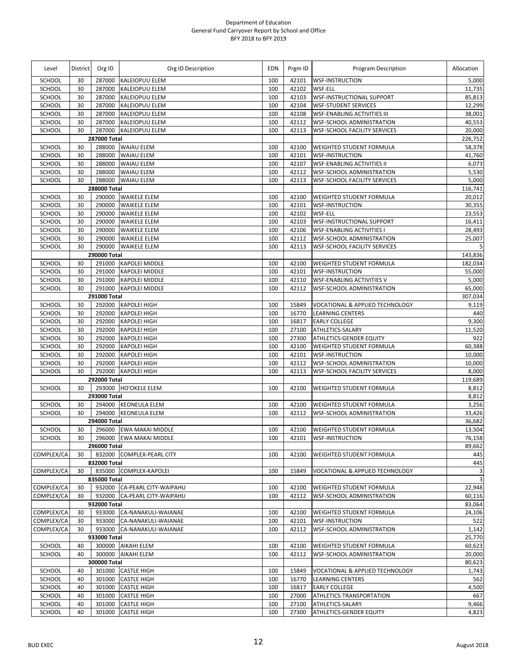| Level         | <b>District</b> | Org ID       | Org ID Description           | <b>EDN</b> | Prgm ID | Program Description                 | Allocation  |
|---------------|-----------------|--------------|------------------------------|------------|---------|-------------------------------------|-------------|
| <b>SCHOOL</b> | 30              | 287000       | <b>KALEIOPUU ELEM</b>        | 100        | 42101   | <b>WSF-INSTRUCTION</b>              | 5,000       |
| SCHOOL        | 30              | 287000       | <b>KALEIOPUU ELEM</b>        | 100        | 42102   | <b>WSF-ELL</b>                      | 11,735      |
| SCHOOL        | 30              | 287000       | <b>KALEIOPUU ELEM</b>        | 100        | 42103   | <b>WSF-INSTRUCTIONAL SUPPORT</b>    | 85,813      |
| SCHOOL        | 30              | 287000       | <b>KALEIOPUU ELEM</b>        | 100        | 42104   | <b>WSF-STUDENT SERVICES</b>         | 12,299      |
| SCHOOL        | 30              | 287000       | <b>KALEIOPUU ELEM</b>        | 100        | 42108   | <b>WSF-ENABLING ACTIVITIES III</b>  | 38,001      |
| SCHOOL        | 30              | 287000       | <b>KALEIOPUU ELEM</b>        | 100        | 42112   | <b>WSF-SCHOOL ADMINISTRATION</b>    | 40,553      |
| SCHOOL        | 30              | 287000       | <b>KALEIOPUU ELEM</b>        | 100        | 42113   | <b>WSF-SCHOOL FACILITY SERVICES</b> | 20,000      |
|               |                 | 287000 Total |                              |            |         |                                     | 226,752     |
| SCHOOL        | 30              |              | 288000 WAIAU ELEM            | 100        | 42100   | <b>WEIGHTED STUDENT FORMULA</b>     | 58,378      |
| SCHOOL        | 30              | 288000       | <b>WAIAU ELEM</b>            | 100        | 42101   | <b>WSF-INSTRUCTION</b>              | 41,760      |
| SCHOOL        | 30              | 288000       | <b>WAIAU ELEM</b>            | 100        | 42107   | <b>WSF-ENABLING ACTIVITIES II</b>   | 6,073       |
| SCHOOL        | 30              | 288000       | <b>WAIAU ELEM</b>            | 100        | 42112   | <b>WSF-SCHOOL ADMINISTRATION</b>    | 5,530       |
| SCHOOL        | 30              | 288000       | <b>WAIAU ELEM</b>            | 100        | 42113   | <b>WSF-SCHOOL FACILITY SERVICES</b> | 5,000       |
|               |                 | 288000 Total |                              |            |         |                                     | 116,741     |
| SCHOOL        | 30              |              | 290000 WAIKELE ELEM          | 100        | 42100   | <b>WEIGHTED STUDENT FORMULA</b>     | 20,012      |
| SCHOOL        | 30              | 290000       | <b>WAIKELE ELEM</b>          | 100        | 42101   | <b>WSF-INSTRUCTION</b>              | 30,355      |
| SCHOOL        | 30              | 290000       | <b>WAIKELE ELEM</b>          | 100        | 42102   | WSF-ELL                             | 23,553      |
| SCHOOL        | 30              | 290000       | <b>WAIKELE ELEM</b>          | 100        | 42103   | <b>WSF-INSTRUCTIONAL SUPPORT</b>    | 16,411      |
| SCHOOL        | 30              | 290000       | <b>WAIKELE ELEM</b>          | 100        | 42106   | <b>WSF-ENABLING ACTIVITIES I</b>    | 28,493      |
| SCHOOL        | 30              | 290000       | <b>WAIKELE ELEM</b>          | 100        | 42112   | WSF-SCHOOL ADMINISTRATION           | 25,007      |
| SCHOOL        | 30              | 290000       | <b>WAIKELE ELEM</b>          | 100        | 42113   | <b>WSF-SCHOOL FACILITY SERVICES</b> | 5           |
|               |                 | 290000 Total |                              |            |         |                                     | 143,836     |
| SCHOOL        | 30              |              | 291000 KAPOLEI MIDDLE        | 100        | 42100   | <b>WEIGHTED STUDENT FORMULA</b>     | 182,034     |
| SCHOOL        | 30              | 291000       | <b>KAPOLEI MIDDLE</b>        | 100        | 42101   | <b>WSF-INSTRUCTION</b>              | 55,000      |
| <b>SCHOOL</b> | 30              | 291000       | <b>KAPOLEI MIDDLE</b>        | 100        | 42110   | <b>WSF-ENABLING ACTIVITIES V</b>    | 5,000       |
| SCHOOL        | 30              | 291000       | <b>KAPOLEI MIDDLE</b>        | 100        | 42112   | WSF-SCHOOL ADMINISTRATION           | 65,000      |
|               |                 | 291000 Total |                              |            |         |                                     | 307,034     |
| SCHOOL        | 30              | 292000       | <b>KAPOLEI HIGH</b>          | 100        | 15849   | VOCATIONAL & APPLIED TECHNOLOGY     | 9,119       |
| SCHOOL        | 30              | 292000       | <b>KAPOLEI HIGH</b>          | 100        | 16770   | <b>LEARNING CENTERS</b>             | 440         |
| SCHOOL        | 30              | 292000       | <b>KAPOLEI HIGH</b>          | 100        | 16817   | <b>EARLY COLLEGE</b>                | 9,300       |
| SCHOOL        | 30              | 292000       | <b>KAPOLEI HIGH</b>          | 100        | 27100   | ATHLETICS-SALARY                    | 11,520      |
| SCHOOL        | 30              | 292000       | <b>KAPOLEI HIGH</b>          | 100        | 27300   | <b>ATHLETICS-GENDER EQUITY</b>      | 922         |
| SCHOOL        | 30              | 292000       | <b>KAPOLEI HIGH</b>          | 100        | 42100   | WEIGHTED STUDENT FORMULA            | 60,388      |
| SCHOOL        | 30              | 292000       | <b>KAPOLEI HIGH</b>          | 100        | 42101   | <b>WSF-INSTRUCTION</b>              | 10,000      |
| SCHOOL        | 30              | 292000       | <b>KAPOLEI HIGH</b>          | 100        | 42112   | <b>WSF-SCHOOL ADMINISTRATION</b>    | 10,000      |
| SCHOOL        | 30              | 292000       | <b>KAPOLEI HIGH</b>          | 100        | 42113   | <b>WSF-SCHOOL FACILITY SERVICES</b> | 8,000       |
|               |                 | 292000 Total |                              |            |         |                                     | 119,689     |
| SCHOOL        | 30              |              | 293000 HO'OKELE ELEM         | 100        | 42100   | WEIGHTED STUDENT FORMULA            | 8,812       |
|               |                 | 293000 Total |                              |            |         |                                     | 8,812       |
| SCHOOL        | 30              |              | 294000 KEONEULA ELEM         | 100        | 42100   | <b>WEIGHTED STUDENT FORMULA</b>     | 3,256       |
| SCHOOL        | 30              |              | 294000 KEONEULA ELEM         | 100        | 42112   | <b>WSF-SCHOOL ADMINISTRATION</b>    | 33,426      |
|               |                 | 294000 Total |                              |            |         |                                     | 36,682      |
| <b>SCHOOL</b> | 30              |              | 296000 EWA MAKAI MIDDLE      | 100        | 42100   | <b>WEIGHTED STUDENT FORMULA</b>     | 13,504      |
| SCHOOL        | 30              |              | 296000 EWA MAKAI MIDDLE      | 100        | 42101   | <b>WSF-INSTRUCTION</b>              | 76,158      |
|               |                 | 296000 Total |                              |            |         |                                     | 89,662      |
| COMPLEX/CA    | 30              |              | 832000 COMPLEX-PEARL CITY    | 100        | 42100   | <b>WEIGHTED STUDENT FORMULA</b>     | 445         |
|               |                 | 832000 Total |                              |            |         |                                     | 445         |
| COMPLEX/CA    | 30              |              | 835000 COMPLEX-KAPOLEI       | 100        | 15849   | VOCATIONAL & APPLIED TECHNOLOGY     | 3           |
|               |                 | 835000 Total |                              |            |         |                                     | $\mathsf 3$ |
| COMPLEX/CA    | 30              |              | 932000 CA-PEARL CITY-WAIPAHU | 100        | 42100   | <b>WEIGHTED STUDENT FORMULA</b>     | 22,948      |
| COMPLEX/CA    | 30              | 932000       | <b>CA-PEARL CITY-WAIPAHU</b> | 100        | 42112   | <b>WSF-SCHOOL ADMINISTRATION</b>    | 60,116      |
|               |                 | 932000 Total |                              |            |         |                                     | 83,064      |
| COMPLEX/CA    | 30              | 933000       | CA-NANAKULI-WAIANAE          | 100        | 42100   | <b>WEIGHTED STUDENT FORMULA</b>     | 24,106      |
| COMPLEX/CA    | 30              | 933000       | CA-NANAKULI-WAIANAE          | 100        | 42101   | <b>WSF-INSTRUCTION</b>              | 522         |
| COMPLEX/CA    | 30              | 933000       | CA-NANAKULI-WAIANAE          | 100        | 42112   | WSF-SCHOOL ADMINISTRATION           | 1,142       |
|               |                 | 933000 Total |                              |            |         |                                     | 25,770      |
| SCHOOL        | 40              |              | 300000 AIKAHI ELEM           | 100        | 42100   | <b>WEIGHTED STUDENT FORMULA</b>     | 60,623      |
| SCHOOL        | 40              | 300000       | <b>AIKAHI ELEM</b>           | 100        | 42112   | WSF-SCHOOL ADMINISTRATION           | 20,000      |
|               |                 | 300000 Total |                              |            |         |                                     | 80,623      |
| SCHOOL        | 40              | 301000       | <b>CASTLE HIGH</b>           | 100        | 15849   | VOCATIONAL & APPLIED TECHNOLOGY     | 1,743       |
| SCHOOL        | 40              | 301000       | <b>CASTLE HIGH</b>           | 100        | 16770   | <b>LEARNING CENTERS</b>             | 562         |
| SCHOOL        | 40              | 301000       | <b>CASTLE HIGH</b>           | 100        | 16817   | <b>EARLY COLLEGE</b>                | 4,500       |
| SCHOOL        | 40              | 301000       | <b>CASTLE HIGH</b>           | 100        | 27000   | ATHLETICS-TRANSPORTATION            | 667         |
| SCHOOL        | 40              | 301000       | <b>CASTLE HIGH</b>           | 100        | 27100   | ATHLETICS-SALARY                    | 9,466       |
| SCHOOL        | 40              | 301000       | <b>CASTLE HIGH</b>           | 100        | 27300   | ATHLETICS-GENDER EQUITY             | 4,823       |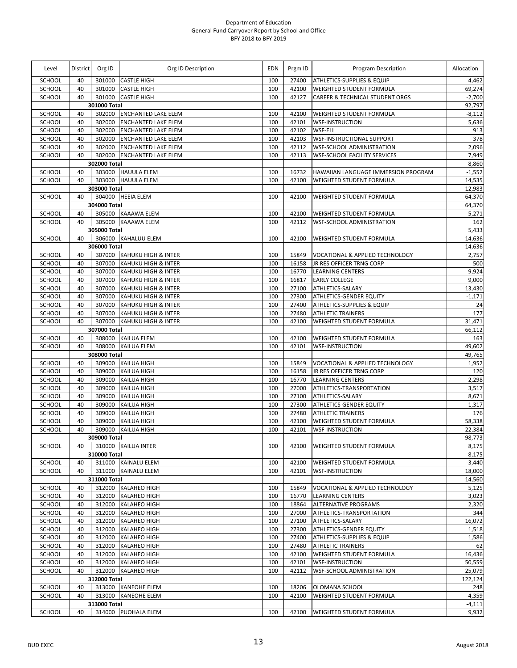| Level            | <b>District</b> | Org ID           | Org ID Description                                       | <b>EDN</b> | Prgm ID        | Program Description                                           | Allocation         |
|------------------|-----------------|------------------|----------------------------------------------------------|------------|----------------|---------------------------------------------------------------|--------------------|
| <b>SCHOOL</b>    | 40              | 301000           | <b>CASTLE HIGH</b>                                       | 100        | 27400          | ATHLETICS-SUPPLIES & EQUIP                                    | 4,462              |
| SCHOOL           | 40              | 301000           | <b>CASTLE HIGH</b>                                       | 100        | 42100          | <b>WEIGHTED STUDENT FORMULA</b>                               | 69,274             |
| SCHOOL           | 40              | 301000           | <b>CASTLE HIGH</b>                                       | 100        | 42127          | CAREER & TECHNICAL STUDENT ORGS                               | $-2,700$           |
|                  |                 | 301000 Total     |                                                          |            |                |                                                               | 92,797             |
| SCHOOL           | 40              | 302000           | <b>ENCHANTED LAKE ELEM</b>                               | 100        | 42100          | WEIGHTED STUDENT FORMULA                                      | $-8,112$           |
| SCHOOL           | 40              | 302000           | <b>ENCHANTED LAKE ELEM</b>                               | 100        | 42101          | <b>WSF-INSTRUCTION</b>                                        | 5,636              |
| SCHOOL           | 40              | 302000           | <b>ENCHANTED LAKE ELEM</b>                               | 100        | 42102          | WSF-ELL                                                       | 913                |
| SCHOOL<br>SCHOOL | 40<br>40        | 302000<br>302000 | <b>ENCHANTED LAKE ELEM</b><br><b>ENCHANTED LAKE ELEM</b> | 100<br>100 | 42103<br>42112 | <b>WSF-INSTRUCTIONAL SUPPORT</b><br>WSF-SCHOOL ADMINISTRATION | 378<br>2,096       |
| SCHOOL           | 40              | 302000           | <b>ENCHANTED LAKE ELEM</b>                               | 100        | 42113          | <b>WSF-SCHOOL FACILITY SERVICES</b>                           | 7,949              |
|                  |                 | 302000 Total     |                                                          |            |                |                                                               | 8,860              |
| SCHOOL           | 40              |                  | 303000 HAUULA ELEM                                       | 100        | 16732          | HAWAIIAN LANGUAGE IMMERSION PROGRAM                           | $-1,552$           |
| SCHOOL           | 40              |                  | 303000 HAUULA ELEM                                       | 100        | 42100          | WEIGHTED STUDENT FORMULA                                      | 14,535             |
|                  |                 | 303000 Total     |                                                          |            |                |                                                               | 12,983             |
| SCHOOL           | 40              |                  | 304000 HEEIA ELEM                                        | 100        | 42100          | WEIGHTED STUDENT FORMULA                                      | 64,370             |
|                  |                 | 304000 Total     |                                                          |            |                |                                                               | 64,370             |
| SCHOOL           | 40              |                  | 305000 KAAAWA ELEM                                       | 100        | 42100          | <b>WEIGHTED STUDENT FORMULA</b>                               | 5,271              |
| SCHOOL           | 40              |                  | 305000 KAAAWA ELEM                                       | 100        | 42112          | <b>WSF-SCHOOL ADMINISTRATION</b>                              | 162                |
|                  |                 | 305000 Total     |                                                          |            |                |                                                               | 5,433              |
| SCHOOL           | 40              |                  | 306000 KAHALUU ELEM                                      | 100        | 42100          | WEIGHTED STUDENT FORMULA                                      | 14,636             |
|                  |                 | 306000 Total     |                                                          |            |                |                                                               | 14,636             |
| SCHOOL           | 40              |                  | 307000 KAHUKU HIGH & INTER                               | 100        | 15849          | VOCATIONAL & APPLIED TECHNOLOGY                               | 2,757              |
| SCHOOL           | 40              | 307000           | <b>KAHUKU HIGH &amp; INTER</b>                           | 100        | 16158          | JR RES OFFICER TRNG CORP                                      | 500                |
| SCHOOL           | 40              | 307000           | KAHUKU HIGH & INTER                                      | 100        | 16770          | <b>LEARNING CENTERS</b>                                       | 9,924              |
| SCHOOL           | 40              | 307000           | KAHUKU HIGH & INTER                                      | 100        | 16817          | <b>EARLY COLLEGE</b>                                          | 9,000              |
| SCHOOL           | 40<br>40        | 307000<br>307000 | KAHUKU HIGH & INTER                                      | 100<br>100 | 27100          | ATHLETICS-SALARY                                              | 13,430<br>$-1,171$ |
| SCHOOL<br>SCHOOL | 40              | 307000           | KAHUKU HIGH & INTER<br>KAHUKU HIGH & INTER               | 100        | 27300<br>27400 | ATHLETICS-GENDER EQUITY<br>ATHLETICS-SUPPLIES & EQUIP         | 24                 |
| SCHOOL           | 40              | 307000           | KAHUKU HIGH & INTER                                      | 100        | 27480          | <b>ATHLETIC TRAINERS</b>                                      | 177                |
| SCHOOL           | 40              | 307000           | KAHUKU HIGH & INTER                                      | 100        | 42100          | WEIGHTED STUDENT FORMULA                                      | 31,471             |
|                  |                 | 307000 Total     |                                                          |            |                |                                                               | 66,112             |
| SCHOOL           | 40              |                  | 308000 KAILUA ELEM                                       | 100        | 42100          | WEIGHTED STUDENT FORMULA                                      | 163                |
| SCHOOL           | 40              | 308000           | <b>KAILUA ELEM</b>                                       | 100        | 42101          | <b>WSF-INSTRUCTION</b>                                        | 49,602             |
|                  |                 | 308000 Total     |                                                          |            |                |                                                               | 49,765             |
| SCHOOL           | 40              | 309000           | KAILUA HIGH                                              | 100        | 15849          | VOCATIONAL & APPLIED TECHNOLOGY                               | 1,952              |
| SCHOOL           | 40              | 309000           | <b>KAILUA HIGH</b>                                       | 100        | 16158          | JR RES OFFICER TRNG CORP                                      | 120                |
| SCHOOL           | 40              | 309000           | <b>KAILUA HIGH</b>                                       | 100        | 16770          | <b>LEARNING CENTERS</b>                                       | 2,298              |
| SCHOOL           | 40              | 309000           | <b>KAILUA HIGH</b>                                       | 100        | 27000          | ATHLETICS-TRANSPORTATION                                      | 3,517              |
| SCHOOL           | 40              | 309000           | <b>KAILUA HIGH</b>                                       | 100        | 27100          | ATHLETICS-SALARY                                              | 8,671              |
| SCHOOL           | 40              | 309000           | <b>KAILUA HIGH</b>                                       | 100        | 27300          | ATHLETICS-GENDER EQUITY                                       | 1,317              |
| SCHOOL           | 40              | 309000           | KAILUA HIGH                                              | 100        | 27480          | <b>ATHLETIC TRAINERS</b>                                      | 176                |
| SCHOOL           | 40              | 309000           | <b>KAILUA HIGH</b>                                       | 100        | 42100          | WEIGHTED STUDENT FORMULA                                      | 58,338             |
| SCHOOL           | 40              | 309000           | <b>KAILUA HIGH</b>                                       | 100        | 42101          | <b>WSF-INSTRUCTION</b>                                        | 22,384             |
|                  |                 | 309000 Total     |                                                          |            |                |                                                               | 98,773             |
| SCHOOL           | 40              |                  | 310000 KAILUA INTER                                      | 100        | 42100          | <b>WEIGHTED STUDENT FORMULA</b>                               | 8,175              |
|                  |                 | 310000 Total     |                                                          |            |                |                                                               | 8,175              |
| SCHOOL<br>SCHOOL | 40<br>40        |                  | 311000 KAINALU ELEM<br>311000 KAINALU ELEM               | 100<br>100 | 42100<br>42101 | <b>WEIGHTED STUDENT FORMULA</b><br><b>WSF-INSTRUCTION</b>     | $-3,440$<br>18,000 |
|                  |                 | 311000 Total     |                                                          |            |                |                                                               | 14,560             |
| SCHOOL           | 40              |                  | 312000 KALAHEO HIGH                                      | 100        | 15849          | VOCATIONAL & APPLIED TECHNOLOGY                               | 5,125              |
| SCHOOL           | 40              | 312000           | <b>KALAHEO HIGH</b>                                      | 100        | 16770          | <b>LEARNING CENTERS</b>                                       | 3,023              |
| SCHOOL           | 40              |                  | 312000 KALAHEO HIGH                                      | 100        | 18864          | <b>ALTERNATIVE PROGRAMS</b>                                   | 2,320              |
| SCHOOL           | 40              | 312000           | <b>KALAHEO HIGH</b>                                      | 100        | 27000          | ATHLETICS-TRANSPORTATION                                      | 344                |
| SCHOOL           | 40              | 312000           | <b>KALAHEO HIGH</b>                                      | 100        | 27100          | ATHLETICS-SALARY                                              | 16,072             |
| SCHOOL           | 40              | 312000           | <b>KALAHEO HIGH</b>                                      | 100        | 27300          | <b>ATHLETICS-GENDER EQUITY</b>                                | 1,518              |
| SCHOOL           | 40              | 312000           | <b>KALAHEO HIGH</b>                                      | 100        | 27400          | <b>ATHLETICS-SUPPLIES &amp; EQUIP</b>                         | 1,586              |
| SCHOOL           | 40              | 312000           | <b>KALAHEO HIGH</b>                                      | 100        | 27480          | <b>ATHLETIC TRAINERS</b>                                      | 62                 |
| SCHOOL           | 40              | 312000           | <b>KALAHEO HIGH</b>                                      | 100        | 42100          | WEIGHTED STUDENT FORMULA                                      | 16,436             |
| SCHOOL           | 40              | 312000           | <b>KALAHEO HIGH</b>                                      | 100        | 42101          | <b>WSF-INSTRUCTION</b>                                        | 50,559             |
| SCHOOL           | 40              |                  | 312000 KALAHEO HIGH                                      | 100        | 42112          | <b>WSF-SCHOOL ADMINISTRATION</b>                              | 25,079             |
|                  |                 | 312000 Total     |                                                          |            |                |                                                               | 122,124            |
| SCHOOL           | 40              |                  | 313000 KANEOHE ELEM                                      | 100        | 18206          | OLOMANA SCHOOL                                                | 248                |
| SCHOOL           | 40              | 313000           | <b>KANEOHE ELEM</b>                                      | 100        | 42100          | <b>WEIGHTED STUDENT FORMULA</b>                               | $-4,359$           |
|                  |                 | 313000 Total     |                                                          |            |                |                                                               | $-4,111$           |
| SCHOOL           | 40              |                  | 314000 PUOHALA ELEM                                      | 100        | 42100          | <b>WEIGHTED STUDENT FORMULA</b>                               | 9,932              |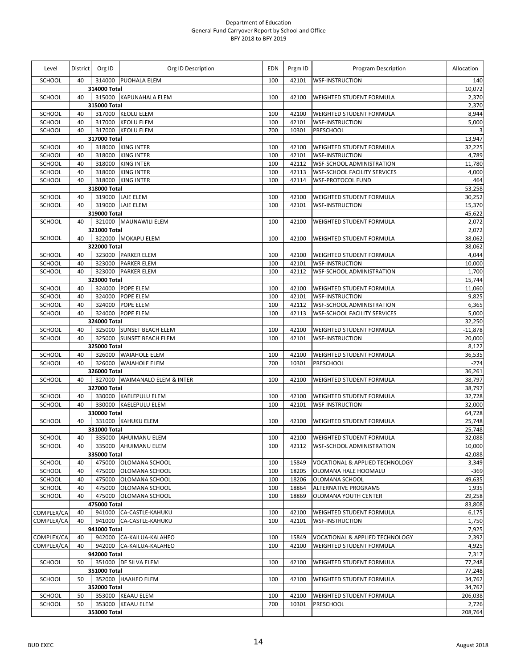| Level                    |          | District Org ID        | Org ID Description                            | <b>EDN</b> | Prgm ID        | Program Description                                                | Allocation       |
|--------------------------|----------|------------------------|-----------------------------------------------|------------|----------------|--------------------------------------------------------------------|------------------|
| <b>SCHOOL</b>            | 40       |                        | 314000 PUOHALA ELEM                           | 100        | 42101          | <b>WSF-INSTRUCTION</b>                                             | 140              |
|                          |          | 314000 Total           |                                               |            |                |                                                                    | 10,072           |
| SCHOOL                   | 40       | 315000 Total           | 315000 KAPUNAHALA ELEM                        | 100        | 42100          | <b>WEIGHTED STUDENT FORMULA</b>                                    | 2,370            |
| SCHOOL                   | 40       | 317000                 | <b>KEOLU ELEM</b>                             | 100        | 42100          | <b>WEIGHTED STUDENT FORMULA</b>                                    | 2,370<br>8,944   |
| SCHOOL                   | 40       |                        | 317000 KEOLU ELEM                             | 100        | 42101          | <b>WSF-INSTRUCTION</b>                                             | 5,000            |
| SCHOOL                   | 40       |                        | 317000 KEOLU ELEM                             | 700        | 10301          | PRESCHOOL                                                          | 3                |
|                          |          | 317000 Total           |                                               |            |                |                                                                    | 13,947           |
| SCHOOL                   | 40       |                        | 318000 KING INTER                             | 100        | 42100          | <b>WEIGHTED STUDENT FORMULA</b>                                    | 32,225           |
| SCHOOL                   | 40       | 318000                 | <b>KING INTER</b>                             | 100        | 42101          | <b>WSF-INSTRUCTION</b>                                             | 4,789            |
| SCHOOL                   | 40       | 318000                 | <b>KING INTER</b>                             | 100        | 42112          | <b>WSF-SCHOOL ADMINISTRATION</b>                                   | 11,780           |
| SCHOOL                   | 40       |                        | 318000 KING INTER                             | 100        | 42113          | <b>WSF-SCHOOL FACILITY SERVICES</b>                                | 4,000            |
| SCHOOL                   | 40       |                        | 318000 KING INTER                             | 100        | 42114          | <b>WSF-PROTOCOL FUND</b>                                           | 464              |
| SCHOOL                   | 40       | 318000 Total           | 319000 LAIE ELEM                              | 100        | 42100          | WEIGHTED STUDENT FORMULA                                           | 53,258<br>30,252 |
| SCHOOL                   | 40       |                        | 319000 LAIE ELEM                              | 100        | 42101          | <b>WSF-INSTRUCTION</b>                                             | 15,370           |
|                          |          | 319000 Total           |                                               |            |                |                                                                    | 45,622           |
| SCHOOL                   | 40       |                        | 321000 MAUNAWILI ELEM                         | 100        | 42100          | WEIGHTED STUDENT FORMULA                                           | 2,072            |
|                          |          | 321000 Total           |                                               |            |                |                                                                    | 2,072            |
| SCHOOL                   | 40       |                        | 322000 MOKAPU ELEM                            | 100        | 42100          | WEIGHTED STUDENT FORMULA                                           | 38,062           |
|                          |          | 322000 Total           |                                               |            |                |                                                                    | 38,062           |
| SCHOOL                   | 40       |                        | 323000 PARKER ELEM                            | 100        | 42100          | <b>WEIGHTED STUDENT FORMULA</b>                                    | 4,044            |
| SCHOOL                   | 40       |                        | 323000 PARKER ELEM                            | 100        | 42101          | <b>WSF-INSTRUCTION</b>                                             | 10,000           |
| SCHOOL                   | 40       |                        | 323000 PARKER ELEM                            | 100        | 42112          | <b>WSF-SCHOOL ADMINISTRATION</b>                                   | 1,700            |
|                          |          | 323000 Total           | 324000 POPE ELEM                              |            |                | <b>WEIGHTED STUDENT FORMULA</b>                                    | 15,744           |
| SCHOOL<br>SCHOOL         | 40<br>40 | 324000                 | <b>POPE ELEM</b>                              | 100<br>100 | 42100<br>42101 | <b>WSF-INSTRUCTION</b>                                             | 11,060<br>9,825  |
| SCHOOL                   | 40       |                        | 324000 POPE ELEM                              | 100        | 42112          | <b>WSF-SCHOOL ADMINISTRATION</b>                                   | 6,365            |
| SCHOOL                   | 40       |                        | 324000 POPE ELEM                              | 100        | 42113          | <b>WSF-SCHOOL FACILITY SERVICES</b>                                | 5,000            |
|                          |          | 324000 Total           |                                               |            |                |                                                                    | 32,250           |
| SCHOOL                   | 40       |                        | 325000 SUNSET BEACH ELEM                      | 100        | 42100          | <b>WEIGHTED STUDENT FORMULA</b>                                    | $-11,878$        |
| SCHOOL                   | 40       | 325000                 | <b>SUNSET BEACH ELEM</b>                      | 100        | 42101          | <b>WSF-INSTRUCTION</b>                                             | 20,000           |
|                          |          | 325000 Total           |                                               |            |                |                                                                    | 8,122            |
| SCHOOL                   | 40       |                        | 326000 WAIAHOLE ELEM                          | 100        | 42100          | <b>WEIGHTED STUDENT FORMULA</b>                                    | 36,535           |
| SCHOOL                   | 40       |                        | 326000 WAIAHOLE ELEM                          | 700        | 10301          | <b>PRESCHOOL</b>                                                   | $-274$           |
| SCHOOL                   | 40       | 326000 Total           | 327000 WAIMANALO ELEM & INTER                 | 100        | 42100          | WEIGHTED STUDENT FORMULA                                           | 36,261<br>38,797 |
|                          |          | 327000 Total           |                                               |            |                |                                                                    | 38,797           |
| SCHOOL                   | 40       |                        | 330000 KAELEPULU ELEM                         | 100        | 42100          | <b>WEIGHTED STUDENT FORMULA</b>                                    | 32,728           |
| SCHOOL                   | 40       |                        | 330000 KAELEPULU ELEM                         | 100        | 42101          | <b>WSF-INSTRUCTION</b>                                             | 32,000           |
|                          |          | 330000 Total           |                                               |            |                |                                                                    | 64,728           |
| SCHOOL                   | 40       |                        | 331000 KAHUKU ELEM                            | 100        | 42100          | <b>WEIGHTED STUDENT FORMULA</b>                                    | 25,748           |
|                          |          | 331000 Total           |                                               |            |                |                                                                    | 25,748           |
| SCHOOL                   | 40       |                        | 335000 AHUIMANU ELEM                          | 100        |                | 42100 WEIGHTED STUDENT FORMULA                                     | 32,088           |
| SCHOOL                   | 40       |                        | 335000 AHUIMANU ELEM                          | 100        | 42112          | <b>WSF-SCHOOL ADMINISTRATION</b>                                   | 10,000           |
|                          | 40       | 335000 Total<br>475000 |                                               | 100        | 15849          |                                                                    | 42,088           |
| SCHOOL<br>SCHOOL         | 40       | 475000                 | OLOMANA SCHOOL<br>OLOMANA SCHOOL              | 100        | 18205          | VOCATIONAL & APPLIED TECHNOLOGY<br>OLOMANA HALE HOOMALU            | 3,349<br>$-369$  |
| SCHOOL                   | 40       | 475000                 | OLOMANA SCHOOL                                | 100        | 18206          | OLOMANA SCHOOL                                                     | 49,635           |
| SCHOOL                   | 40       | 475000                 | OLOMANA SCHOOL                                | 100        | 18864          | <b>ALTERNATIVE PROGRAMS</b>                                        | 1,935            |
| SCHOOL                   | 40       | 475000                 | OLOMANA SCHOOL                                | 100        | 18869          | <b>OLOMANA YOUTH CENTER</b>                                        | 29,258           |
|                          |          | 475000 Total           |                                               |            |                |                                                                    | 83,808           |
| COMPLEX/CA               | 40       |                        | 941000 CA-CASTLE-KAHUKU                       | 100        | 42100          | <b>WEIGHTED STUDENT FORMULA</b>                                    | 6,175            |
| COMPLEX/CA               | 40       |                        | 941000 CA-CASTLE-KAHUKU                       | 100        | 42101          | <b>WSF-INSTRUCTION</b>                                             | 1,750            |
|                          |          | 941000 Total           |                                               |            |                |                                                                    | 7,925            |
| COMPLEX/CA<br>COMPLEX/CA | 40<br>40 | 942000                 | 942000 CA-KAILUA-KALAHEO<br>CA-KAILUA-KALAHEO | 100<br>100 | 15849<br>42100 | VOCATIONAL & APPLIED TECHNOLOGY<br><b>WEIGHTED STUDENT FORMULA</b> | 2,392<br>4,925   |
|                          |          | 942000 Total           |                                               |            |                |                                                                    | 7,317            |
| SCHOOL                   | 50       |                        | 351000 DE SILVA ELEM                          | 100        | 42100          | WEIGHTED STUDENT FORMULA                                           | 77,248           |
|                          |          | 351000 Total           |                                               |            |                |                                                                    | 77,248           |
| SCHOOL                   | 50       |                        | 352000 HAAHEO ELEM                            | 100        | 42100          | WEIGHTED STUDENT FORMULA                                           | 34,762           |
|                          |          | 352000 Total           |                                               |            |                |                                                                    | 34,762           |
| SCHOOL                   | 50       |                        | 353000 KEAAU ELEM                             | 100        | 42100          | WEIGHTED STUDENT FORMULA                                           | 206,038          |
| SCHOOL                   | 50       |                        | 353000 KEAAU ELEM                             | 700        | 10301          | <b>PRESCHOOL</b>                                                   | 2,726            |
|                          |          | 353000 Total           |                                               |            |                |                                                                    | 208,764          |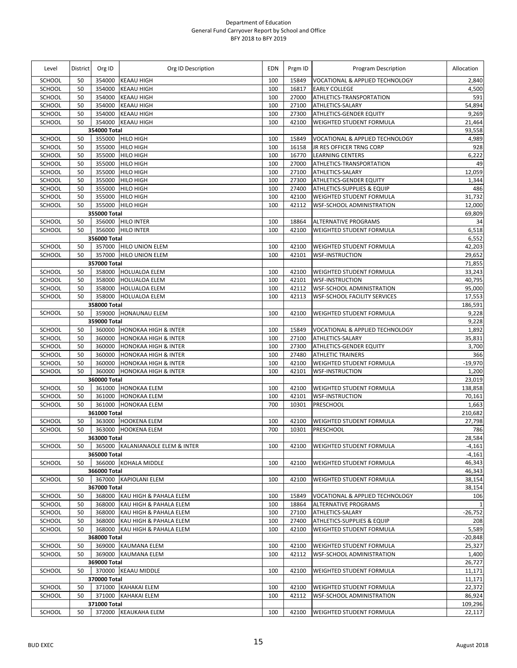| Level            | District | Org ID                 | Org ID Description                   | <b>EDN</b> | Prgm ID        | Program Description                                     | Allocation       |
|------------------|----------|------------------------|--------------------------------------|------------|----------------|---------------------------------------------------------|------------------|
| <b>SCHOOL</b>    | 50       | 354000                 | <b>KEAAU HIGH</b>                    | 100        | 15849          | VOCATIONAL & APPLIED TECHNOLOGY                         | 2,840            |
| SCHOOL           | 50       | 354000                 | <b>KEAAU HIGH</b>                    | 100        | 16817          | EARLY COLLEGE                                           | 4,500            |
| SCHOOL           | 50       | 354000                 | <b>KEAAU HIGH</b>                    | 100        | 27000          | ATHLETICS-TRANSPORTATION                                | 591              |
| SCHOOL           | 50       | 354000                 | <b>KEAAU HIGH</b>                    | 100        | 27100          | ATHLETICS-SALARY                                        | 54,894           |
| SCHOOL           | 50       | 354000                 | <b>KEAAU HIGH</b>                    | 100        | 27300          | ATHLETICS-GENDER EQUITY                                 | 9,269            |
| SCHOOL           | 50       | 354000                 | <b>KEAAU HIGH</b>                    | 100        | 42100          | WEIGHTED STUDENT FORMULA                                | 21,464           |
|                  |          | 354000 Total           |                                      |            |                |                                                         | 93,558           |
| SCHOOL           | 50       | 355000                 | <b>HILO HIGH</b>                     | 100        | 15849          | VOCATIONAL & APPLIED TECHNOLOGY                         | 4,989            |
| SCHOOL           | 50       | 355000                 | <b>HILO HIGH</b>                     | 100        | 16158          | JR RES OFFICER TRNG CORP                                | 928              |
| SCHOOL           | 50       | 355000                 | <b>HILO HIGH</b>                     | 100        | 16770          | <b>LEARNING CENTERS</b>                                 | 6,222            |
| SCHOOL           | 50       | 355000                 | <b>HILO HIGH</b>                     | 100        | 27000          | ATHLETICS-TRANSPORTATION                                | 49               |
| SCHOOL<br>SCHOOL | 50       | 355000                 | <b>HILO HIGH</b><br><b>HILO HIGH</b> | 100        | 27100<br>27300 | ATHLETICS-SALARY                                        | 12,059           |
|                  | 50       | 355000                 |                                      | 100        |                | ATHLETICS-GENDER EQUITY                                 | 1,344            |
| SCHOOL           | 50<br>50 | 355000<br>355000       | <b>HILO HIGH</b>                     | 100<br>100 | 27400<br>42100 | ATHLETICS-SUPPLIES & EQUIP                              | 486              |
| SCHOOL           | 50       |                        | <b>HILO HIGH</b>                     | 100        | 42112          | WEIGHTED STUDENT FORMULA                                | 31,732           |
| SCHOOL           |          | 355000<br>355000 Total | <b>HILO HIGH</b>                     |            |                | WSF-SCHOOL ADMINISTRATION                               | 12,000<br>69,809 |
| SCHOOL           | 50       |                        | 356000 HILO INTER                    | 100        | 18864          |                                                         | 34               |
| SCHOOL           | 50       | 356000                 | <b>HILO INTER</b>                    | 100        | 42100          | ALTERNATIVE PROGRAMS<br><b>WEIGHTED STUDENT FORMULA</b> | 6,518            |
|                  |          | 356000 Total           |                                      |            |                |                                                         | 6,552            |
| SCHOOL           | 50       |                        | 357000 HILO UNION ELEM               | 100        | 42100          | WEIGHTED STUDENT FORMULA                                | 42,203           |
| SCHOOL           | 50       | 357000                 | <b>HILO UNION ELEM</b>               | 100        | 42101          | <b>WSF-INSTRUCTION</b>                                  | 29,652           |
|                  |          | 357000 Total           |                                      |            |                |                                                         | 71,855           |
| SCHOOL           | 50       |                        | 358000 HOLUALOA ELEM                 | 100        | 42100          | WEIGHTED STUDENT FORMULA                                | 33,243           |
| SCHOOL           | 50       | 358000                 | <b>HOLUALOA ELEM</b>                 | 100        | 42101          | <b>WSF-INSTRUCTION</b>                                  | 40,795           |
| SCHOOL           | 50       | 358000                 | <b>HOLUALOA ELEM</b>                 | 100        | 42112          | WSF-SCHOOL ADMINISTRATION                               | 95,000           |
| SCHOOL           | 50       | 358000                 | <b>HOLUALOA ELEM</b>                 | 100        | 42113          | <b>WSF-SCHOOL FACILITY SERVICES</b>                     | 17,553           |
|                  |          | 358000 Total           |                                      |            |                |                                                         | 186,591          |
| SCHOOL           | 50       |                        | 359000 HONAUNAU ELEM                 | 100        | 42100          | WEIGHTED STUDENT FORMULA                                | 9,228            |
|                  |          | 359000 Total           |                                      |            |                |                                                         | 9,228            |
| SCHOOL           | 50       |                        | 360000 HONOKAA HIGH & INTER          | 100        | 15849          | VOCATIONAL & APPLIED TECHNOLOGY                         | 1,892            |
| SCHOOL           | 50       | 360000                 | <b>HONOKAA HIGH &amp; INTER</b>      | 100        | 27100          | ATHLETICS-SALARY                                        | 35,831           |
| SCHOOL           | 50       | 360000                 | <b>HONOKAA HIGH &amp; INTER</b>      | 100        | 27300          | ATHLETICS-GENDER EQUITY                                 | 3,700            |
| SCHOOL           | 50       | 360000                 | <b>HONOKAA HIGH &amp; INTER</b>      | 100        | 27480          | <b>ATHLETIC TRAINERS</b>                                | 366              |
| SCHOOL           | 50       | 360000                 | <b>HONOKAA HIGH &amp; INTER</b>      | 100        | 42100          | WEIGHTED STUDENT FORMULA                                | $-19,970$        |
| SCHOOL           | 50       | 360000                 | <b>HONOKAA HIGH &amp; INTER</b>      | 100        | 42101          | <b>WSF-INSTRUCTION</b>                                  | 1,200            |
|                  |          | 360000 Total           |                                      |            |                |                                                         | 23,019           |
| SCHOOL           | 50       |                        | 361000 HONOKAA ELEM                  | 100        | 42100          | <b>WEIGHTED STUDENT FORMULA</b>                         | 138,858          |
| SCHOOL           | 50       | 361000                 | <b>HONOKAA ELEM</b>                  | 100        | 42101          | <b>WSF-INSTRUCTION</b>                                  | 70,161           |
| SCHOOL           | 50       | 361000                 | <b>HONOKAA ELEM</b>                  | 700        | 10301          | PRESCHOOL                                               | 1,663            |
|                  |          | 361000 Total           |                                      |            |                |                                                         | 210,682          |
| SCHOOL           | 50       |                        | 363000 HOOKENA ELEM                  | 100        | 42100          | <b>WEIGHTED STUDENT FORMULA</b>                         | 27,798           |
| SCHOOL           | 50       |                        | 363000 HOOKENA ELEM                  | 700        | 10301          | PRESCHOOL                                               | 786              |
|                  |          | 363000 Total           |                                      |            |                |                                                         | 28,584           |
| SCHOOL           | 50       |                        | 365000 KALANIANAOLE ELEM & INTER     | 100        | 42100          | <b>WEIGHTED STUDENT FORMULA</b>                         | $-4,161$         |
|                  |          | 365000 Total           |                                      |            |                |                                                         | $-4,161$         |
| SCHOOL           | 50       |                        | 366000 KOHALA MIDDLE                 | 100        | 42100          | WEIGHTED STUDENT FORMULA                                | 46,343           |
|                  |          | 366000 Total           |                                      |            |                |                                                         | 46,343           |
| SCHOOL           | 50       |                        | 367000 KAPIOLANI ELEM                | 100        | 42100          | WEIGHTED STUDENT FORMULA                                | 38,154           |
|                  |          | 367000 Total           |                                      |            |                |                                                         | 38,154           |
| SCHOOL           | 50       |                        | 368000 KAU HIGH & PAHALA ELEM        | 100        | 15849          | <b>VOCATIONAL &amp; APPLIED TECHNOLOGY</b>              | 106              |
| SCHOOL           | 50       | 368000                 | KAU HIGH & PAHALA ELEM               | 100        | 18864          | <b>ALTERNATIVE PROGRAMS</b>                             | $\mathbf{1}$     |
| SCHOOL           | 50       |                        | 368000 KAU HIGH & PAHALA ELEM        | 100        | 27100          | ATHLETICS-SALARY                                        | $-26,752$        |
| SCHOOL           | 50       |                        | 368000 KAU HIGH & PAHALA ELEM        | 100        | 27400          | ATHLETICS-SUPPLIES & EQUIP                              | 208              |
| SCHOOL           | 50       |                        | 368000 KAU HIGH & PAHALA ELEM        | 100        | 42100          | WEIGHTED STUDENT FORMULA                                | 5,589            |
|                  |          | 368000 Total           |                                      |            |                |                                                         | $-20,848$        |
| SCHOOL           | 50       |                        | 369000 KAUMANA ELEM                  | 100        | 42100          | WEIGHTED STUDENT FORMULA                                | 25,327           |
| SCHOOL           | 50       |                        | 369000 KAUMANA ELEM                  | 100        | 42112          | WSF-SCHOOL ADMINISTRATION                               | 1,400            |
|                  |          | 369000 Total           |                                      |            |                |                                                         | 26,727           |
| SCHOOL           | 50       |                        | 370000 KEAAU MIDDLE                  | 100        | 42100          | WEIGHTED STUDENT FORMULA                                | 11,171           |
|                  |          | 370000 Total           |                                      |            |                |                                                         | 11,171           |
| SCHOOL           | 50       |                        | 371000 KAHAKAI ELEM                  | 100        | 42100          | WEIGHTED STUDENT FORMULA                                | 22,372           |
| SCHOOL           | 50       |                        | 371000 KAHAKAI ELEM                  | 100        | 42112          | WSF-SCHOOL ADMINISTRATION                               | 86,924           |
|                  |          | 371000 Total           |                                      |            |                |                                                         | 109,296          |
| SCHOOL           | 50       |                        | 372000 KEAUKAHA ELEM                 | 100        | 42100          | WEIGHTED STUDENT FORMULA                                | 22,117           |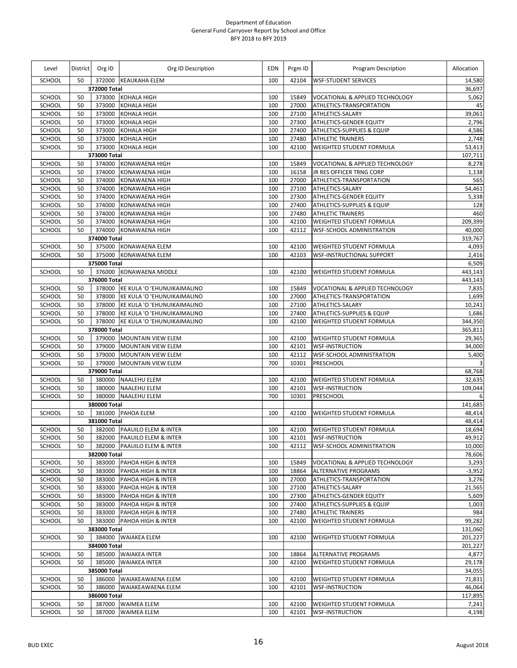| Level                   | <b>District</b> | Org ID           | Org ID Description                                                | <b>EDN</b> | Prgm ID        | <b>Program Description</b>                                       | Allocation       |
|-------------------------|-----------------|------------------|-------------------------------------------------------------------|------------|----------------|------------------------------------------------------------------|------------------|
| SCHOOL                  | 50              |                  | 372000 KEAUKAHA ELEM                                              | 100        | 42104          | <b>WSF-STUDENT SERVICES</b>                                      | 14,580           |
|                         |                 | 372000 Total     |                                                                   |            |                |                                                                  | 36,697           |
| SCHOOL                  | 50              |                  | 373000 KOHALA HIGH                                                | 100        | 15849          | VOCATIONAL & APPLIED TECHNOLOGY                                  | 5,062            |
| <b>SCHOOL</b><br>SCHOOL | 50<br>50        | 373000<br>373000 | <b>KOHALA HIGH</b><br><b>KOHALA HIGH</b>                          | 100<br>100 | 27000<br>27100 | ATHLETICS-TRANSPORTATION<br>ATHLETICS-SALARY                     | 45<br>39,061     |
| SCHOOL                  | 50              | 373000           | <b>KOHALA HIGH</b>                                                | 100        | 27300          | <b>ATHLETICS-GENDER EQUITY</b>                                   | 2,796            |
| SCHOOL                  | 50              | 373000           | <b>KOHALA HIGH</b>                                                | 100        | 27400          | <b>ATHLETICS-SUPPLIES &amp; EQUIP</b>                            | 4,586            |
| SCHOOL                  | 50              | 373000           | <b>KOHALA HIGH</b>                                                | 100        | 27480          | <b>ATHLETIC TRAINERS</b>                                         | 2,748            |
| SCHOOL                  | 50              | 373000           | KOHALA HIGH                                                       | 100        | 42100          | WEIGHTED STUDENT FORMULA                                         | 53,413           |
|                         |                 | 373000 Total     |                                                                   |            |                |                                                                  | 107,711          |
| <b>SCHOOL</b>           | 50              | 374000           | KONAWAENA HIGH                                                    | 100        | 15849          | VOCATIONAL & APPLIED TECHNOLOGY                                  | 8,278            |
| SCHOOL                  | 50              | 374000           | <b>KONAWAENA HIGH</b>                                             | 100        | 16158          | JR RES OFFICER TRNG CORP                                         | 1,138            |
| SCHOOL                  | 50              | 374000           | <b>KONAWAENA HIGH</b>                                             | 100        | 27000          | ATHLETICS-TRANSPORTATION                                         | 565              |
| SCHOOL<br>SCHOOL        | 50<br>50        | 374000<br>374000 | KONAWAENA HIGH<br><b>KONAWAENA HIGH</b>                           | 100<br>100 | 27100<br>27300 | <b>ATHLETICS-SALARY</b><br><b>ATHLETICS-GENDER EQUITY</b>        | 54,461<br>5,338  |
| SCHOOL                  | 50              | 374000           | KONAWAENA HIGH                                                    | 100        | 27400          | ATHLETICS-SUPPLIES & EQUIP                                       | 128              |
| SCHOOL                  | 50              | 374000           | KONAWAENA HIGH                                                    | 100        | 27480          | <b>ATHLETIC TRAINERS</b>                                         | 460              |
| SCHOOL                  | 50              | 374000           | KONAWAENA HIGH                                                    | 100        | 42100          | <b>WEIGHTED STUDENT FORMULA</b>                                  | 209,399          |
| SCHOOL                  | 50              | 374000           | <b>KONAWAENA HIGH</b>                                             | 100        | 42112          | WSF-SCHOOL ADMINISTRATION                                        | 40,000           |
|                         |                 | 374000 Total     |                                                                   |            |                |                                                                  | 319,767          |
| SCHOOL                  | 50              |                  | 375000 KONAWAENA ELEM                                             | 100        | 42100          | <b>WEIGHTED STUDENT FORMULA</b>                                  | 4,093            |
| SCHOOL                  | 50              | 375000           | <b>KONAWAENA ELEM</b>                                             | 100        | 42103          | <b>WSF-INSTRUCTIONAL SUPPORT</b>                                 | 2,416            |
|                         |                 | 375000 Total     |                                                                   |            |                |                                                                  | 6,509            |
| SCHOOL                  | 50              |                  | 376000 KONAWAENA MIDDLE                                           | 100        | 42100          | WEIGHTED STUDENT FORMULA                                         | 443,143          |
|                         |                 | 376000 Total     |                                                                   |            |                |                                                                  | 443,143          |
| SCHOOL                  | 50              |                  | 378000 KE KULA 'O 'EHUNUIKAIMALINO                                | 100        | 15849          | VOCATIONAL & APPLIED TECHNOLOGY                                  | 7,835            |
| SCHOOL                  | 50              | 378000           | KE KULA 'O 'EHUNUIKAIMALINO                                       | 100        | 27000          | ATHLETICS-TRANSPORTATION                                         | 1,699            |
| SCHOOL<br>SCHOOL        | 50<br>50        | 378000           | 378000 KE KULA 'O 'EHUNUIKAIMALINO<br>KE KULA 'O 'EHUNUIKAIMALINO | 100<br>100 | 27100<br>27400 | <b>ATHLETICS-SALARY</b><br><b>ATHLETICS-SUPPLIES &amp; EQUIP</b> | 10,241<br>1,686  |
| SCHOOL                  | 50              | 378000           | KE KULA 'O 'EHUNUIKAIMALINO                                       | 100        | 42100          | WEIGHTED STUDENT FORMULA                                         | 344,350          |
|                         |                 | 378000 Total     |                                                                   |            |                |                                                                  | 365,811          |
| <b>SCHOOL</b>           | 50              |                  | 379000 MOUNTAIN VIEW ELEM                                         | 100        | 42100          | <b>WEIGHTED STUDENT FORMULA</b>                                  | 29,365           |
| SCHOOL                  | 50              | 379000           | <b>MOUNTAIN VIEW ELEM</b>                                         | 100        | 42101          | <b>WSF-INSTRUCTION</b>                                           | 34,000           |
| SCHOOL                  | 50              | 379000           | <b>MOUNTAIN VIEW ELEM</b>                                         | 100        | 42112          | <b>WSF-SCHOOL ADMINISTRATION</b>                                 | 5,400            |
| SCHOOL                  | 50              | 379000           | <b>MOUNTAIN VIEW ELEM</b>                                         | 700        | 10301          | PRESCHOOL                                                        | 3                |
|                         |                 | 379000 Total     |                                                                   |            |                |                                                                  | 68,768           |
| SCHOOL                  | 50              |                  | 380000 NAALEHU ELEM                                               | 100        | 42100          | <b>WEIGHTED STUDENT FORMULA</b>                                  | 32,635           |
| SCHOOL                  | 50              | 380000           | <b>NAALEHU ELEM</b>                                               | 100        | 42101          | <b>WSF-INSTRUCTION</b>                                           | 109,044          |
| <b>SCHOOL</b>           | 50              |                  | 380000 NAALEHU ELEM                                               | 700        | 10301          | PRESCHOOL                                                        | 6                |
| SCHOOL                  | 50              | 380000 Total     | 381000 PAHOA ELEM                                                 | 100        | 42100          | WEIGHTED STUDENT FORMULA                                         | 141,685          |
|                         |                 | 381000 Total     |                                                                   |            |                |                                                                  | 48,414<br>48,414 |
| <b>SCHOOL</b>           | 50              |                  | 382000 PAAUILO ELEM & INTER                                       | 100        | 42100          | <b>WEIGHTED STUDENT FORMULA</b>                                  | 18,694           |
| SCHOOL                  | 50              |                  | 382000 PAAUILO ELEM & INTER                                       | 100        | 42101          | <b>WSF-INSTRUCTION</b>                                           | 49,912           |
| SCHOOL                  | 50              |                  | 382000 PAAUILO ELEM & INTER                                       | 100        | 42112          | <b>WSF-SCHOOL ADMINISTRATION</b>                                 | 10,000           |
|                         |                 | 382000 Total     |                                                                   |            |                |                                                                  | 78,606           |
| SCHOOL                  | 50              |                  | 383000 PAHOA HIGH & INTER                                         | 100        | 15849          | <b>VOCATIONAL &amp; APPLIED TECHNOLOGY</b>                       | 3,293            |
| SCHOOL                  | 50              | 383000           | <b>PAHOA HIGH &amp; INTER</b>                                     | 100        | 18864          | <b>ALTERNATIVE PROGRAMS</b>                                      | $-3,952$         |
| SCHOOL                  | 50              | 383000           | PAHOA HIGH & INTER                                                | 100        | 27000          | ATHLETICS-TRANSPORTATION                                         | 3,276            |
| SCHOOL                  | 50              | 383000           | PAHOA HIGH & INTER                                                | 100        | 27100          | ATHLETICS-SALARY                                                 | 21,565           |
| SCHOOL                  | 50              | 383000           | PAHOA HIGH & INTER                                                | 100        | 27300          | <b>ATHLETICS-GENDER EQUITY</b>                                   | 5,609            |
| SCHOOL                  | 50              | 383000           | PAHOA HIGH & INTER                                                | 100        | 27400          | ATHLETICS-SUPPLIES & EQUIP                                       | 1,003            |
| SCHOOL<br>SCHOOL        | 50<br>50        | 383000           | PAHOA HIGH & INTER<br>383000 PAHOA HIGH & INTER                   | 100<br>100 | 27480<br>42100 | <b>ATHLETIC TRAINERS</b><br><b>WEIGHTED STUDENT FORMULA</b>      | 984<br>99,282    |
|                         |                 | 383000 Total     |                                                                   |            |                |                                                                  | 131,060          |
| SCHOOL                  | 50              |                  | 384000 WAIAKEA ELEM                                               | 100        | 42100          | <b>WEIGHTED STUDENT FORMULA</b>                                  | 201,227          |
|                         |                 | 384000 Total     |                                                                   |            |                |                                                                  | 201,227          |
| SCHOOL                  | 50              |                  | 385000 WAIAKEA INTER                                              | 100        | 18864          | <b>ALTERNATIVE PROGRAMS</b>                                      | 4,877            |
| SCHOOL                  | 50              |                  | 385000 WAIAKEA INTER                                              | 100        | 42100          | <b>WEIGHTED STUDENT FORMULA</b>                                  | 29,178           |
|                         |                 | 385000 Total     |                                                                   |            |                |                                                                  | 34,055           |
| SCHOOL                  | 50              |                  | 386000 WAIAKEAWAENA ELEM                                          | 100        | 42100          | <b>WEIGHTED STUDENT FORMULA</b>                                  | 71,831           |
| SCHOOL                  | 50              | 386000           | WAIAKEAWAENA ELEM                                                 | 100        | 42101          | <b>WSF-INSTRUCTION</b>                                           | 46,064           |
|                         |                 | 386000 Total     |                                                                   |            |                |                                                                  | 117,895          |
| SCHOOL                  | 50              | 387000           | <b>WAIMEA ELEM</b>                                                | 100        | 42100          | <b>WEIGHTED STUDENT FORMULA</b>                                  | 7,241            |
| SCHOOL                  | 50              | 387000           | <b>WAIMEA ELEM</b>                                                | 100        | 42101          | <b>WSF-INSTRUCTION</b>                                           | 4,198            |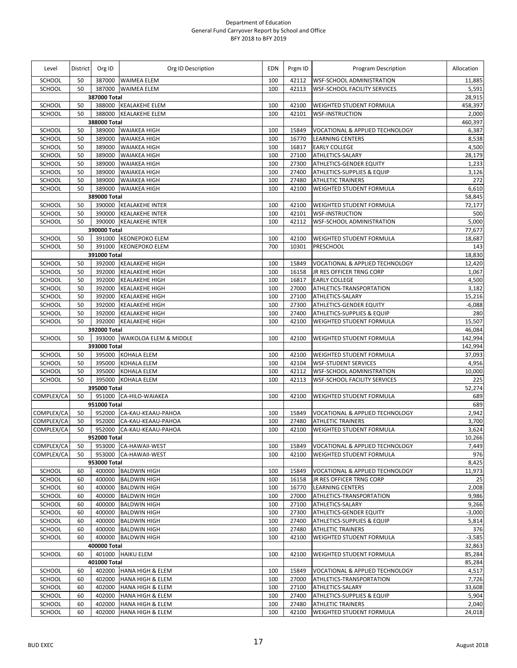| Level                   | District | Org ID                 | Org ID Description                             | <b>EDN</b> | Prgm ID        | Program Description                                         | Allocation         |
|-------------------------|----------|------------------------|------------------------------------------------|------------|----------------|-------------------------------------------------------------|--------------------|
| SCHOOL                  | 50       |                        | 387000 WAIMEA ELEM                             | 100        | 42112          | <b>WSF-SCHOOL ADMINISTRATION</b>                            | 11,885             |
| SCHOOL                  | 50       |                        | 387000 WAIMEA ELEM                             | 100        | 42113          | <b>WSF-SCHOOL FACILITY SERVICES</b>                         | 5,591              |
|                         |          | 387000 Total           |                                                |            |                |                                                             | 28,915             |
| SCHOOL                  | 50       |                        | 388000 KEALAKEHE ELEM                          | 100        | 42100          | <b>WEIGHTED STUDENT FORMULA</b>                             | 458,397            |
| SCHOOL                  | 50       | 388000                 | <b>KEALAKEHE ELEM</b>                          | 100        | 42101          | <b>WSF-INSTRUCTION</b>                                      | 2,000              |
|                         |          | 388000 Total           |                                                |            |                |                                                             | 460,397            |
| <b>SCHOOL</b><br>SCHOOL | 50<br>50 | 389000<br>389000       | <b>WAIAKEA HIGH</b><br><b>WAIAKEA HIGH</b>     | 100<br>100 | 15849<br>16770 | VOCATIONAL & APPLIED TECHNOLOGY<br><b>LEARNING CENTERS</b>  | 6,387<br>8,538     |
| SCHOOL                  | 50       | 389000                 | <b>WAIAKEA HIGH</b>                            | 100        | 16817          | <b>EARLY COLLEGE</b>                                        | 4,500              |
| SCHOOL                  | 50       | 389000                 | <b>WAIAKEA HIGH</b>                            | 100        | 27100          | ATHLETICS-SALARY                                            | 28,179             |
| SCHOOL                  | 50       | 389000                 | <b>WAIAKEA HIGH</b>                            | 100        | 27300          | ATHLETICS-GENDER EQUITY                                     | 1,233              |
| SCHOOL                  | 50       | 389000                 | <b>WAIAKEA HIGH</b>                            | 100        | 27400          | ATHLETICS-SUPPLIES & EQUIP                                  | 3,126              |
| SCHOOL                  | 50       | 389000                 | <b>WAIAKEA HIGH</b>                            | 100        | 27480          | <b>ATHLETIC TRAINERS</b>                                    | 272                |
| <b>SCHOOL</b>           | 50       | 389000                 | <b>WAIAKEA HIGH</b>                            | 100        | 42100          | WEIGHTED STUDENT FORMULA                                    | 6,610              |
|                         |          | 389000 Total           |                                                |            |                |                                                             | 58,845             |
| SCHOOL                  | 50       | 390000                 | <b>KEALAKEHE INTER</b>                         | 100        | 42100          | WEIGHTED STUDENT FORMULA                                    | 72,177             |
| SCHOOL                  | 50       | 390000                 | <b>KEALAKEHE INTER</b>                         | 100        | 42101          | <b>WSF-INSTRUCTION</b>                                      | 500                |
| SCHOOL                  | 50       | 390000                 | <b>KEALAKEHE INTER</b>                         | 100        | 42112          | <b>WSF-SCHOOL ADMINISTRATION</b>                            | 5,000              |
|                         |          | 390000 Total           |                                                |            |                |                                                             | 77,677             |
| SCHOOL                  | 50       | 391000                 | <b>KEONEPOKO ELEM</b>                          | 100        | 42100          | <b>WEIGHTED STUDENT FORMULA</b>                             | 18,687             |
| SCHOOL                  | 50       | 391000                 | <b>KEONEPOKO ELEM</b>                          | 700        | 10301          | PRESCHOOL                                                   | 143                |
|                         |          | 391000 Total           |                                                |            |                |                                                             | 18,830             |
| SCHOOL                  | 50       | 392000                 | <b>KEALAKEHE HIGH</b>                          | 100        | 15849          | VOCATIONAL & APPLIED TECHNOLOGY                             | 12,420             |
| SCHOOL                  | 50       | 392000                 | <b>KEALAKEHE HIGH</b>                          | 100        | 16158          | JR RES OFFICER TRNG CORP                                    | 1,067              |
| SCHOOL                  | 50       | 392000                 | <b>KEALAKEHE HIGH</b>                          | 100        | 16817          | <b>EARLY COLLEGE</b>                                        | 4,500              |
| SCHOOL<br>SCHOOL        | 50       | 392000                 | <b>KEALAKEHE HIGH</b>                          | 100        | 27000<br>27100 | ATHLETICS-TRANSPORTATION                                    | 3,182              |
| SCHOOL                  | 50<br>50 | 392000                 | <b>KEALAKEHE HIGH</b>                          | 100<br>100 |                | ATHLETICS-SALARY<br><b>ATHLETICS-GENDER EQUITY</b>          | 15,216<br>$-6,088$ |
| SCHOOL                  | 50       | 392000<br>392000       | <b>KEALAKEHE HIGH</b><br><b>KEALAKEHE HIGH</b> | 100        | 27300<br>27400 | ATHLETICS-SUPPLIES & EQUIP                                  | 280                |
| SCHOOL                  | 50       | 392000                 | <b>KEALAKEHE HIGH</b>                          | 100        | 42100          | WEIGHTED STUDENT FORMULA                                    | 15,507             |
|                         |          | 392000 Total           |                                                |            |                |                                                             | 46,084             |
| SCHOOL                  | 50       |                        | 393000 WAIKOLOA ELEM & MIDDLE                  | 100        | 42100          | <b>WEIGHTED STUDENT FORMULA</b>                             | 142,994            |
|                         |          | 393000 Total           |                                                |            |                |                                                             | 142,994            |
| SCHOOL                  | 50       | 395000                 | <b>KOHALA ELEM</b>                             | 100        | 42100          | <b>WEIGHTED STUDENT FORMULA</b>                             | 37,093             |
| SCHOOL                  | 50       | 395000                 | KOHALA ELEM                                    | 100        | 42104          | <b>WSF-STUDENT SERVICES</b>                                 | 4,956              |
| SCHOOL                  | 50       | 395000                 | <b>KOHALA ELEM</b>                             | 100        | 42112          | WSF-SCHOOL ADMINISTRATION                                   | 10,000             |
| SCHOOL                  | 50       | 395000                 | <b>KOHALA ELEM</b>                             | 100        | 42113          | WSF-SCHOOL FACILITY SERVICES                                | 225                |
|                         |          | 395000 Total           |                                                |            |                |                                                             | 52,274             |
| COMPLEX/CA              | 50       |                        | 951000 CA-HILO-WAIAKEA                         | 100        | 42100          | WEIGHTED STUDENT FORMULA                                    | 689                |
|                         |          | 951000 Total           |                                                |            |                |                                                             | 689                |
| COMPLEX/CA              | 50       |                        | 952000 CA-KAU-KEAAU-PAHOA                      | 100        | 15849          | VOCATIONAL & APPLIED TECHNOLOGY                             | 2,942              |
| COMPLEX/CA              | 50       |                        | 952000 CA-KAU-KEAAU-PAHOA                      | 100        | 27480          | <b>ATHLETIC TRAINERS</b>                                    | 3,700              |
| COMPLEX/CA              | 50       |                        | 952000 CA-KAU-KEAAU-PAHOA                      | 100        | 42100          | <b>WEIGHTED STUDENT FORMULA</b>                             | 3,624              |
|                         |          | 952000 Total           |                                                |            |                |                                                             | 10,266             |
| COMPLEX/CA              | 50       |                        | 953000 CA-HAWAII-WEST                          | 100        | 15849          | VOCATIONAL & APPLIED TECHNOLOGY                             | 7,449              |
| COMPLEX/CA              | 50       | 953000<br>953000 Total | CA-HAWAII-WEST                                 | 100        | 42100          | <b>WEIGHTED STUDENT FORMULA</b>                             | 976<br>8,425       |
|                         |          |                        |                                                | 100        |                |                                                             |                    |
| SCHOOL<br>SCHOOL        | 60<br>60 | 400000                 | 400000 BALDWIN HIGH<br><b>BALDWIN HIGH</b>     | 100        | 15849<br>16158 | VOCATIONAL & APPLIED TECHNOLOGY<br>JR RES OFFICER TRNG CORP | 11,973<br>25       |
| SCHOOL                  | 60       | 400000                 | <b>BALDWIN HIGH</b>                            | 100        | 16770          | <b>LEARNING CENTERS</b>                                     | 2,008              |
| SCHOOL                  | 60       | 400000                 | <b>BALDWIN HIGH</b>                            | 100        | 27000          | ATHLETICS-TRANSPORTATION                                    | 9,986              |
| SCHOOL                  | 60       | 400000                 | <b>BALDWIN HIGH</b>                            | 100        | 27100          | ATHLETICS-SALARY                                            | 9,266              |
| SCHOOL                  | 60       | 400000                 | <b>BALDWIN HIGH</b>                            | 100        | 27300          | <b>ATHLETICS-GENDER EQUITY</b>                              | $-3,000$           |
| SCHOOL                  | 60       | 400000                 | <b>BALDWIN HIGH</b>                            | 100        | 27400          | ATHLETICS-SUPPLIES & EQUIP                                  | 5,814              |
| SCHOOL                  | 60       | 400000                 | <b>BALDWIN HIGH</b>                            | 100        | 27480          | <b>ATHLETIC TRAINERS</b>                                    | 376                |
| SCHOOL                  | 60       |                        | 400000 BALDWIN HIGH                            | 100        | 42100          | WEIGHTED STUDENT FORMULA                                    | $-3,585$           |
|                         |          | 400000 Total           |                                                |            |                |                                                             | 32,863             |
| SCHOOL                  | 60       |                        | 401000 HAIKU ELEM                              | 100        | 42100          | WEIGHTED STUDENT FORMULA                                    | 85,284             |
|                         |          | 401000 Total           |                                                |            |                |                                                             | 85,284             |
| SCHOOL                  | 60       | 402000                 | <b>HANA HIGH &amp; ELEM</b>                    | 100        | 15849          | VOCATIONAL & APPLIED TECHNOLOGY                             | 4,517              |
| SCHOOL                  | 60       | 402000                 | <b>HANA HIGH &amp; ELEM</b>                    | 100        | 27000          | ATHLETICS-TRANSPORTATION                                    | 7,726              |
| SCHOOL                  | 60       | 402000                 | HANA HIGH & ELEM                               | 100        | 27100          | ATHLETICS-SALARY                                            | 33,608             |
| SCHOOL                  | 60       | 402000                 | <b>HANA HIGH &amp; ELEM</b>                    | 100        | 27400          | <b>ATHLETICS-SUPPLIES &amp; EQUIP</b>                       | 5,904              |
| SCHOOL                  | 60       | 402000                 | <b>HANA HIGH &amp; ELEM</b>                    | 100        | 27480          | <b>ATHLETIC TRAINERS</b>                                    | 2,040              |
| SCHOOL                  | 60       | 402000                 | <b>HANA HIGH &amp; ELEM</b>                    | 100        | 42100          | WEIGHTED STUDENT FORMULA                                    | 24,018             |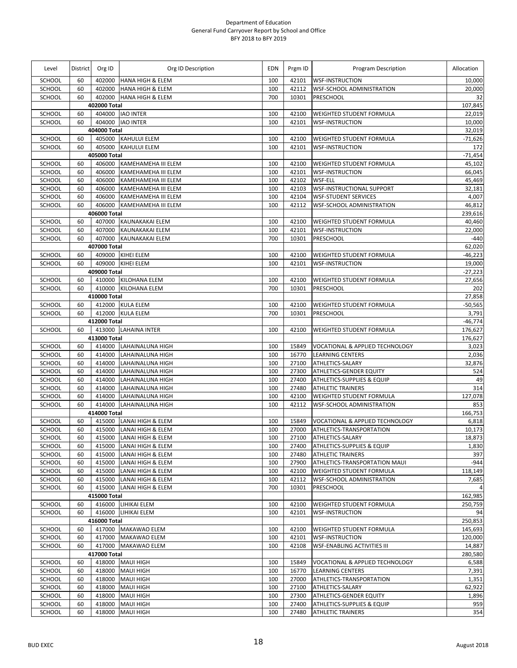| Level            | <b>District</b> | Org ID           | Org ID Description                                   | <b>EDN</b> | Prgm ID        | Program Description                                                           | Allocation         |
|------------------|-----------------|------------------|------------------------------------------------------|------------|----------------|-------------------------------------------------------------------------------|--------------------|
| <b>SCHOOL</b>    | 60              | 402000           | <b>HANA HIGH &amp; ELEM</b>                          | 100        | 42101          | <b>WSF-INSTRUCTION</b>                                                        | 10,000             |
| SCHOOL           | 60              | 402000           | <b>HANA HIGH &amp; ELEM</b>                          | 100        | 42112          | <b>WSF-SCHOOL ADMINISTRATION</b>                                              | 20,000             |
| SCHOOL           | 60              | 402000           | <b>HANA HIGH &amp; ELEM</b>                          | 700        | 10301          | PRESCHOOL                                                                     | 32                 |
|                  |                 | 402000 Total     |                                                      |            |                |                                                                               | 107,845            |
| SCHOOL           | 60              | 404000           | <b>IAO INTER</b>                                     | 100        | 42100          | <b>WEIGHTED STUDENT FORMULA</b>                                               | 22,019             |
| SCHOOL           | 60              | 404000 Total     | 404000 IAO INTER                                     | 100        | 42101          | <b>WSF-INSTRUCTION</b>                                                        | 10,000<br>32,019   |
| SCHOOL           | 60              |                  | 405000 KAHULUI ELEM                                  | 100        | 42100          | <b>WEIGHTED STUDENT FORMULA</b>                                               | $-71,626$          |
| SCHOOL           | 60              | 405000           | <b>KAHULUI ELEM</b>                                  | 100        | 42101          | <b>WSF-INSTRUCTION</b>                                                        | 172                |
|                  |                 | 405000 Total     |                                                      |            |                |                                                                               | $-71,454$          |
| SCHOOL           | 60              | 406000           | KAMEHAMEHA III ELEM                                  | 100        | 42100          | <b>WEIGHTED STUDENT FORMULA</b>                                               | 45,102             |
| SCHOOL           | 60              | 406000           | KAMEHAMEHA III ELEM                                  | 100        | 42101          | <b>WSF-INSTRUCTION</b>                                                        | 66,045             |
| SCHOOL           | 60              | 406000           | KAMEHAMEHA III ELEM                                  | 100        | 42102          | WSF-ELL                                                                       | 45,469             |
| SCHOOL           | 60              | 406000           | KAMEHAMEHA III ELEM                                  | 100        | 42103          | <b>WSF-INSTRUCTIONAL SUPPORT</b>                                              | 32,181             |
| SCHOOL           | 60              | 406000           | KAMEHAMEHA III ELEM                                  | 100        | 42104          | <b>WSF-STUDENT SERVICES</b>                                                   | 4,007              |
| SCHOOL           | 60              | 406000           | KAMEHAMEHA III ELEM                                  | 100        | 42112          | WSF-SCHOOL ADMINISTRATION                                                     | 46,812             |
|                  |                 | 406000 Total     |                                                      |            |                |                                                                               | 239,616            |
| SCHOOL<br>SCHOOL | 60<br>60        | 407000<br>407000 | <b>KAUNAKAKAI ELEM</b><br>KAUNAKAKAI ELEM            | 100<br>100 | 42100<br>42101 | <b>WEIGHTED STUDENT FORMULA</b><br><b>WSF-INSTRUCTION</b>                     | 40,460<br>22,000   |
| SCHOOL           | 60              |                  | 407000 KAUNAKAKAI ELEM                               | 700        | 10301          | <b>PRESCHOOL</b>                                                              | $-440$             |
|                  |                 | 407000 Total     |                                                      |            |                |                                                                               | 62,020             |
| SCHOOL           | 60              |                  | 409000 KIHEI ELEM                                    | 100        | 42100          | <b>WEIGHTED STUDENT FORMULA</b>                                               | $-46,223$          |
| SCHOOL           | 60              |                  | 409000 KIHEI ELEM                                    | 100        | 42101          | <b>WSF-INSTRUCTION</b>                                                        | 19,000             |
|                  |                 | 409000 Total     |                                                      |            |                |                                                                               | $-27,223$          |
| SCHOOL           | 60              |                  | 410000 KILOHANA ELEM                                 | 100        | 42100          | <b>WEIGHTED STUDENT FORMULA</b>                                               | 27,656             |
| SCHOOL           | 60              |                  | 410000 KILOHANA ELEM                                 | 700        | 10301          | <b>PRESCHOOL</b>                                                              | 202                |
|                  |                 | 410000 Total     |                                                      |            |                |                                                                               | 27,858             |
| SCHOOL           | 60              |                  | 412000 KULA ELEM                                     | 100        | 42100          | <b>WEIGHTED STUDENT FORMULA</b>                                               | $-50,565$          |
| SCHOOL           | 60              |                  | 412000 KULA ELEM                                     | 700        | 10301          | PRESCHOOL                                                                     | 3,791              |
|                  |                 | 412000 Total     |                                                      |            |                |                                                                               | $-46,774$          |
| SCHOOL           | 60              | 413000 Total     | 413000 LAHAINA INTER                                 | 100        | 42100          | WEIGHTED STUDENT FORMULA                                                      | 176,627<br>176,627 |
| SCHOOL           | 60              | 414000           | LAHAINALUNA HIGH                                     | 100        | 15849          | VOCATIONAL & APPLIED TECHNOLOGY                                               | 3,023              |
| SCHOOL           | 60              | 414000           | LAHAINALUNA HIGH                                     | 100        | 16770          | <b>LEARNING CENTERS</b>                                                       | 2,036              |
| SCHOOL           | 60              | 414000           | LAHAINALUNA HIGH                                     | 100        | 27100          | ATHLETICS-SALARY                                                              | 32,876             |
| SCHOOL           | 60              | 414000           | LAHAINALUNA HIGH                                     | 100        | 27300          | <b>ATHLETICS-GENDER EQUITY</b>                                                | 524                |
| SCHOOL           | 60              | 414000           | LAHAINALUNA HIGH                                     | 100        | 27400          | ATHLETICS-SUPPLIES & EQUIP                                                    | 49                 |
| SCHOOL           | 60              | 414000           | LAHAINALUNA HIGH                                     | 100        | 27480          | <b>ATHLETIC TRAINERS</b>                                                      | 314                |
| SCHOOL           | 60              | 414000           | LAHAINALUNA HIGH                                     | 100        | 42100          | <b>WEIGHTED STUDENT FORMULA</b>                                               | 127,078            |
| SCHOOL           | 60              | 414000           | LAHAINALUNA HIGH                                     | 100        | 42112          | <b>WSF-SCHOOL ADMINISTRATION</b>                                              | 853                |
|                  |                 | 414000 Total     |                                                      |            |                |                                                                               | 166,753            |
| SCHOOL<br>SCHOOL | 60<br>60        |                  | 415000 LANAI HIGH & ELEM<br>415000 LANAI HIGH & ELEM | 100<br>100 | 15849<br>27000 | <b>VOCATIONAL &amp; APPLIED TECHNOLOGY</b><br><b>ATHLETICS-TRANSPORTATION</b> | 6,818<br>10,173    |
| SCHOOL           | 60              |                  | 415000 LANAI HIGH & ELEM                             | 100        | 27100          | ATHLETICS-SALARY                                                              | 18,873             |
| SCHOOL           | 60              | 415000           | LANAI HIGH & ELEM                                    | 100        | 27400          | <b>ATHLETICS-SUPPLIES &amp; EQUIP</b>                                         | 1,830              |
| SCHOOL           | 60              | 415000           | LANAI HIGH & ELEM                                    | 100        | 27480          | <b>ATHLETIC TRAINERS</b>                                                      | 397                |
| SCHOOL           | 60              | 415000           | LANAI HIGH & ELEM                                    | 100        | 27900          | ATHLETICS-TRANSPORTATION MAUI                                                 | $-944$             |
| SCHOOL           | 60              | 415000           | LANAI HIGH & ELEM                                    | 100        | 42100          | <b>WEIGHTED STUDENT FORMULA</b>                                               | 118,149            |
| SCHOOL           | 60              | 415000           | LANAI HIGH & ELEM                                    | 100        | 42112          | <b>WSF-SCHOOL ADMINISTRATION</b>                                              | 7,685              |
| SCHOOL           | 60              |                  | 415000 LANAI HIGH & ELEM                             | 700        | 10301          | PRESCHOOL                                                                     | 4                  |
|                  |                 | 415000 Total     |                                                      |            |                |                                                                               | 162,985            |
| SCHOOL           | 60              |                  | 416000 LIHIKAI ELEM                                  | 100        | 42100          | <b>WEIGHTED STUDENT FORMULA</b>                                               | 250,759            |
| SCHOOL           | 60              |                  | 416000 LIHIKAI ELEM                                  | 100        | 42101          | <b>WSF-INSTRUCTION</b>                                                        | 94                 |
| SCHOOL           | 60              | 416000 Total     | 417000 MAKAWAO ELEM                                  | 100        | 42100          | WEIGHTED STUDENT FORMULA                                                      | 250,853<br>145,693 |
| SCHOOL           | 60              | 417000           | MAKAWAO ELEM                                         | 100        | 42101          | <b>WSF-INSTRUCTION</b>                                                        | 120,000            |
| SCHOOL           | 60              | 417000           | <b>MAKAWAO ELEM</b>                                  | 100        | 42108          | <b>WSF-ENABLING ACTIVITIES III</b>                                            | 14,887             |
|                  |                 | 417000 Total     |                                                      |            |                |                                                                               | 280,580            |
| SCHOOL           | 60              |                  | 418000 MAUI HIGH                                     | 100        | 15849          | VOCATIONAL & APPLIED TECHNOLOGY                                               | 6,588              |
| SCHOOL           | 60              | 418000           | <b>MAUI HIGH</b>                                     | 100        | 16770          | <b>LEARNING CENTERS</b>                                                       | 7,391              |
| SCHOOL           | 60              | 418000           | <b>MAUI HIGH</b>                                     | 100        | 27000          | ATHLETICS-TRANSPORTATION                                                      | 1,351              |
| SCHOOL           | 60              | 418000           | <b>MAUI HIGH</b>                                     | 100        | 27100          | ATHLETICS-SALARY                                                              | 62,922             |
| SCHOOL           | 60              | 418000           | <b>MAUI HIGH</b>                                     | 100        | 27300          | ATHLETICS-GENDER EQUITY                                                       | 1,896              |
| SCHOOL           | 60              | 418000           | <b>MAUI HIGH</b>                                     | 100        | 27400          | <b>ATHLETICS-SUPPLIES &amp; EQUIP</b>                                         | 959                |
| SCHOOL           | 60              | 418000           | <b>MAUI HIGH</b>                                     | 100        | 27480          | <b>ATHLETIC TRAINERS</b>                                                      | 354                |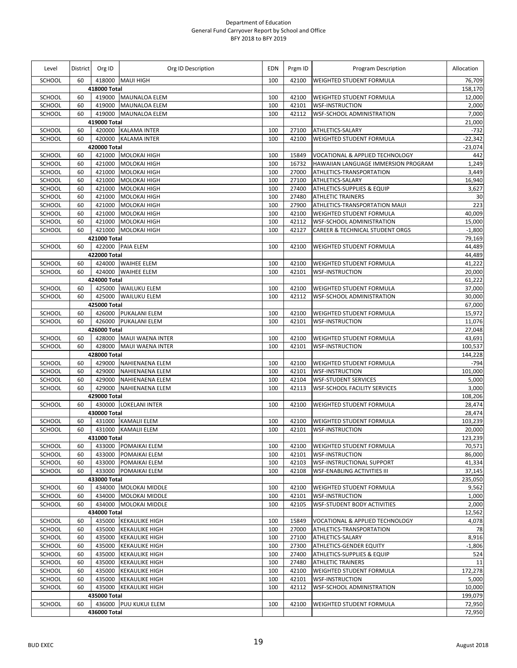| Level            |    | District Org ID        | Org ID Description      | <b>EDN</b> | Prgm ID        | Program Description                                                    | Allocation       |
|------------------|----|------------------------|-------------------------|------------|----------------|------------------------------------------------------------------------|------------------|
| <b>SCHOOL</b>    | 60 |                        | 418000 MAUI HIGH        | 100        | 42100          | <b>WEIGHTED STUDENT FORMULA</b>                                        | 76,709           |
|                  |    | 418000 Total           |                         |            |                |                                                                        | 158,170          |
| SCHOOL           | 60 |                        | 419000 MAUNALOA ELEM    | 100        | 42100          | <b>WEIGHTED STUDENT FORMULA</b>                                        | 12,000           |
| SCHOOL           | 60 | 419000                 | <b>MAUNALOA ELEM</b>    | 100        | 42101          | <b>WSF-INSTRUCTION</b>                                                 | 2,000            |
| SCHOOL           | 60 | 419000                 | <b>MAUNALOA ELEM</b>    | 100        | 42112          | WSF-SCHOOL ADMINISTRATION                                              | 7,000            |
|                  |    | 419000 Total           |                         |            |                |                                                                        | 21,000           |
| SCHOOL           | 60 |                        | 420000 KALAMA INTER     | 100        | 27100          | ATHLETICS-SALARY                                                       | $-732$           |
| SCHOOL           | 60 | 420000                 | <b>KALAMA INTER</b>     | 100        | 42100          | WEIGHTED STUDENT FORMULA                                               | -22,342          |
|                  | 60 | 420000 Total<br>421000 | MOLOKAI HIGH            | 100        |                |                                                                        | $-23,074$        |
| SCHOOL<br>SCHOOL | 60 | 421000                 | <b>MOLOKAI HIGH</b>     | 100        | 15849<br>16732 | VOCATIONAL & APPLIED TECHNOLOGY<br>HAWAIIAN LANGUAGE IMMERSION PROGRAM | 442<br>1,249     |
| SCHOOL           | 60 | 421000                 | <b>MOLOKAI HIGH</b>     | 100        | 27000          | ATHLETICS-TRANSPORTATION                                               | 3,449            |
| SCHOOL           | 60 | 421000                 | <b>MOLOKAI HIGH</b>     | 100        | 27100          | ATHLETICS-SALARY                                                       | 16,940           |
| SCHOOL           | 60 | 421000                 | <b>MOLOKAI HIGH</b>     | 100        | 27400          | <b>ATHLETICS-SUPPLIES &amp; EQUIP</b>                                  | 3,627            |
| SCHOOL           | 60 | 421000                 | <b>MOLOKAI HIGH</b>     | 100        | 27480          | <b>ATHLETIC TRAINERS</b>                                               | 30               |
| SCHOOL           | 60 | 421000                 | <b>MOLOKAI HIGH</b>     | 100        | 27900          | ATHLETICS-TRANSPORTATION MAUI                                          | 223              |
| SCHOOL           | 60 | 421000                 | <b>MOLOKAI HIGH</b>     | 100        | 42100          | WEIGHTED STUDENT FORMULA                                               | 40,009           |
| SCHOOL           | 60 | 421000                 | <b>MOLOKAI HIGH</b>     | 100        | 42112          | <b>WSF-SCHOOL ADMINISTRATION</b>                                       | 15,000           |
| SCHOOL           | 60 | 421000                 | <b>MOLOKAI HIGH</b>     | 100        | 42127          | CAREER & TECHNICAL STUDENT ORGS                                        | $-1,800$         |
|                  |    | 421000 Total           |                         |            |                |                                                                        | 79,169           |
| SCHOOL           | 60 |                        | 422000 PAIA ELEM        | 100        | 42100          | WEIGHTED STUDENT FORMULA                                               | 44,489           |
|                  |    | 422000 Total           |                         |            |                |                                                                        | 44,489           |
| SCHOOL           | 60 |                        | 424000 WAIHEE ELEM      | 100        | 42100          | WEIGHTED STUDENT FORMULA                                               | 41,222           |
| SCHOOL           | 60 |                        | 424000 WAIHEE ELEM      | 100        | 42101          | <b>WSF-INSTRUCTION</b>                                                 | 20,000           |
|                  |    | 424000 Total           |                         |            |                |                                                                        | 61,222           |
| SCHOOL           | 60 |                        | 425000 WAILUKU ELEM     | 100        | 42100          | <b>WEIGHTED STUDENT FORMULA</b>                                        | 37,000           |
| SCHOOL           | 60 | 425000                 | <b>WAILUKU ELEM</b>     | 100        | 42112          | WSF-SCHOOL ADMINISTRATION                                              | 30,000           |
|                  |    | 425000 Total           |                         |            |                |                                                                        | 67,000           |
| SCHOOL           | 60 |                        | 426000 PUKALANI ELEM    | 100        | 42100          | <b>WEIGHTED STUDENT FORMULA</b>                                        | 15,972           |
| SCHOOL           | 60 | 426000                 | PUKALANI ELEM           | 100        | 42101          | <b>WSF-INSTRUCTION</b>                                                 | 11,076           |
|                  |    | 426000 Total           |                         |            |                |                                                                        | 27,048           |
| SCHOOL           | 60 |                        | 428000 MAUI WAENA INTER | 100        | 42100          | WEIGHTED STUDENT FORMULA                                               | 43,691           |
| SCHOOL           | 60 | 428000                 | MAUI WAENA INTER        | 100        | 42101          | <b>WSF-INSTRUCTION</b>                                                 | 100,537          |
|                  |    | 428000 Total           |                         |            |                |                                                                        | 144,228          |
| SCHOOL           | 60 | 429000                 | NAHIENAENA ELEM         | 100        | 42100          | WEIGHTED STUDENT FORMULA                                               | $-794$           |
| SCHOOL           | 60 | 429000                 | NAHIENAENA ELEM         | 100        | 42101          | <b>WSF-INSTRUCTION</b>                                                 | 101,000          |
| SCHOOL           | 60 | 429000                 | NAHIENAENA ELEM         | 100        | 42104          | <b>WSF-STUDENT SERVICES</b>                                            | 5,000            |
| SCHOOL           | 60 | 429000                 | NAHIENAENA ELEM         | 100        | 42113          | <b>WSF-SCHOOL FACILITY SERVICES</b>                                    | 3,000            |
|                  |    | 429000 Total           |                         |            |                |                                                                        | 108,206          |
| SCHOOL           | 60 | 430000 Total           | 430000 LOKELANI INTER   | 100        | 42100          | <b>WEIGHTED STUDENT FORMULA</b>                                        | 28,474<br>28,474 |
| SCHOOL           | 60 |                        | 431000 KAMALII ELEM     | 100        | 42100          |                                                                        | 103,239          |
| SCHOOL           | 60 |                        | 431000 KAMALII ELEM     | 100        | 42101          | WEIGHTED STUDENT FORMULA<br><b>WSF-INSTRUCTION</b>                     | 20,000           |
|                  |    | 431000 Total           |                         |            |                |                                                                        | 123,239          |
| SCHOOL           | 60 | 433000                 | POMAIKAI ELEM           | 100        | 42100          | <b>WEIGHTED STUDENT FORMULA</b>                                        | 70,571           |
| SCHOOL           | 60 | 433000                 | POMAIKAI ELEM           | 100        | 42101          | <b>WSF-INSTRUCTION</b>                                                 | 86,000           |
| SCHOOL           | 60 | 433000                 | POMAIKAI ELEM           | 100        | 42103          | <b>WSF-INSTRUCTIONAL SUPPORT</b>                                       | 41,334           |
| SCHOOL           | 60 |                        | 433000 POMAIKAI ELEM    | 100        | 42108          | <b>WSF-ENABLING ACTIVITIES III</b>                                     | 37,145           |
|                  |    | 433000 Total           |                         |            |                |                                                                        | 235,050          |
| SCHOOL           | 60 | 434000                 | MOLOKAI MIDDLE          | 100        | 42100          | <b>WEIGHTED STUDENT FORMULA</b>                                        | 9,562            |
| SCHOOL           | 60 | 434000                 | MOLOKAI MIDDLE          | 100        | 42101          | <b>WSF-INSTRUCTION</b>                                                 | 1,000            |
| SCHOOL           | 60 | 434000                 | MOLOKAI MIDDLE          | 100        | 42105          | <b>WSF-STUDENT BODY ACTIVITIES</b>                                     | 2,000            |
|                  |    | 434000 Total           |                         |            |                |                                                                        | 12,562           |
| SCHOOL           | 60 |                        | 435000 KEKAULIKE HIGH   | 100        | 15849          | <b>VOCATIONAL &amp; APPLIED TECHNOLOGY</b>                             | 4,078            |
| SCHOOL           | 60 | 435000                 | <b>KEKAULIKE HIGH</b>   | 100        | 27000          | ATHLETICS-TRANSPORTATION                                               | 78               |
| SCHOOL           | 60 | 435000                 | <b>KEKAULIKE HIGH</b>   | 100        | 27100          | ATHLETICS-SALARY                                                       | 8,916            |
| SCHOOL           | 60 | 435000                 | <b>KEKAULIKE HIGH</b>   | 100        | 27300          | <b>ATHLETICS-GENDER EQUITY</b>                                         | $-1,806$         |
| SCHOOL           | 60 | 435000                 | <b>KEKAULIKE HIGH</b>   | 100        | 27400          | ATHLETICS-SUPPLIES & EQUIP                                             | 524              |
| SCHOOL           | 60 | 435000                 | <b>KEKAULIKE HIGH</b>   | 100        | 27480          | <b>ATHLETIC TRAINERS</b>                                               | 11               |
| SCHOOL           | 60 | 435000                 | <b>KEKAULIKE HIGH</b>   | 100        | 42100          | <b>WEIGHTED STUDENT FORMULA</b>                                        | 172,278          |
| SCHOOL           | 60 | 435000                 | <b>KEKAULIKE HIGH</b>   | 100        | 42101          | <b>WSF-INSTRUCTION</b>                                                 | 5,000            |
| SCHOOL           | 60 | 435000                 | <b>KEKAULIKE HIGH</b>   | 100        | 42112          | WSF-SCHOOL ADMINISTRATION                                              | 10,000           |
|                  |    | 435000 Total           |                         |            |                |                                                                        | 199,079          |
| SCHOOL           | 60 |                        | 436000 PUU KUKUI ELEM   | 100        | 42100          | <b>WEIGHTED STUDENT FORMULA</b>                                        | 72,950           |
|                  |    | 436000 Total           |                         |            |                |                                                                        | 72,950           |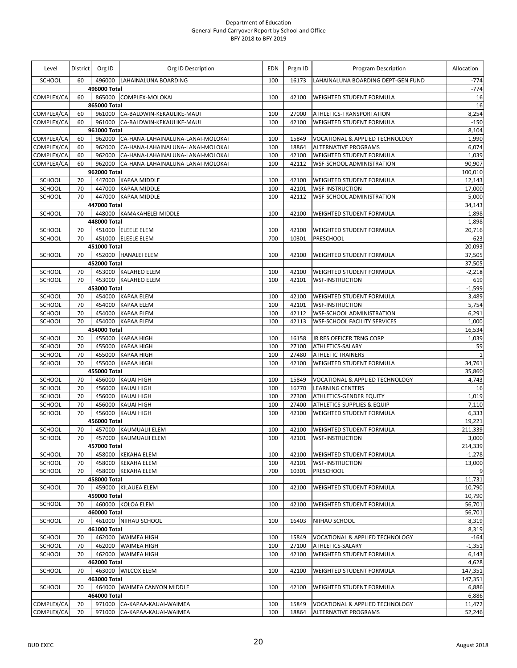| Level                   |          | District Org ID | Org ID Description                             | EDN        | Prgm ID        | Program Description                                       | Allocation         |
|-------------------------|----------|-----------------|------------------------------------------------|------------|----------------|-----------------------------------------------------------|--------------------|
| SCHOOL                  | 60       |                 | 496000 LAHAINALUNA BOARDING                    | 100        | 16173          | LAHAINALUNA BOARDING DEPT-GEN FUND                        | $-774$             |
|                         |          | 496000 Total    |                                                |            |                |                                                           | $-774$             |
| COMPLEX/CA              | 60       |                 | 865000 COMPLEX-MOLOKAI                         | 100        | 42100          | WEIGHTED STUDENT FORMULA                                  | 16                 |
| COMPLEX/CA              | 60       | 865000 Total    | 961000 CA-BALDWIN-KEKAULIKE-MAUI               | 100        |                |                                                           | 16<br>8,254        |
| COMPLEX/CA              | 60       |                 | 961000 CA-BALDWIN-KEKAULIKE-MAUI               | 100        | 27000<br>42100 | ATHLETICS-TRANSPORTATION<br>WEIGHTED STUDENT FORMULA      | $-150$             |
|                         |          | 961000 Total    |                                                |            |                |                                                           | 8,104              |
| COMPLEX/CA              | 60       |                 | 962000 CA-HANA-LAHAINALUNA-LANAI-MOLOKAI       | 100        | 15849          | VOCATIONAL & APPLIED TECHNOLOGY                           | 1,990              |
| COMPLEX/CA              | 60       | 962000          | CA-HANA-LAHAINALUNA-LANAI-MOLOKAI              | 100        | 18864          | <b>ALTERNATIVE PROGRAMS</b>                               | 6,074              |
| COMPLEX/CA              | 60       |                 | 962000 CA-HANA-LAHAINALUNA-LANAI-MOLOKAI       | 100        | 42100          | WEIGHTED STUDENT FORMULA                                  | 1,039              |
| COMPLEX/CA              | 60       |                 | 962000 CA-HANA-LAHAINALUNA-LANAI-MOLOKAI       | 100        | 42112          | WSF-SCHOOL ADMINISTRATION                                 | 90,907             |
|                         |          | 962000 Total    |                                                |            |                |                                                           | 100,010            |
| SCHOOL                  | 70       |                 | 447000 KAPAA MIDDLE                            | 100        | 42100          | WEIGHTED STUDENT FORMULA                                  | 12,143             |
| SCHOOL                  | 70       |                 | 447000 KAPAA MIDDLE                            | 100        | 42101          | <b>WSF-INSTRUCTION</b>                                    | 17,000             |
| SCHOOL                  | 70       |                 | 447000 KAPAA MIDDLE                            | 100        | 42112          | <b>WSF-SCHOOL ADMINISTRATION</b>                          | 5,000              |
| SCHOOL                  | 70       | 447000 Total    | 448000 KAMAKAHELEI MIDDLE                      | 100        | 42100          |                                                           | 34,143<br>$-1,898$ |
|                         |          | 448000 Total    |                                                |            |                | WEIGHTED STUDENT FORMULA                                  | $-1,898$           |
| SCHOOL                  | 70       |                 | 451000 ELEELE ELEM                             | 100        | 42100          | WEIGHTED STUDENT FORMULA                                  | 20,716             |
| SCHOOL                  | 70       |                 | 451000 ELEELE ELEM                             | 700        | 10301          | <b>PRESCHOOL</b>                                          | $-623$             |
|                         |          | 451000 Total    |                                                |            |                |                                                           | 20,093             |
| SCHOOL                  | 70       |                 | 452000 HANALEI ELEM                            | 100        | 42100          | WEIGHTED STUDENT FORMULA                                  | 37,505             |
|                         |          | 452000 Total    |                                                |            |                |                                                           | 37,505             |
| SCHOOL                  | 70       |                 | 453000 KALAHEO ELEM                            | 100        | 42100          | WEIGHTED STUDENT FORMULA                                  | $-2,218$           |
| SCHOOL                  | 70       |                 | 453000 KALAHEO ELEM                            | 100        | 42101          | <b>WSF-INSTRUCTION</b>                                    | 619                |
|                         |          | 453000 Total    |                                                |            |                |                                                           | $-1,599$           |
| SCHOOL                  | 70       | 454000          | <b>KAPAA ELEM</b>                              | 100        | 42100          | WEIGHTED STUDENT FORMULA                                  | 3,489              |
| SCHOOL                  | 70       |                 | 454000 KAPAA ELEM                              | 100        | 42101          | <b>WSF-INSTRUCTION</b>                                    | 5,754              |
| SCHOOL                  | 70       |                 | 454000 KAPAA ELEM                              | 100        | 42112          | <b>WSF-SCHOOL ADMINISTRATION</b>                          | 6,291              |
| SCHOOL                  | 70       |                 | 454000 KAPAA ELEM                              | 100        | 42113          | <b>WSF-SCHOOL FACILITY SERVICES</b>                       | 1,000              |
| SCHOOL                  | 70       | 454000 Total    | 455000 KAPAA HIGH                              | 100        | 16158          | JR RES OFFICER TRNG CORP                                  | 16,534<br>1,039    |
| SCHOOL                  | 70       | 455000          | <b>KAPAA HIGH</b>                              | 100        | 27100          | ATHLETICS-SALARY                                          | 59                 |
| SCHOOL                  | 70       |                 | 455000 KAPAA HIGH                              | 100        | 27480          | <b>ATHLETIC TRAINERS</b>                                  | $\mathbf{1}$       |
| SCHOOL                  | 70       | 455000          | <b>KAPAA HIGH</b>                              | 100        | 42100          | WEIGHTED STUDENT FORMULA                                  | 34,761             |
|                         |          | 455000 Total    |                                                |            |                |                                                           | 35,860             |
| SCHOOL                  | 70       |                 | 456000 KAUAI HIGH                              | 100        | 15849          | <b>VOCATIONAL &amp; APPLIED TECHNOLOGY</b>                | 4,743              |
| SCHOOL                  | 70       | 456000          | <b>KAUAI HIGH</b>                              | 100        | 16770          | <b>LEARNING CENTERS</b>                                   | 16                 |
| SCHOOL                  | 70       |                 | 456000 KAUAI HIGH                              | 100        | 27300          | <b>ATHLETICS-GENDER EQUITY</b>                            | 1,019              |
| SCHOOL                  | 70       |                 | 456000 KAUAI HIGH                              | 100        | 27400          | ATHLETICS-SUPPLIES & EQUIP                                | 7,110              |
| SCHOOL                  | 70       |                 | 456000 KAUAI HIGH                              | 100        | 42100          | WEIGHTED STUDENT FORMULA                                  | 6,333              |
|                         |          | 456000 Total    |                                                |            |                |                                                           | 19,221             |
| <b>SCHOOL</b><br>SCHOOL | 70<br>70 |                 | 457000 KAUMUALII ELEM<br>457000 KAUMUALII ELEM | 100<br>100 | 42100<br>42101 | <b>WEIGHTED STUDENT FORMULA</b><br><b>WSF-INSTRUCTION</b> | 211,339<br>3,000   |
|                         |          | 457000 Total    |                                                |            |                |                                                           | 214,339            |
| SCHOOL                  | 70       |                 | 458000 KEKAHA ELEM                             | 100        | 42100          | WEIGHTED STUDENT FORMULA                                  | $-1,278$           |
| SCHOOL                  | 70       |                 | 458000 KEKAHA ELEM                             | 100        | 42101          | <b>WSF-INSTRUCTION</b>                                    | 13,000             |
| SCHOOL                  | 70       |                 | 458000 KEKAHA ELEM                             | 700        | 10301          | <b>PRESCHOOL</b>                                          | 9                  |
|                         |          | 458000 Total    |                                                |            |                |                                                           | 11,731             |
| SCHOOL                  | 70       |                 | 459000 KILAUEA ELEM                            | 100        | 42100          | WEIGHTED STUDENT FORMULA                                  | 10,790             |
|                         |          | 459000 Total    |                                                |            |                |                                                           | 10,790             |
| SCHOOL                  | 70       |                 | 460000 KOLOA ELEM                              | 100        | 42100          | WEIGHTED STUDENT FORMULA                                  | 56,701             |
|                         |          | 460000 Total    |                                                |            |                |                                                           | 56,701             |
| SCHOOL                  | 70       |                 | 461000 NIIHAU SCHOOL                           | 100        | 16403          | NIIHAU SCHOOL                                             | 8,319              |
|                         |          | 461000 Total    |                                                |            |                |                                                           | 8,319              |
| SCHOOL<br>SCHOOL        | 70<br>70 |                 | 462000 WAIMEA HIGH<br>462000 WAIMEA HIGH       | 100<br>100 | 15849<br>27100 | VOCATIONAL & APPLIED TECHNOLOGY<br>ATHLETICS-SALARY       | $-164$<br>$-1,351$ |
| SCHOOL                  | 70       |                 | 462000 WAIMEA HIGH                             | 100        | 42100          | WEIGHTED STUDENT FORMULA                                  | 6,143              |
|                         |          | 462000 Total    |                                                |            |                |                                                           | 4,628              |
| SCHOOL                  | 70       |                 | 463000 WILCOX ELEM                             | 100        | 42100          | <b>WEIGHTED STUDENT FORMULA</b>                           | 147,351            |
|                         |          | 463000 Total    |                                                |            |                |                                                           | 147,351            |
| SCHOOL                  | 70       |                 | 464000 WAIMEA CANYON MIDDLE                    | 100        | 42100          | <b>WEIGHTED STUDENT FORMULA</b>                           | 6,886              |
|                         |          | 464000 Total    |                                                |            |                |                                                           | 6,886              |
| COMPLEX/CA              | 70       |                 | 971000 CA-KAPAA-KAUAI-WAIMEA                   | 100        | 15849          | VOCATIONAL & APPLIED TECHNOLOGY                           | 11,472             |
| COMPLEX/CA              | 70       | 971000          | CA-KAPAA-KAUAI-WAIMEA                          | 100        | 18864          | <b>ALTERNATIVE PROGRAMS</b>                               | 52,246             |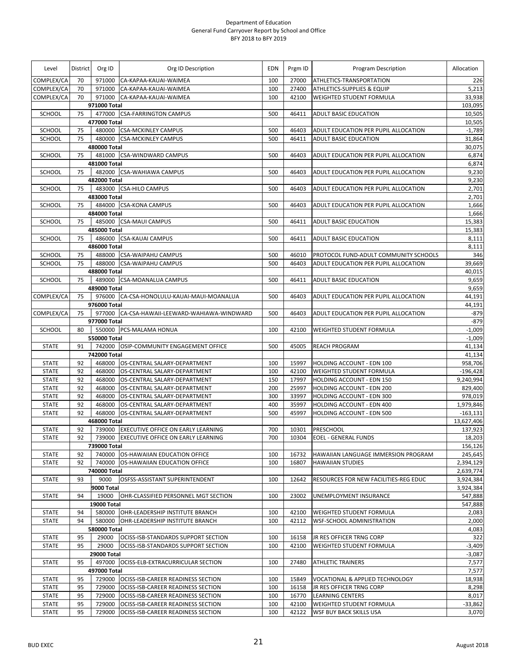| Level         | District | Org ID               | Org ID Description                            | <b>EDN</b> | Prgm ID | Program Description                   | Allocation             |
|---------------|----------|----------------------|-----------------------------------------------|------------|---------|---------------------------------------|------------------------|
| COMPLEX/CA    | 70       |                      | 971000 CA-KAPAA-KAUAI-WAIMEA                  | 100        | 27000   | ATHLETICS-TRANSPORTATION              | 226                    |
| COMPLEX/CA    | 70       | 971000               | CA-KAPAA-KAUAI-WAIMEA                         | 100        | 27400   | ATHLETICS-SUPPLIES & EQUIP            | 5,213                  |
| COMPLEX/CA    | 70       |                      | 971000 CA-KAPAA-KAUAI-WAIMEA                  | 100        | 42100   | WEIGHTED STUDENT FORMULA              | 33,938                 |
|               |          | 971000 Total         |                                               |            |         |                                       | 103,095                |
| SCHOOL        | 75       | 477000               | <b>CSA-FARRINGTON CAMPUS</b>                  | 500        | 46411   | ADULT BASIC EDUCATION                 | 10,505                 |
|               |          | 477000 Total         |                                               |            |         |                                       | 10,505                 |
| SCHOOL        | 75       |                      | 480000 CSA-MCKINLEY CAMPUS                    | 500        | 46403   | ADULT EDUCATION PER PUPIL ALLOCATION  | $-1,789$               |
| SCHOOL        | 75       | 480000               | <b>CSA-MCKINLEY CAMPUS</b>                    | 500        | 46411   | ADULT BASIC EDUCATION                 | 31,864                 |
| SCHOOL        | 75       | 480000 Total         | 481000 CSA-WINDWARD CAMPUS                    | 500        | 46403   | ADULT EDUCATION PER PUPIL ALLOCATION  | 30,075<br>6,874        |
|               |          | 481000 Total         |                                               |            |         |                                       | 6,874                  |
| SCHOOL        | 75       |                      | 482000 CSA-WAHIAWA CAMPUS                     | 500        | 46403   | ADULT EDUCATION PER PUPIL ALLOCATION  | 9,230                  |
|               |          | 482000 Total         |                                               |            |         |                                       | 9,230                  |
| SCHOOL        | 75       |                      | 483000 CSA-HILO CAMPUS                        | 500        | 46403   | ADULT EDUCATION PER PUPIL ALLOCATION  | 2,701                  |
|               |          | 483000 Total         |                                               |            |         |                                       | 2,701                  |
| SCHOOL        | 75       |                      | 484000 CSA-KONA CAMPUS                        | 500        | 46403   | ADULT EDUCATION PER PUPIL ALLOCATION  | 1,666                  |
|               |          | 484000 Total         |                                               |            |         |                                       | 1,666                  |
| <b>SCHOOL</b> | 75       |                      | 485000 CSA-MAUI CAMPUS                        | 500        | 46411   | <b>ADULT BASIC EDUCATION</b>          | 15,383                 |
|               |          | 485000 Total         |                                               |            |         |                                       | 15,383                 |
| SCHOOL        | 75       |                      | 486000 CSA-KAUAI CAMPUS                       | 500        | 46411   | <b>ADULT BASIC EDUCATION</b>          | 8,111                  |
|               |          | 486000 Total         |                                               |            |         |                                       | 8,111                  |
| SCHOOL        | 75       | 488000               | <b>CSA-WAIPAHU CAMPUS</b>                     | 500        | 46010   | PROTOCOL FUND-ADULT COMMUNITY SCHOOLS | 346                    |
| SCHOOL        | 75       |                      | 488000 CSA-WAIPAHU CAMPUS                     | 500        | 46403   | ADULT EDUCATION PER PUPIL ALLOCATION  | 39,669                 |
|               |          | 488000 Total         |                                               |            |         |                                       | 40,015                 |
| SCHOOL        | 75       |                      | 489000 CSA-MOANALUA CAMPUS                    | 500        | 46411   | ADULT BASIC EDUCATION                 | 9,659                  |
|               |          | 489000 Total         |                                               |            |         |                                       | 9,659                  |
| COMPLEX/CA    | 75       |                      | 976000 CA-CSA-HONOLULU-KAUAI-MAUI-MOANALUA    | 500        | 46403   | ADULT EDUCATION PER PUPIL ALLOCATION  | 44,191                 |
|               | 75       | 976000 Total         |                                               | 500        |         |                                       | 44,191                 |
| COMPLEX/CA    |          | 977000 Total         | 977000 CA-CSA-HAWAII-LEEWARD-WAHIAWA-WINDWARD |            | 46403   | ADULT EDUCATION PER PUPIL ALLOCATION  | $-879$<br>$-879$       |
| <b>SCHOOL</b> | 80       |                      | 550000 PCS-MALAMA HONUA                       | 100        | 42100   | <b>WEIGHTED STUDENT FORMULA</b>       | $-1,009$               |
|               |          | 550000 Total         |                                               |            |         |                                       | $-1,009$               |
| <b>STATE</b>  | 91       | 742000               | OSIP-COMMUNITY ENGAGEMENT OFFICE              | 500        | 45005   | <b>REACH PROGRAM</b>                  | 41,134                 |
|               |          | 742000 Total         |                                               |            |         |                                       | 41,134                 |
| <b>STATE</b>  | 92       | 468000               | OS-CENTRAL SALARY-DEPARTMENT                  | 100        | 15997   | HOLDING ACCOUNT - EDN 100             | 958,706                |
| <b>STATE</b>  | 92       | 468000               | OS-CENTRAL SALARY-DEPARTMENT                  | 100        | 42100   | <b>WEIGHTED STUDENT FORMULA</b>       | $-196,428$             |
| <b>STATE</b>  | 92       | 468000               | OS-CENTRAL SALARY-DEPARTMENT                  | 150        | 17997   | HOLDING ACCOUNT - EDN 150             | 9,240,994              |
| <b>STATE</b>  | 92       | 468000               | OS-CENTRAL SALARY-DEPARTMENT                  | 200        | 25997   | HOLDING ACCOUNT - EDN 200             | 829,400                |
| <b>STATE</b>  | 92       | 468000               | OS-CENTRAL SALARY-DEPARTMENT                  | 300        | 33997   | HOLDING ACCOUNT - EDN 300             | 978,019                |
| <b>STATE</b>  | 92       | 468000               | OS-CENTRAL SALARY-DEPARTMENT                  | 400        | 35997   | HOLDING ACCOUNT - EDN 400             | 1,979,846              |
| <b>STATE</b>  | 92       | 468000               | OS-CENTRAL SALARY-DEPARTMENT                  | 500        | 45997   | HOLDING ACCOUNT - EDN 500             | $-163,131$             |
|               |          | 468000 Total         |                                               |            |         |                                       | 13,627,406             |
| <b>STATE</b>  | 92       |                      | 739000 EXECUTIVE OFFICE ON EARLY LEARNING     | 700        | 10301   | PRESCHOOL                             | 137,923                |
| <b>STATE</b>  | 92       |                      | 739000 EXECUTIVE OFFICE ON EARLY LEARNING     | 700        | 10304   | <b>EOEL - GENERAL FUNDS</b>           | 18,203                 |
|               |          | 739000 Total         |                                               |            |         |                                       | 156,126                |
| <b>STATE</b>  | 92       | 740000               | OS-HAWAIIAN EDUCATION OFFICE                  | 100        | 16732   | HAWAIIAN LANGUAGE IMMERSION PROGRAM   | 245,645                |
| <b>STATE</b>  | 92       | 740000               | OS-HAWAIIAN EDUCATION OFFICE                  | 100        | 16807   | <b>HAWAIIAN STUDIES</b>               | 2,394,129<br>2,639,774 |
| <b>STATE</b>  | 93       | 740000 Total<br>9000 | OSFSS-ASSISTANT SUPERINTENDENT                | 100        | 12642   | RESOURCES FOR NEW FACILITIES-REG EDUC | 3,924,384              |
|               |          | 9000 Total           |                                               |            |         |                                       | 3,924,384              |
| <b>STATE</b>  | 94       | 19000                | OHR-CLASSIFIED PERSONNEL MGT SECTION          | 100        | 23002   | UNEMPLOYMENT INSURANCE                | 547,888                |
|               |          | 19000 Total          |                                               |            |         |                                       | 547,888                |
| <b>STATE</b>  | 94       |                      | 580000 OHR-LEADERSHIP INSTITUTE BRANCH        | 100        | 42100   | <b>WEIGHTED STUDENT FORMULA</b>       | 2,083                  |
| <b>STATE</b>  | 94       |                      | 580000 OHR-LEADERSHIP INSTITUTE BRANCH        | 100        | 42112   | <b>WSF-SCHOOL ADMINISTRATION</b>      | 2,000                  |
|               |          | 580000 Total         |                                               |            |         |                                       | 4,083                  |
| <b>STATE</b>  | 95       | 29000                | OCISS-ISB-STANDARDS SUPPORT SECTION           | 100        | 16158   | JR RES OFFICER TRNG CORP              | 322                    |
| <b>STATE</b>  | 95       | 29000                | OCISS-ISB-STANDARDS SUPPORT SECTION           | 100        | 42100   | <b>WEIGHTED STUDENT FORMULA</b>       | $-3,409$               |
|               |          | <b>29000 Total</b>   |                                               |            |         |                                       | $-3,087$               |
| <b>STATE</b>  | 95       |                      | 497000 OCISS-ELB-EXTRACURRICULAR SECTION      | 100        | 27480   | <b>ATHLETIC TRAINERS</b>              | 7,577                  |
|               |          | 497000 Total         |                                               |            |         |                                       | 7,577                  |
| <b>STATE</b>  | 95       | 729000               | OCISS-ISB-CAREER READINESS SECTION            | 100        | 15849   | VOCATIONAL & APPLIED TECHNOLOGY       | 18,938                 |
| <b>STATE</b>  | 95       | 729000               | OCISS-ISB-CAREER READINESS SECTION            | 100        | 16158   | JR RES OFFICER TRNG CORP              | 8,298                  |
| <b>STATE</b>  | 95       | 729000               | OCISS-ISB-CAREER READINESS SECTION            | 100        | 16770   | <b>LEARNING CENTERS</b>               | 8,017                  |
| <b>STATE</b>  | 95       | 729000               | OCISS-ISB-CAREER READINESS SECTION            | 100        | 42100   | <b>WEIGHTED STUDENT FORMULA</b>       | $-33,862$              |
| <b>STATE</b>  | 95       | 729000               | OCISS-ISB-CAREER READINESS SECTION            | 100        | 42122   | <b>WSF BUY BACK SKILLS USA</b>        | 3,070                  |